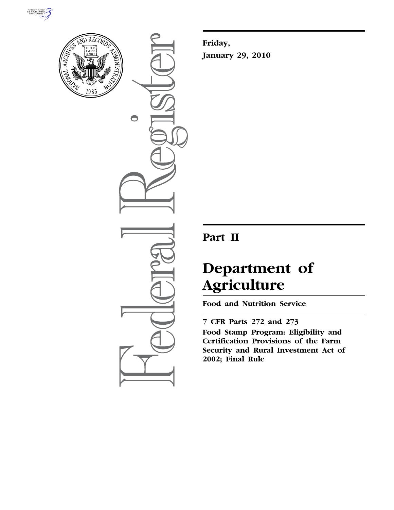



 $\bigcirc$ 

**Friday, January 29, 2010** 

## **Part II**

# **Department of Agriculture**

**Food and Nutrition Service** 

**7 CFR Parts 272 and 273 Food Stamp Program: Eligibility and Certification Provisions of the Farm Security and Rural Investment Act of 2002; Final Rule**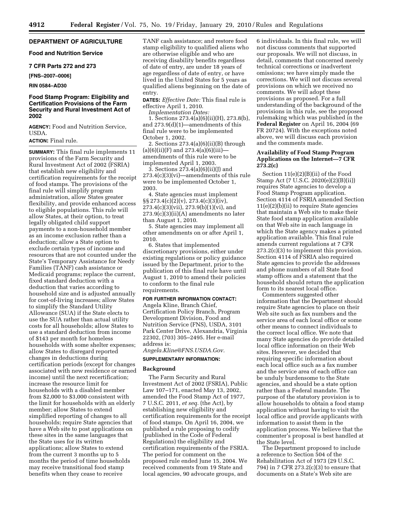#### **DEPARTMENT OF AGRICULTURE**

#### **Food and Nutrition Service**

#### **7 CFR Parts 272 and 273**

#### **[FNS–2007–0006]**

#### **RIN 0584–AD30**

#### **Food Stamp Program: Eligibility and Certification Provisions of the Farm Security and Rural Investment Act of 2002**

**AGENCY:** Food and Nutrition Service, USDA.

#### **ACTION:** Final rule.

**SUMMARY:** This final rule implements 11 provisions of the Farm Security and Rural Investment Act of 2002 (FSRIA) that establish new eligibility and certification requirements for the receipt of food stamps. The provisions of the final rule will simplify program administration, allow States greater flexibility, and provide enhanced access to eligible populations. This rule will allow States, at their option, to treat legally obligated child support payments to a non-household member as an income exclusion rather than a deduction; allow a State option to exclude certain types of income and resources that are not counted under the State's Temporary Assistance for Needy Families (TANF) cash assistance or Medicaid programs; replace the current, fixed standard deduction with a deduction that varies according to household size and is adjusted annually for cost-of-living increases; allow States to simplify the Standard Utility Allowance (SUA) if the State elects to use the SUA rather than actual utility costs for all households; allow States to use a standard deduction from income of \$143 per month for homeless households with some shelter expenses; allow States to disregard reported changes in deductions during certification periods (except for changes associated with new residence or earned income) until the next recertification; increase the resource limit for households with a disabled member from \$2,000 to \$3,000 consistent with the limit for households with an elderly member; allow States to extend simplified reporting of changes to all households; require State agencies that have a Web site to post applications on these sites in the same languages that the State uses for its written applications; allow States to extend from the current 3 months up to 5 months the period of time households may receive transitional food stamp benefits when they cease to receive

TANF cash assistance; and restore food stamp eligibility to qualified aliens who are otherwise eligible and who are receiving disability benefits regardless of date of entry, are under 18 years of age regardless of date of entry, or have lived in the United States for 5 years as qualified aliens beginning on the date of entry.

**DATES:** *Effective Date:* This final rule is effective April 1, 2010.

*Implementation Dates:* 

1. Sections 273.4(a)(6)(ii)(H), 273.8(b), and 273.9(d)(1)—amendments of this final rule were to be implemented October 1, 2002.

2. Sections 273.4(a)(6)(ii)(B) through  $(a)(6)(ii)(F)$  and 273.4(a)(6)(iii)amendments of this rule were to be implemented April 1, 2003.

3. Sections 273.4(a)(6)(ii)(J) and 273.4(c)(3)(vi)—amendments of this rule were to be implemented October 1, 2003.

4. State agencies must implement  $\S\S 273.4(c)(2)(v)$ , 273.4(c)(3)(iv), 273.4(c)(3)(vii), 273.9(b)(1)(vi), and 273.9(c)(3)(ii)(A) amendments no later than August 1, 2010.

5. State agencies may implement all other amendments on or after April 1, 2010.

6. States that implemented discretionary provisions, either under existing regulations or policy guidance issued by the Department, prior to the publication of this final rule have until August 1, 2010 to amend their policies to conform to the final rule requirements.

#### **FOR FURTHER INFORMATION CONTACT:**

Angela Kline, Branch Chief, Certification Policy Branch, Program Development Division, Food and Nutrition Service (FNS), USDA, 3101 Park Center Drive, Alexandria, Virginia 22302, (703) 305–2495. Her e-mail address is:

## *Angela.Kline@FNS.USDA.Gov.*

### **SUPPLEMENTARY INFORMATION:**

#### **Background**

The Farm Security and Rural Investment Act of 2002 (FSRIA), Public Law 107–171, enacted May 13, 2002, amended the Food Stamp Act of 1977, 7 U.S.C. 2011, *et seq.* (the Act), by establishing new eligibility and certification requirements for the receipt of food stamps. On April 16, 2004, we published a rule proposing to codify (published in the Code of Federal Regulations) the eligibility and certification requirements of the FSRIA. The period for comment on the proposed rule ended June 15, 2004. We received comments from 19 State and local agencies, 90 advocate groups, and

6 individuals. In this final rule, we will not discuss comments that supported our proposals. We will not discuss, in detail, comments that concerned merely technical corrections or inadvertent omissions; we have simply made the corrections. We will not discuss several provisions on which we received no comments. We will adopt these provisions as proposed. For a full understanding of the background of the provisions in this rule, see the proposed rulemaking which was published in the **Federal Register** on April 16, 2004 (69 FR 20724). With the exceptions noted above, we will discuss each provision and the comments made.

#### **Availability of Food Stamp Program Applications on the Internet—7 CFR 273.2(c)**

Section 11(e)(2)(B)(ii) of the Food Stamp Act (7 U.S.C. 2020(e)(2)(B)(ii)) requires State agencies to develop a Food Stamp Program application. Section 4114 of FSRIA amended Section 11(e)(2)(b)(ii) to require State agencies that maintain a Web site to make their State food stamp application available on that Web site in each language in which the State agency makes a printed application available. This final rule amends current regulations at 7 CFR 273.2(c)(3) to implement this provision. Section 4114 of FSRIA also required State agencies to provide the addresses and phone numbers of all State food stamp offices and a statement that the household should return the application form to its nearest local office.

Commenters suggested other information that the Department should require State agencies to place on their Web site such as fax numbers and the service area of each local office or some other means to connect individuals to the correct local office. We note that many State agencies do provide detailed local office information on their Web sites. However, we decided that requiring specific information about each local office such as a fax number and the service area of each office can be unduly burdensome to the State agencies, and should be a state option rather than a Federal mandate. The purpose of the statutory provision is to allow households to obtain a food stamp application without having to visit the local office and provide applicants with information to assist them in the application process. We believe that the commenter's proposal is best handled at the State level.

The Department proposed to include a reference to Section 504 of the Rehabilitation Act of 1973 (29 U.S.C. 794) in 7 CFR 273.2(c)(3) to ensure that documents on a State's Web site are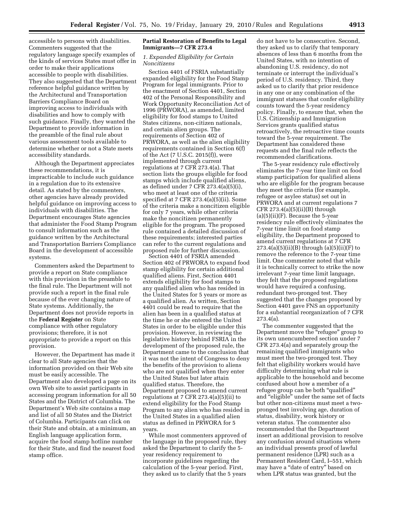accessible to persons with disabilities. Commenters suggested that the regulatory language specify examples of the kinds of services States must offer in order to make their applications accessible to people with disabilities. They also suggested that the Department reference helpful guidance written by the Architectural and Transportation Barriers Compliance Board on improving access to individuals with disabilities and how to comply with such guidance. Finally, they wanted the Department to provide information in the preamble of the final rule about various assessment tools available to determine whether or not a State meets accessibility standards.

Although the Department appreciates these recommendations, it is impracticable to include such guidance in a regulation due to its extensive detail. As stated by the commenters, other agencies have already provided helpful guidance on improving access to individuals with disabilities. The Department encourages State agencies that administer the Food Stamp Program to consult information such as the guidance written by the Architectural and Transportation Barriers Compliance Board in the development of accessible systems.

Commenters asked the Department to provide a report on State compliance with this provision in the preamble to the final rule. The Department will not provide such a report in the final rule because of the ever changing nature of State systems. Additionally, the Department does not provide reports in the **Federal Register** on State compliance with other regulatory provisions; therefore, it is not appropriate to provide a report on this provision.

However, the Department has made it clear to all State agencies that the information provided on their Web site must be easily accessible. The Department also developed a page on its own Web site to assist participants in accessing program information for all 50 States and the District of Columbia. The Department's Web site contains a map and list of all 50 States and the District of Columbia. Participants can click on their State and obtain, at a minimum, an English language application form, acquire the food stamp hotline number for their State, and find the nearest food stamp office.

#### **Partial Restoration of Benefits to Legal Immigrants—7 CFR 273.4**

#### *1. Expanded Eligibility for Certain Noncitizens*

Section 4401 of FSRIA substantially expanded eligibility for the Food Stamp Program for legal immigrants. Prior to the enactment of Section 4401, Section 402 of the Personal Responsibility and Work Opportunity Reconciliation Act of 1996 (PRWORA), as amended, limited eligibility for food stamps to United States citizens, non-citizen nationals, and certain alien groups. The requirements of Section 402 of PRWORA, as well as the alien eligibility requirements contained in Section 6(f) of the Act (7 U.S.C. 2015(f)), were implemented through current regulations at 7 CFR 273.4(a). That section lists the groups eligible for food stamps which include qualified aliens, as defined under 7 CFR 273.4(a)(5)(i), who meet at least one of the criteria specified at 7 CFR 273.4(a)(5)(ii). Some of the criteria make a noncitizen eligible for only 7 years, while other criteria make the noncitizen permanently eligible for the program. The proposed rule contained a detailed discussion of these requirements; interested parties can refer to the current regulations and proposed rule for further discussion.

Section 4401 of FSRIA amended Section 402 of PRWORA to expand food stamp eligibility for certain additional qualified aliens. First, Section 4401 extends eligibility for food stamps to any qualified alien who has resided in the United States for 5 years or more as a qualified alien. As written, Section 4401 could be read to require that the alien has been in a qualified status at the time he or she entered the United States in order to be eligible under this provision. However, in reviewing the legislative history behind FSRIA in the development of the proposed rule, the Department came to the conclusion that it was not the intent of Congress to deny the benefits of the provision to aliens who are not qualified when they enter the United States but later attain qualified status. Therefore, the Department proposed to amend current regulations at 7 CFR 273.4(a)(5)(ii) to extend eligibility for the Food Stamp Program to any alien who has resided in the United States in a qualified alien status as defined in PRWORA for 5 years.

While most commenters approved of the language in the proposed rule, they asked the Department to clarify the 5 year residency requirement to incorporate guidelines regarding the calculation of the 5-year period. First, they asked us to clarify that the 5 years

do not have to be consecutive. Second, they asked us to clarify that temporary absences of less than 6 months from the United States, with no intention of abandoning U.S. residency, do not terminate or interrupt the individual's period of U.S. residency. Third, they asked us to clarify that prior residence in any one or any combination of the immigrant statuses that confer eligibility counts toward the 5-year residency policy. Finally, to ensure that, when the U.S. Citizenship and Immigration Services grants qualified status retroactively, the retroactive time counts toward the 5-year requirement. The Department has considered these requests and the final rule reflects the recommended clarifications.

The 5-year residency rule effectively eliminates the 7-year time limit on food stamp participation for qualified aliens who are eligible for the program because they meet the criteria (for example, refugee or asylee status) set out in PRWORA and at current regulations 7 CFR  $273.4(a)(5)(ii)(B)$  through  $(a)(5)(ii)(F)$ . Because the 5-year residency rule effectively eliminates the 7-year time limit on food stamp eligibility, the Department proposed to amend current regulations at 7 CFR  $273.4(a)(5)(ii)(B)$  through  $(a)(5)(ii)(F)$  to remove the reference to the 7-year time limit. One commenter noted that while it is technically correct to strike the now irrelevant 7-year time limit language, they felt that the proposed regulations would have required a confusing, redundant two-pronged test. They suggested that the changes proposed by Section 4401 gave FNS an opportunity for a substantial reorganization of 7 CFR 273.4(a).

The commenter suggested that the Department move the ''refugee'' group to its own unencumbered section under 7 CFR 273.4(a) and separately group the remaining qualified immigrants who must meet the two-pronged test. They felt that eligibility workers would have difficulty determining what rule is applicable to the household and become confused about how a member of a refugee group can be both ''qualified'' and ''eligible'' under the same set of facts but other non-citizens must meet a twopronged test involving age, duration of status, disability, work history or veteran status. The commenter also recommended that the Department insert an additional provision to resolve any confusion around situations where an individual presents proof of lawful permanent residence (LPR) such as a Permanent Resident Card, I–551, which may have a "date of entry" based on when LPR status was granted, but the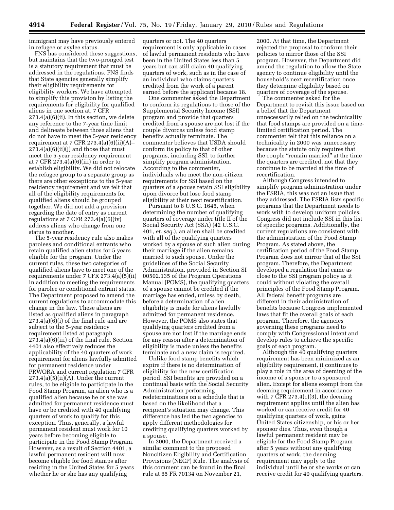immigrant may have previously entered in refugee or asylee status.

FNS has considered these suggestions, but maintains that the two-pronged test is a statutory requirement that must be addressed in the regulations. FNS finds that State agencies generally simplify their eligibility requirements for eligibility workers. We have attempted to simplify this provision by listing the requirements for eligibility for qualified aliens in one section at, 7 CFR 273.4(a)(6)(ii). In this section, we delete any reference to the 7-year time limit and delineate between those aliens that do not have to meet the 5-year residency requirement at 7 CFR  $273.4(a)(6)(ii)(A)$  $273.4(a)(6)(ii)(J)$  and those that must meet the 5-year residency requirement at 7 CFR 273.4(a)(6)(iii) in order to establish eligibility. We did not relocate the refugee group to a separate group as there are other exceptions to the 5-year residency requirement and we felt that all of the eligibility requirements for qualified aliens should be grouped together. We did not add a provision regarding the date of entry as current regulations at 7 CFR  $273.4(a)(6)(iv)$ address aliens who change from one status to another.

The 5-year residency rule also makes parolees and conditional entrants who retain qualified alien status for 5 years eligible for the program. Under the current rules, these two categories of qualified aliens have to meet one of the requirements under 7 CFR 273.4(a)(5)(ii) in addition to meeting the requirements for parolee or conditional entrant status. The Department proposed to amend the current regulations to accommodate this change in the law. These aliens are listed as qualified aliens in paragraph 273.4(a)(6)(i) of the final rule and are subject to the 5-year residency requirement listed at paragraph 273.4(a)(6)(iii) of the final rule. Section 4401 also effectively reduces the applicability of the 40 quarters of work requirement for aliens lawfully admitted for permanent residence under PRWORA and current regulation 7 CFR  $273.4(a)(5)(ii)(A)$ . Under the current rules, to be eligible to participate in the Food Stamp Program, an alien who is a qualified alien because he or she was admitted for permanent residence must have or be credited with 40 qualifying quarters of work to qualify for this exception. Thus, generally, a lawful permanent resident must work for 10 years before becoming eligible to participate in the Food Stamp Program. However, as a result of Section 4401, a lawful permanent resident will now become eligible for food stamps after residing in the United States for 5 years whether he or she has any qualifying

quarters or not. The 40 quarters requirement is only applicable in cases of lawful permanent residents who have been in the United States less than 5 years but can still claim 40 qualifying quarters of work, such as in the case of an individual who claims quarters credited from the work of a parent earned before the applicant became 18.

One commenter asked the Department to conform its regulations to those of the Supplemental Security Income (SSI) program and provide that quarters credited from a spouse are not lost if the couple divorces unless food stamp benefits actually terminate. The commenter believes that USDA should conform its policy to that of other programs, including SSI, to further simplify program administration. According to the commenter, individuals who meet the non-citizen requirements for SSI based on the quarters of a spouse retain SSI eligibility upon divorce but lose food stamp eligibility at their next recertification.

Pursuant to 8 U.S.C. 1645, when determining the number of qualifying quarters of coverage under title II of the Social Security Act (SSA) (42 U.S.C. 401, *et. seq.*), an alien shall be credited with all of the qualifying quarters worked by a spouse of such alien during their marriage if the alien remains married to such spouse. Under the guidelines of the Social Security Administration, provided in Section SI 00502.135 of the Program Operations Manual (POMS), the qualifying quarters of a spouse cannot be credited if the marriage has ended, unless by death, before a determination of alien eligibility is made for aliens lawfully admitted for permanent residence. However, the POMS also states that qualifying quarters credited from a spouse are not lost if the marriage ends for any reason after a determination of eligibility is made unless the benefits terminate and a new claim is required.

Unlike food stamp benefits which expire if there is no determination of eligibility for the new certification period, SSI benefits are provided on a continual basis with the Social Security Administration performing redeterminations on a schedule that is based on the likelihood that a recipient's situation may change. This difference has led the two agencies to apply different methodologies for crediting qualifying quarters worked by a spouse.

In 2000, the Department received a similar comment to the proposed Noncitizen Eligibility and Certification Provisions (NECP) Rule. The analysis of this comment can be found in the final rule at 65 FR 70134 on November 21,

2000. At that time, the Department rejected the proposal to conform their policies to mirror those of the SSI program. However, the Department did amend the regulation to allow the State agency to continue eligibility until the household's next recertification once they determine eligibility based on quarters of coverage of the spouse.

The commenter asked for the Department to revisit this issue based on a belief that the Department unnecessarily relied on the technicality that food stamps are provided on a timelimited certification period. The commenter felt that this reliance on a technicality in 2000 was unnecessary because the statute only requires that the couple "remain married" at the time the quarters are credited, not that they continue to be married at the time of recertification.

Although Congress intended to simplify program administration under the FSRIA, this was not an issue that they addressed. The FSRIA lists specific programs that the Department needs to work with to develop uniform policies. Congress did not include SSI in this list of specific programs. Additionally, the current regulations are consistent with the administration of the Food Stamp Program. As stated above, the certification period of the Food Stamp Program does not mirror that of the SSI program. Therefore, the Department developed a regulation that came as close to the SSI program policy as it could without violating the overall principles of the Food Stamp Program. All federal benefit programs are different in their administration of benefits because Congress implemented laws that fit the overall goals of each program. Therefore, the agencies governing these programs need to comply with Congressional intent and develop rules to achieve the specific goals of each program.

Although the 40 qualifying quarters requirement has been minimized as an eligibility requirement, it continues to play a role in the area of deeming of the income of a sponsor to a sponsored alien. Except for aliens exempt from the deeming requirement in accordance with 7 CFR 273.4(c)(3), the deeming requirement applies until the alien has worked or can receive credit for 40 qualifying quarters of work, gains United States citizenship, or his or her sponsor dies. Thus, even though a lawful permanent resident may be eligible for the Food Stamp Program after 5 years without any qualifying quarters of work, the deeming requirement may apply to the individual until he or she works or can receive credit for 40 qualifying quarters.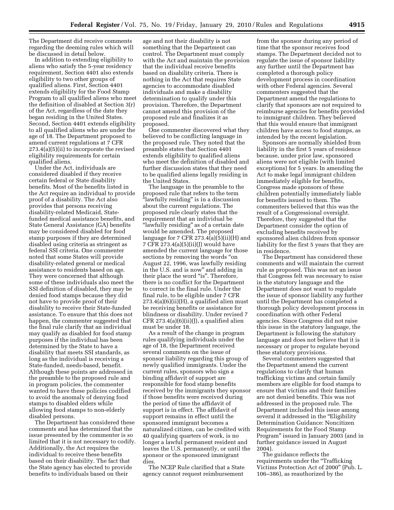The Department did receive comments regarding the deeming rules which will be discussed in detail below.

In addition to extending eligibility to aliens who satisfy the 5-year residency requirement, Section 4401 also extends eligibility to two other groups of qualified aliens. First, Section 4401 extends eligibility for the Food Stamp Program to all qualified aliens who meet the definition of disabled at Section 3(r) of the Act, regardless of the date they began residing in the United States. Second, Section 4401 extends eligibility to all qualified aliens who are under the age of 18. The Department proposed to amend current regulations at 7 CFR 273.4(a)(5)(ii) to incorporate the revised eligibility requirements for certain qualified aliens.

Under the Act, individuals are considered disabled if they receive certain federal or State disability benefits. Most of the benefits listed in the Act require an individual to provide proof of a disability. The Act also provides that persons receiving disability-related Medicaid, Statefunded medical assistance benefits, and State General Assistance (GA) benefits may be considered disabled for food stamp purposes if they are determined disabled using criteria as stringent as federal SSI criteria. One commenter noted that some States will provide disability-related general or medical assistance to residents based on age. They were concerned that although some of these individuals also meet the SSI definition of disabled, they may be denied food stamps because they did not have to provide proof of their disability to receive their State-funded assistance. To ensure that this does not happen, the commenter suggested that the final rule clarify that an individual may qualify as disabled for food stamp purposes if the individual has been determined by the State to have a disability that meets SSI standards, as long as the individual is receiving a State-funded, needs-based, benefit. Although these points are addressed in the preamble to the proposed rule and in program policies, the commenter wanted to have these policies codified to avoid the anomaly of denying food stamps to disabled elders while allowing food stamps to non-elderly disabled persons.

The Department has considered these comments and has determined that the issue presented by the commenter is so limited that it is not necessary to codify. Additionally, the Act requires the individual to receive these benefits based on their disability. The fact that the State agency has elected to provide benefits to individuals based on their

age and not their disability is not something that the Department can control. The Department must comply with the Act and maintain the provision that the individual receive benefits based on disability criteria. There is nothing in the Act that requires State agencies to accommodate disabled individuals and make a disability determination to qualify under this provision. Therefore, the Department cannot amend this provision of the proposed rule and finalizes it as proposed.

One commenter discovered what they believed to be conflicting language in the proposed rule. They noted that the preamble states that Section 4401 extends eligibility to qualified aliens who meet the definition of disabled and further discussion states that they need to be qualified aliens legally residing in the United States.

The language in the preamble to the proposed rule that refers to the term ''lawfully residing'' is in a discussion about the current regulations. The proposed rule clearly states that the requirement that an individual be ''lawfully residing'' as of a certain date would be amended. The proposed language for 7 CFR  $273.4(a)(5)(ii)(H)$  and 7 CFR 273.4(a)(5)(ii)(J) would have amended the current language for those sections by removing the words "on August 22, 1996, was lawfully residing in the U.S. and is now'' and adding in their place the word "is". Therefore, there is no conflict for the Department to correct in the final rule. Under the final rule, to be eligible under 7 CFR 273.4(a)(6)(ii)(H), a qualified alien must be receiving benefits or assistance for blindness or disability. Under revised 7 CFR  $273.4(a)(6)(ii)(J)$ , a qualified alien must be under 18.

As a result of the change in program rules qualifying individuals under the age of 18, the Department received several comments on the issue of sponsor liability regarding this group of newly qualified immigrants. Under the current rules, sponsors who sign a binding affidavit of support are responsible for food stamp benefits received by the immigrants they sponsor if those benefits were received during the period of time the affidavit of support is in effect. The affidavit of support remains in effect until the sponsored immigrant becomes a naturalized citizen, can be credited with 40 qualifying quarters of work, is no longer a lawful permanent resident and leaves the U.S. permanently, or until the sponsor or the sponsored immigrant dies.

The NCEP Rule clarified that a State agency cannot request reimbursement

from the sponsor during any period of time that the sponsor receives food stamps. The Department decided not to regulate the issue of sponsor liability any further until the Department has completed a thorough policy development process in coordination with other Federal agencies. Several commenters suggested that the Department amend the regulations to clarify that sponsors are not required to reimburse agencies for benefits provided to immigrant children. They believed that this would ensure that immigrant children have access to food stamps, as intended by the recent legislation.

Sponsors are normally shielded from liability in the first 5 years of residence because, under prior law, sponsored aliens were not eligible (with limited exceptions) for 5 years. In amending the Act to make legal immigrant children immediately eligible for benefits, Congress made sponsors of these children potentially immediately liable for benefits issued to them. The commenters believed that this was the result of a Congressional oversight. Therefore, they suggested that the Department consider the option of excluding benefits received by sponsored alien children from sponsor liability for the first 5 years that they are in residence.

The Department has considered these comments and will maintain the current rule as proposed. This was not an issue that Congress felt was necessary to raise in the statutory language and the Department does not want to regulate the issue of sponsor liability any further until the Department has completed a thorough policy development process in coordination with other Federal agencies. Since Congress did not raise this issue in the statutory language, the Department is following the statutory language and does not believe that it is necessary or proper to regulate beyond these statutory provisions.

Several commenters suggested that the Department amend the current regulations to clarify that human trafficking victims and certain family members are eligible for food stamps to ensure that victims and their families are not denied benefits. This was not addressed in the proposed rule. The Department included this issue among several it addressed in the "Eligibility" Determination Guidance: Noncitizen Requirements for the Food Stamp Program'' issued in January 2003 (and in further guidance issued in August 2004).

The guidance reflects the requirements under the ''Trafficking Victims Protection Act of 2000'' (Pub. L. 106–386), as reauthorized by the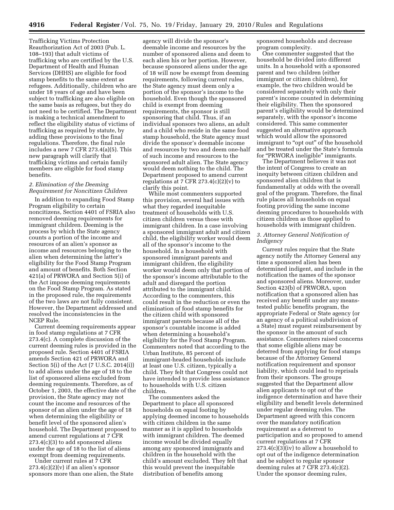Trafficking Victims Protection Reauthorization Act of 2003 (Pub. L. 108–193) that adult victims of trafficking who are certified by the U.S. Department of Health and Human Services (DHHS) are eligible for food stamp benefits to the same extent as refugees. Additionally, children who are under 18 years of age and have been subject to trafficking are also eligible on the same basis as refugees, but they do not need to be certified. The Department is making a technical amendment to reflect the eligibility status of victims of trafficking as required by statute, by adding these provisions to the final regulations. Therefore, the final rule includes a new 7 CFR 273.4(a)(5). This new paragraph will clarify that trafficking victims and certain family members are eligible for food stamp benefits.

#### *2. Elimination of the Deeming Requirement for Noncitizen Children*

In addition to expanding Food Stamp Program eligibility to certain noncitizens, Section 4401 of FSRIA also removed deeming requirements for immigrant children. Deeming is the process by which the State agency counts a portion of the income and resources of an alien's sponsor as income and resources belonging to the alien when determining the latter's eligibility for the Food Stamp Program and amount of benefits. Both Section 421(a) of PRWORA and Section 5(i) of the Act impose deeming requirements on the Food Stamp Program. As stated in the proposed rule, the requirements of the two laws are not fully consistent. However, the Department addressed and resolved the inconsistencies in the NCEP Rule.

Current deeming requirements appear in food stamp regulations at 7 CFR 273.4(c). A complete discussion of the current deeming rules is provided in the proposed rule. Section 4401 of FSRIA amends Section 421 of PRWORA and Section 5(i) of the Act (7 U.S.C. 2014(i)) to add aliens under the age of 18 to the list of sponsored aliens excluded from deeming requirements. Therefore, as of October 1, 2003, the effective date of the provision, the State agency may not count the income and resources of the sponsor of an alien under the age of 18 when determining the eligibility or benefit level of the sponsored alien's household. The Department proposed to amend current regulations at 7 CFR 273.4(c)(3) to add sponsored aliens under the age of 18 to the list of aliens exempt from deeming requirements.

Under current rules at 7 CFR  $273.4(c)(2)(v)$  if an alien's sponsor sponsors more than one alien, the State

agency will divide the sponsor's deemable income and resources by the number of sponsored aliens and deem to each alien his or her portion. However, because sponsored aliens under the age of 18 will now be exempt from deeming requirements, following current rules, the State agency must deem only a portion of the sponsor's income to the household. Even though the sponsored child is exempt from deeming requirements, the sponsor is still sponsoring that child. Thus, if an individual sponsors two aliens, an adult and a child who reside in the same food stamp household, the State agency must divide the sponsor's deemable income and resources by two and deem one-half of such income and resources to the sponsored adult alien. The State agency would deem nothing to the child. The Department proposed to amend current regulations at 7 CFR  $273.4(c)(2)(v)$  to clarify this point.

While most commenters supported this provision, several had issues with what they regarded inequitable treatment of households with U.S. citizen children versus those with immigrant children. In a case involving a sponsored immigrant adult and citizen child, the eligibility worker would deem all of the sponsor's income to the household. In a household with sponsored immigrant parents and immigrant children, the eligibility worker would deem only that portion of the sponsor's income attributable to the adult and disregard the portion attributed to the immigrant child. According to the commenters, this could result in the reduction or even the elimination of food stamp benefits for the citizen child with sponsored immigrant parents because all of the sponsor's countable income is added when determining a household's eligibility for the Food Stamp Program. Commenters noted that according to the Urban Institute, 85 percent of immigrant-headed households include at least one U.S. citizen, typically a child. They felt that Congress could not have intended to provide less assistance to households with U.S. citizen children.

The commenters asked the Department to place all sponsored households on equal footing by applying deemed income to households with citizen children in the same manner as it is applied to households with immigrant children. The deemed income would be divided equally among any sponsored immigrants and children in the household with the child's amount excluded. They felt that this would prevent the inequitable distribution of benefits among

sponsored households and decrease program complexity.

One commenter suggested that the household be divided into different units. In a household with a sponsored parent and two children (either immigrant or citizen children), for example, the two children would be considered separately with only their parent's income counted in determining their eligibility. Then the sponsored parent's eligibility would be determined separately, with the sponsor's income considered. This same commenter suggested an alternative approach which would allow the sponsored immigrant to "opt out" of the household and be treated under the State's formula for "PRWORA ineligible" immigrants.

The Department believes it was not the intent of Congress to create an inequity between citizen children and sponsored alien children that is fundamentally at odds with the overall goal of the program. Therefore, the final rule places all households on equal footing providing the same income deeming procedures to households with citizen children as those applied to households with immigrant children.

#### *3. Attorney General Notification of Indigency*

Current rules require that the State agency notify the Attorney General any time a sponsored alien has been determined indigent, and include in the notification the names of the sponsor and sponsored aliens. Moreover, under Section 423(b) of PRWORA, upon notification that a sponsored alien has received any benefit under any meanstested public benefits program, the appropriate Federal or State agency (or an agency of a political subdivision of a State) must request reimbursement by the sponsor in the amount of such assistance. Commenters raised concerns that some eligible aliens may be deterred from applying for food stamps because of the Attorney General notification requirement and sponsor liability, which could lead to reprisals from their sponsors. The groups suggested that the Department allow alien applicants to opt out of the indigence determination and have their eligibility and benefit levels determined under regular deeming rules. The Department agreed with this concern over the mandatory notification requirement as a deterrent to participation and so proposed to amend current regulations at 7 CFR 273.4(c)(3)(iv) to allow a household to opt out of the indigence determination and be subject to regular sponsor deeming rules at 7 CFR 273.4(c)(2). Under the sponsor deeming rules,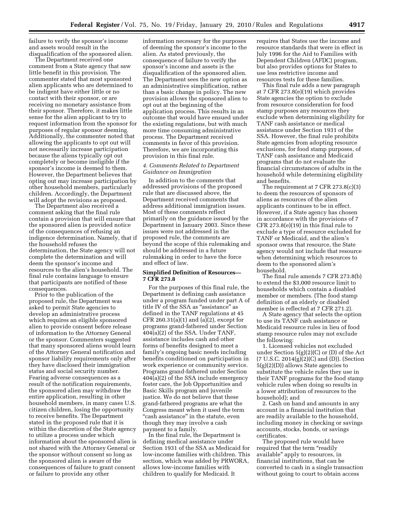failure to verify the sponsor's income and assets would result in the disqualification of the sponsored alien.

The Department received one comment from a State agency that saw little benefit in this provision. The commenter stated that most sponsored alien applicants who are determined to be indigent have either little or no contact with their sponsor, or are receiving no monetary assistance from their sponsor. Therefore, it makes little sense for the alien applicant to try to request information from the sponsor for purposes of regular sponsor deeming. Additionally, the commenter noted that allowing the applicants to opt out will not necessarily increase participation because the aliens typically opt out completely or become ineligible if the sponsor's income is deemed to them. However, the Department believes that opting out may increase participation by other household members, particularly children. Accordingly, the Department will adopt the revisions as proposed.

The Department also received a comment asking that the final rule contain a provision that will ensure that the sponsored alien is provided notice of the consequences of refusing an indigence determination. Namely, that if the household refuses the determination, the State agency will not complete the determination and will deem the sponsor's income and resources to the alien's household. The final rule contains language to ensure that participants are notified of these consequences.

Prior to the publication of the proposed rule, the Department was asked to permit State agencies to develop an administrative process which requires an eligible sponsored alien to provide consent before release of information to the Attorney General or the sponsor. Commenters suggested that many sponsored aliens would learn of the Attorney General notification and sponsor liability requirements only after they have disclosed their immigration status and social security number. Fearing adverse consequences as a result of the notification requirements, the sponsored alien may withdraw the entire application, resulting in other household members, in many cases U.S. citizen children, losing the opportunity to receive benefits. The Department stated in the proposed rule that it is within the discretion of the State agency to utilize a process under which information about the sponsored alien is not shared with the Attorney General or the sponsor without consent so long as the sponsored alien is aware of the consequences of failure to grant consent or failure to provide any other

information necessary for the purposes of deeming the sponsor's income to the alien. As stated previously, the consequence of failure to verify the sponsor's income and assets is the disqualification of the sponsored alien. The Department sees the new option as an administrative simplification, rather than a basic change in policy. The new provision allows the sponsored alien to opt out at the beginning of the application process. This results in an outcome that would have ensued under the existing regulations, but with much more time consuming administrative process. The Department received comments in favor of this provision. Therefore, we are incorporating this provision in this final rule.

#### *4. Comments Related to Department Guidance on Immigration*

In addition to the comments that addressed provisions of the proposed rule that are discussed above, the Department received comments that address additional immigration issues. Most of these comments reflect primarily on the guidance issued by the Department in January 2003. Since these issues were not addressed in the proposed rule, the comments are beyond the scope of this rulemaking and should be addressed in a future rulemaking in order to have the force and effect of law.

#### **Simplified Definition of Resources— 7 CFR 273.8**

For the purposes of this final rule, the Department is defining cash assistance under a program funded under part A of title IV of the SSA as ''assistance'' as defined in the TANF regulations at 45 CFR 260.31(a)(1) and (a)(2), except for programs grand-fathered under Section 404(a)(2) of the SSA. Under TANF, assistance includes cash and other forms of benefits designed to meet a family's ongoing basic needs including benefits conditioned on participation in work experience or community service. Programs grand-fathered under Section 404(a)(2) of the SSA include emergency foster care, the Job Opportunities and Basic Skills program and juvenile justice. We do not believe that these grand-fathered programs are what the Congress meant when it used the term "cash assistance" in the statute, even though they may involve a cash payment to a family.

In the final rule, the Department is defining medical assistance under Section 1931 of the SSA as Medicaid for low-income families with children. This section, which was added by PRWORA, allows low-income families with children to qualify for Medicaid. It

requires that States use the income and resource standards that were in effect in July 1996 for the Aid to Families with Dependent Children (AFDC) program, but also provides options for States to use less restrictive income and resources tests for these families.

This final rule adds a new paragraph at 7 CFR 273.8(e)(19) which provides State agencies the option to exclude from resource consideration for food stamp purposes any resources they exclude when determining eligibility for TANF cash assistance or medical assistance under Section 1931 of the SSA. However, the final rule prohibits State agencies from adopting resource exclusions, for food stamp purposes, of TANF cash assistance and Medicaid programs that do not evaluate the financial circumstances of adults in the household while determining eligibility and benefits.

The requirement at 7 CFR 273.8(c)(3) to deem the resources of sponsors of aliens as resources of the alien applicants continues to be in effect. However, if a State agency has chosen in accordance with the provisions of 7 CFR 273.8(e)(19) in this final rule to exclude a type of resource excluded for TANF or Medicaid, and the alien's sponsor owns that resource, the State agency would not include that resource when determining which resources to deem to the sponsored alien's household.

The final rule amends 7 CFR 273.8(b) to extend the \$3,000 resource limit to households which contain a disabled member or members. (The food stamp definition of an elderly or disabled member is reflected at 7 CFR 271.2).

A State agency that selects the option to use its TANF cash assistance or Medicaid resource rules in lieu of food stamp resource rules may not exclude the following:

1. Licensed vehicles not excluded under Section 5(g)(2)(C) or (D) of the Act  $(7 \text{ U.S.C. } 2014(g)(2)(C) \text{ and } (D)).$  (Section  $5(g)(2)(D)$ ) allows State agencies to substitute the vehicle rules they use in their TANF programs for the food stamp vehicle rules when doing so results in a lower attribution of resources to the household); and

2. Cash on hand and amounts in any account in a financial institution that are readily available to the household, including money in checking or savings accounts, stocks, bonds, or savings certificates.

The proposed rule would have required that the term "readily" available'' apply to resources, in financial institutions, that can be converted to cash in a single transaction without going to court to obtain access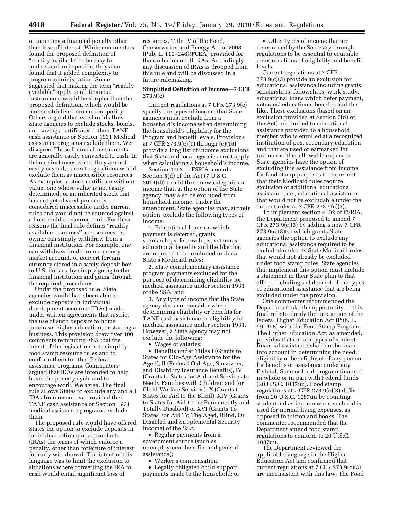or incurring a financial penalty other than loss of interest. While commenters found the proposed definition of "readily available" to be easy to understand and specific, they also found that it added complexity to program administration. Some suggested that making the term ''readily available'' apply to all financial instruments would be simpler than the proposed definition, which would be more restrictive than current policy. Others argued that we should allow State agencies to exclude stocks, bonds, and savings certificates if their TANF cash assistance or Section 1931 Medical assistance programs exclude them. We disagree. These financial instruments are generally easily converted to cash. In the rare instances where they are not easily cashed, current regulations would exclude them as inaccessible resources. As examples, a stock certificate without value, one whose value is not easily determined, or an inherited stock that has not yet cleared probate is considered inaccessible under current rules and would not be counted against a household's resource limit. For these reasons the final rule defines "readily available resources'' as resources the owner can simply withdraw from a financial institution. For example, one can withdraw funds from a money market account, or convert foreign currency stored in a safety deposit box to U.S. dollars, by simply going to the financial institution and going through the required procedures.

Under the proposed rule, State agencies would have been able to exclude deposits in individual development accounts (IDAs) made under written agreements that restrict the use of such deposits to home purchase, higher education, or starting a business. This provision drew over 100 comments reminding FNS that the intent of the legislation is to simplify food stamp resource rules and to conform them to other Federal assistance programs. Commenters argued that IDAs are intended to help break the poverty cycle and to encourage work. We agree. The final rule allows States to exclude any and all IDAs from resources, provided their TANF cash assistance or Section 1931 medical assistance programs exclude them.

The proposed rule would have offered States the option to exclude deposits in individual retirement accountants (IRAs) the terms of which enforce a penalty, other than forfeiture of interest, for early withdrawal. The intent of this language was to limit the exclusion to situations where converting the IRA to cash would entail significant loss of

resources. Title IV of the Food, Conservation and Energy Act of 2008 (Pub. L. 110–246)(FCEA) provided for the exclusion of all IRAs. Accordingly, any discussion of IRAs is dropped from this rule and will be discussed in a future rulemaking.

#### **Simplified Definition of Income—7 CFR 273.9(c)**

Current regulations at 7 CFR 273.9(c) specify the types of income that State agencies must exclude from a household's income when determining the household's eligibility for the Program and benefit levels. Provisions at 7 CFR 273.9(c)(1) through (c)(16) provide a long list of income exclusions that State and local agencies must apply when calculating a household's income.

Section 4102 of FSRIA amends Section 5(d) of the Act (7 U.S.C. 2014(d)) to add three new categories of income that, at the option of the State agency, may also be excluded from household income. Under the amendment, State agencies may, at their option, exclude the following types of income:

1. Educational loans on which payment is deferred, grants, scholarships, fellowships, veteran's educational benefits and the like that are required to be excluded under a State's Medicaid rules;

2. State complementary assistance program payments excluded for the purpose of determining eligibility for medical assistance under section 1931 of the SSA; and

3. Any type of income that the State agency does not consider when determining eligibility or benefits for TANF cash assistance or eligibility for medical assistance under section 1931. However, a State agency may not exclude the following:

• Wages or salaries;

• Benefits under Titles I (Grants to States for Old-Age Assistance for the Aged), II (Federal Old Age, Survivors, and Disability Insurance Benefits), IV (Grants to States for Aid and Services to Needy Families with Children and for Child-Welfare Services), X (Grants to States for Aid to the Blind), XIV (Grants to States for Aid to the Permanently and Totally Disabled) or XVI (Grants To States For Aid To The Aged, Blind, Or Disabled and Supplemental Security Income) of the SSA;

• Regular payments from a government source (such as unemployment benefits and general assistance);

• Worker's compensation;

• Legally obligated child support payments made to the household; or

• Other types of income that are determined by the Secretary through regulations to be essential to equitable determinations of eligibility and benefit levels.

Current regulations at 7 CFR 273.9(c)(3) provide an exclusion for educational assistance including grants, scholarships, fellowships, work-study, educational loans which defer payment, veterans' educational benefits and the like. These exclusions (based on an exclusion provided at Section 5(d) of the Act) are limited to educational assistance provided to a household member who is enrolled at a recognized institution of post-secondary education and that are used or earmarked for tuition or other allowable expenses. State agencies have the option of excluding this assistance from income for food stamp purposes to the extent that their Medicaid rules require exclusion of additional educational assistance, *i.e.,* educational assistance that would not be excludable under the current rules at 7 CFR  $273.9(c)(3)$ .

To implement section 4102 of FSRIA, the Department proposed to amend 7 CFR  $273.9(c)(3)$  by adding a new 7 CFR  $273.9(c)(3)(v)$  which grants State agencies the option to exclude any educational assistance required to be excluded under its State Medicaid rules that would not already be excluded under food stamp rules. State agencies that implement this option must include a statement in their State plan to that effect, including a statement of the types of educational assistance that are being excluded under the provision.

One commenter recommended the Department take the opportunity in this final rule to clarify the interaction of the federal Higher Education Act (Pub. L. 99–498) with the Food Stamp Program. The Higher Education Act, as amended, provides that certain types of student financial assistance shall not be taken into account in determining the need, eligibility or benefit level of any person for benefits or assistance under any Federal, State or local program financed in whole or in part with Federal funds (20 U.S.C. 1087uu). Food stamp regulations at 7 CFR 273.9(c)(3) differ from 20 U.S.C. 1087uu by counting student aid as income when such aid is used for normal living expenses, as opposed to tuition and books. The commenter recommended that the Department amend food stamp regulations to conform to 20 U.S.C. 1087uu.

The Department reviewed the applicable language in the Higher Education Act and confirmed that current regulations at 7 CFR 273.9(c)(3) are inconsistent with this law. The Food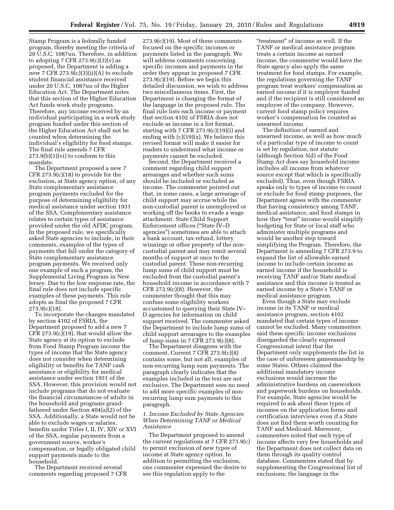Stamp Program is a federally funded program, thereby meeting the criteria of 20 U.S.C. 1087uu. Therefore, in addition to adopting 7 CFR  $273.9(c)(3)(v)$  as proposed, the Department is adding a new 7 CFR  $273.9(c)(3)(ii)(A)$  to exclude student financial assistance received under 20 U.S.C. 1087uu of the Higher Education Act. The Department notes that this section of the Higher Education Act funds work study programs. Therefore, any income received by an individual participating in a work study program funded under this section of the Higher Education Act shall not be counted when determining the individual's eligibility for food stamps. The final rule amends 7 CFR  $273.9(b)(1)(vi)$  to conform to this mandate.

The Department proposed a new 7 CFR 273.9(c)(18) to provide for the exclusion, at State agency option, of any State complementary assistance program payments excluded for the purpose of determining eligibility for medical assistance under section 1931 of the SSA. Complementary assistance relates to certain types of assistance provided under the old AFDC program. In the proposed rule, we specifically asked State agencies to include, in their comments, examples of the types of payments that fall under the category of State complementary assistance program payments. We received only one example of such a program, the Supplemental Living Program in New Jersey. Due to the low response rate, the final rule does not include specific examples of these payments. This rule adopts as final the proposed 7 CFR 273.9(c)(18).

To incorporate the changes mandated by section 4102 of FSRIA, the Department proposed to add a new 7 CFR 273.9 $(c)(19)$ , that would allow the State agency at its option to exclude from Food Stamp Program income the types of income that the State agency does not consider when determining eligibility or benefits for TANF cash assistance or eligibility for medical assistance under section 1931 of the SSA. However, this provision would not include programs that do not evaluate the financial circumstances of adults in the household and programs grandfathered under Section 404(a)(2) of the SSA. Additionally, a State would not be able to exclude wages or salaries, benefits under Titles I, II, IV, XIV or XVI of the SSA, regular payments from a government source, worker's compensation, or legally obligated child support payments made to the household.

The Department received several comments regarding proposed 7 CFR

273.9(c)(19). Most of these comments focused on the specific incomes or payments listed in the paragraph. We will address comments concerning specific incomes and payments in the order they appear in proposed 7 CFR 273.9(c)(19). Before we begin this detailed discussion, we wish to address two miscellaneous items. First, the Department is changing the format of the language in the proposed rule. The final rule lists each income or payment that section 4102 of FSRIA does not exclude as income in a list format, starting with 7 CFR  $273.9(c)(19)(i)$  and ending with  $(c)(19)(x)$ . We believe this revised format will make it easier for readers to understand what income or payments cannot be excluded.

Second, the Department received a comment regarding child support arrearages and whether such sums should be included or excluded as income. The commenter pointed out that, in some cases, a large arrearage of child support may accrue while the non-custodial parent is unemployed or working off the books to evade a wage attachment. State Child Support Enforcement offices (''State IV–D agencies'') sometimes are able to attach a bank account, tax refund, lottery winnings or other property of the noncustodial parent and may remit several months of support at once to the custodial parent. These non-recurring lump sums of child support must be excluded from the custodial parent's household income in accordance with 7  $CFR 273.9(c)(8)$ . However, the commenter thought that this may confuse some eligibility workers accustomed to querying their State IV– D agencies for information on child support received. The commenter asked the Department to include lump sums of child support arrearages to the examples of lump sums in 7 CFR 273.9(c)(8).

The Department disagrees with the comment. Current 7 CFR 273.9(c)(8) contains some, but not all, examples of non-recurring lump sum payments. The paragraph clearly indicates that the examples included in the text are not exclusive. The Department sees no need to add more specific examples of nonrecurring lump sum payments to this paragraph.

#### *1. Income Excluded by State Agencies When Determining TANF or Medical Assistance*

The Department proposed to amend the current regulations at 7 CFR 273.9(c) to permit exclusion of new types of income at State agency option. In addition to permitting the exclusion, one commenter expressed the desire to see this regulation apply to the

"treatment" of income as well. If the TANF or medical assistance program treats a certain income as earned income, the commenter would have the State agency also apply the same treatment for food stamps. For example, the regulations governing the TANF program treat workers' compensation as earned income if it is employer funded and if the recipient is still considered an employee of the company. However, current food stamp policy requires worker's compensation be counted as unearned income.

The definition of earned and unearned income, as well as how much of a particular type of income to count is set by regulation, not statute (although Section 5(d) of the Food Stamp Act does say household income includes all income from whatever source except that which is specifically excluded). Thus, even though FSRIA speaks only to types of income to count or exclude for food stamp purposes, the Department agrees with the commenter that having consistency among TANF, medical assistance, and food stamps in how they "treat" income would simplify budgeting for State or local staff who administer multiple programs and would be another step toward simplifying the Program. Therefore, the Department is amending 7 CFR 273.9 to expand the list of allowable earned income to include certain income as earned income if the household is receiving TANF and/or State medical assistance and this income is treated as earned income by a State's TANF or medical assistance program.

Even though a State may exclude income in its TANF or medical assistance program, section 4102 mandated that certain types of income cannot be excluded. Many commenters said these specific income exclusions disregarded the clearly expressed Congressional intent that the Department only supplements the list in the case of unforeseen gamesmanship by some States. Others claimed the additional mandatory income exclusions would increase the administrative burdens on caseworkers and paperwork burdens on households. For example, State agencies would be required to ask about these types of incomes on the application forms and certification interviews even if a State does not find them worth counting for TANF and Medicaid. Moreover, commenters noted that each type of income affects very few households and the Department does not collect data on them through its quality control database. Commenters stated that by supplementing the Congressional list of exclusions, the language in the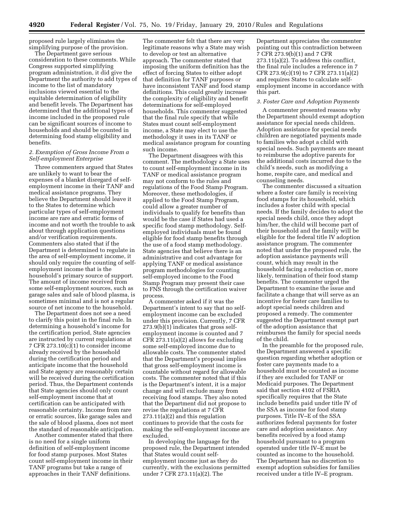proposed rule largely eliminates the simplifying purpose of the provision.

The Department gave serious consideration to these comments. While Congress supported simplifying program administration, it did give the Department the authority to add types of income to the list of mandatory inclusions viewed essential to the equitable determination of eligibility and benefit levels. The Department has determined that the additional types of income included in the proposed rule can be significant sources of income to households and should be counted in determining food stamp eligibility and benefits.

#### *2. Exemption of Gross Income From a Self-employment Enterprise*

Three commenters argued that States are unlikely to want to bear the expenses of a blanket disregard of selfemployment income in their TANF and medical assistance programs. They believe the Department should leave it to the States to determine which particular types of self-employment income are rare and erratic forms of income and not worth the trouble to ask about through application questions and/or verification requirements. Commenters also stated that if the Department is determined to regulate in the area of self-employment income, it should only require the counting of selfemployment income that is the household's primary source of support. The amount of income received from some self-employment sources, such as garage sales and sale of blood plasma, is sometimes minimal and is not a regular source of net income to the household.

The Department does not see a need to clarify this point in the final rule. In determining a household's income for the certification period, State agencies are instructed by current regulations at 7 CFR 273.10(c)(1) to consider income already received by the household during the certification period and anticipate income that the household and State agency are reasonably certain will be received during the certification period. Thus, the Department contends that State agencies should only count self-employment income that at certification can be anticipated with reasonable certainty. Income from rare or erratic sources, like garage sales and the sale of blood plasma, does not meet the standard of reasonable anticipation. Another commenter stated that there

is no need for a single uniform definition of self-employment income for food stamp purposes. Most States count self-employment income in their TANF programs but take a range of approaches in their TANF definitions.

The commenter felt that there are very legitimate reasons why a State may wish to develop or test an alternative approach. The commenter stated that imposing the uniform definition has the effect of forcing States to either adopt that definition for TANF purposes or have inconsistent TANF and food stamp definitions. This could greatly increase the complexity of eligibility and benefit determinations for self-employed households. This commenter suggested that the final rule specify that while States must count self-employment income, a State may elect to use the methodology it uses in its TANF or medical assistance program for counting such income.

The Department disagrees with this comment. The methodology a State uses to count self-employment income in its TANF or medical assistance program may not conform to the rules and regulations of the Food Stamp Program. Moreover, these methodologies, if applied to the Food Stamp Program, could allow a greater number of individuals to qualify for benefits than would be the case if States had used a specific food stamp methodology. Selfemployed individuals must be found eligible for food stamp benefits through the use of a food stamp methodology. State agencies that believe there is an administrative and cost advantage for applying TANF or medical assistance program methodologies for counting self-employed income to the Food Stamp Program may present their case to FNS through the certification waiver process.

A commenter asked if it was the Department's intent to say that no selfemployment income can be excluded under this provision. Currently, 7 CFR 273.9(b)(1) indicates that gross selfemployment income is counted and 7 CFR 273.11(a)(2) allows for excluding some self-employed income due to allowable costs. The commenter stated that the Department's proposal implies that gross self-employment income is countable without regard for allowable costs. The commenter noted that if this is the Department's intent, it is a major change and will exclude many from receiving food stamps. They also noted that the Department did not propose to revise the regulations at 7 CFR 273.11(a)(2) and this regulation continues to provide that the costs for making the self-employment income are excluded.

In developing the language for the proposed rule, the Department intended that States would count selfemployment income just as they do currently, with the exclusions permitted under 7 CFR 273.11(a)(2). The

Department appreciates the commenter pointing out this contradiction between 7 CFR 273.9(b)(1) and 7 CFR 273.11(a)(2). To address this conflict, the final rule includes a reference in 7 CFR 273.9(c)(19) to 7 CFR 273.11(a)(2) and requires States to calculate selfemployment income in accordance with this part.

#### *3. Foster Care and Adoption Payments*

A commenter presented reasons why the Department should exempt adoption assistance for special needs children. Adoption assistance for special needs children are negotiated payments made to families who adopt a child with special needs. Such payments are meant to reimburse the adoptive parents for the additional costs incurred due to the child's needs, such as modifying a home, respite care, and medical and counseling needs.

The commenter discussed a situation where a foster care family is receiving food stamps for its household, which includes a foster child with special needs. If the family decides to adopt the special needs child, once they adopt him/her, the child will become part of their household and the family will be eligible for the federal title IV adoption assistance program. The commenter noted that under the proposed rule, the adoption assistance payments will count, which may result in the household facing a reduction or, more likely, termination of their food stamp benefits. The commenter urged the Department to examine the issue and facilitate a change that will serve as an incentive for foster care families to adopt special needs children and proposed a remedy. The commenter suggested the Department exempt part of the adoption assistance that reimburses the family for special needs of the child.

In the preamble for the proposed rule, the Department answered a specific question regarding whether adoption or foster care payments made to a household must be counted as income if they are excluded for TANF or Medicaid purposes. The Department said that section 4102 of FSRIA specifically requires that the State include benefits paid under title IV of the SSA as income for food stamp purposes. Title IV–E of the SSA authorizes federal payments for foster care and adoption assistance. Any benefits received by a food stamp household pursuant to a program operated under title IV–E must be counted as income to the household. The Department has no discretion to exempt adoption subsidies for families received under a title IV–E program.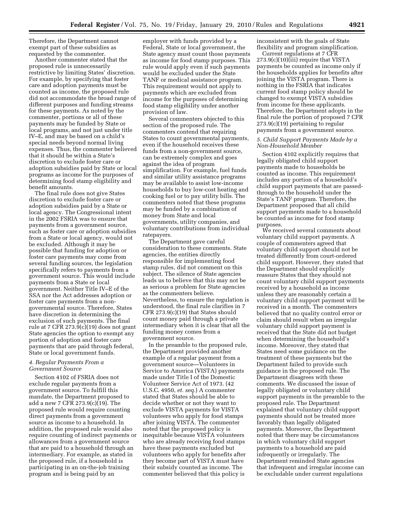Therefore, the Department cannot exempt part of these subsidies as requested by the commenter.

Another commenter stated that the proposed rule is unnecessarily restrictive by limiting States' discretion. For example, by specifying that foster care and adoption payments must be counted as income, the proposed rule did not accommodate the broad range of different purposes and funding streams for these payments. As noted by the commenter, portions or all of these payments may be funded by State or local programs, and not just under title IV–E, and may be based on a child's special needs beyond normal living expenses. Thus, the commenter believed that it should be within a State's discretion to exclude foster care or adoption subsidies paid by State or local programs as income for the purposes of determining food stamp eligibility and benefit amounts.

The final rule does not give States discretion to exclude foster care or adoption subsidies paid by a State or local agency. The Congressional intent in the 2002 FSRIA was to ensure that payments from a government source, such as foster care or adoption subsidies from a State or local agency, would not be excluded. Although it may be possible that funding for adoption or foster care payments may come from several funding sources, the legislation specifically refers to payments from a government source. This would include payments from a State or local government. Neither Title IV–E of the SSA nor the Act addresses adoption or foster care payments from a nongovernmental source. Therefore, States have discretion in determining the exclusion of such payments. The final rule at 7 CFR 273.9(c)(19) does not grant State agencies the option to exempt any portion of adoption and foster care payments that are paid through federal, State or local government funds.

#### *4. Regular Payments From a Government Source*

Section 4102 of FSRIA does not exclude regular payments from a government source. To fulfill this mandate, the Department proposed to add a new 7 CFR 273.9(c)(19). The proposed rule would require counting direct payments from a government source as income to a household. In addition, the proposed rule would also require counting of indirect payments or allowances from a government source that are paid to a household through an intermediary. For example, as stated in the proposed rule, if a household is participating in an on-the-job training program and is being paid by an

employer with funds provided by a Federal, State or local government, the State agency must count those payments as income for food stamp purposes. This rule would apply even if such payments would be excluded under the State TANF or medical assistance program. This requirement would not apply to payments which are excluded from income for the purposes of determining food stamp eligibility under another provision of law.

Several commenters objected to this section of the proposed rule. The commenters contend that requiring States to count governmental payments, even if the household receives these funds from a non-government source, can be extremely complex and goes against the idea of program simplification. For example, fuel funds and similar utility assistance programs may be available to assist low-income households to buy low-cost heating and cooking fuel or to pay utility bills. The commenters noted that these programs may be funded by a combination of money from State and local governments, utility companies, and voluntary contributions from individual ratepayers.

The Department gave careful consideration to these comments. State agencies, the entities directly responsible for implementing food stamp rules, did not comment on this subject. The silence of State agencies leads us to believe that this may not be as serious a problem for State agencies as the commenters believe. Nevertheless, to ensure the regulation is understood, the final rule clarifies in 7 CFR 273.9(c)(19) that States should count money paid through a private intermediary when it is clear that all the funding money comes from a government source.

In the preamble to the proposed rule, the Department provided another example of a regular payment from a government source—Volunteers in Service to America (VISTA) payments made under Title I of the Domestic Volunteer Service Act of 1973. (42 U.S.C. 4950, *et. seq.*) A commenter stated that States should be able to decide whether or not they want to exclude VISTA payments for VISTA volunteers who apply for food stamps after joining VISTA. The commenter noted that the proposed policy is inequitable because VISTA volunteers who are already receiving food stamps have these payments excluded but volunteers who apply for benefits after they become part of VISTA must have their subsidy counted as income. The commenter believed that this policy is

inconsistent with the goals of State flexibility and program simplification.

Current regulations at 7 CFR 273.9(c)(10)(iii) require that VISTA payments be counted as income only if the households applies for benefits after joining the VISTA program. There is nothing in the FSRIA that indicates current food stamp policy should be changed to exempt VISTA subsidies from income for these applicants. Therefore, the Department adopts in the final rule the portion of proposed 7 CFR 273.9(c)(19) pertaining to regular payments from a government source.

#### *5. Child Support Payments Made by a Non-Household Member*

Section 4102 explicitly requires that legally obligated child support payments made to households be counted as income. This requirement includes any portion of a household's child support payments that are passedthrough to the household under the State's TANF program. Therefore, the Department proposed that all child support payments made to a household be counted as income for food stamp purposes.

We received several comments about voluntary child support payments. A couple of commenters agreed that voluntary child support should not be treated differently from court-ordered child support. However, they stated that the Department should explicitly reassure States that they should not count voluntary child support payments received by a household as income unless they are reasonably certain a voluntary child support payment will be received in a month. The commenters believed that no quality control error or claim should result when an irregular voluntary child support payment is received that the State did not budget when determining the household's income. Moreover, they stated that States need some guidance on the treatment of these payments but the Department failed to provide such guidance in the proposed rule. The Department disagrees with these comments. We discussed the issue of legally obligated or voluntary child support payments in the preamble to the proposed rule. The Department explained that voluntary child support payments should not be treated more favorably than legally obligated payments. Moreover, the Department noted that there may be circumstances in which voluntary child support payments to a household are paid infrequently or irregularly. The Department reminded State agencies that infrequent and irregular income can be excludable under current regulations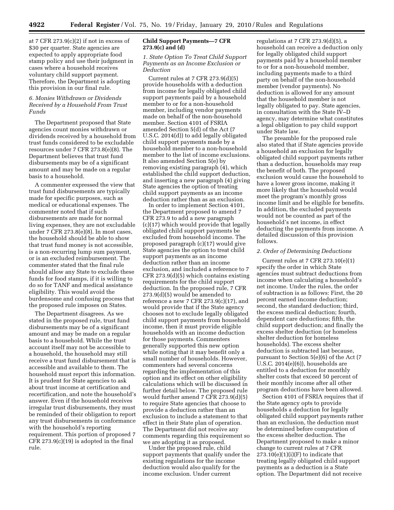at 7 CFR  $273.9(c)(2)$  if not in excess of \$30 per quarter. State agencies are expected to apply appropriate food stamp policy and use their judgment in cases where a household receives voluntary child support payment. Therefore, the Department is adopting this provision in our final rule.

#### *6. Monies Withdrawn or Dividends Received by a Household From Trust Funds*

The Department proposed that State agencies count monies withdrawn or dividends received by a household from trust funds considered to be excludable resources under 7 CFR 273.8(e)(8). The Department believes that trust fund disbursements may be of a significant amount and may be made on a regular basis to a household.

A commenter expressed the view that trust fund disbursements are typically made for specific purposes, such as medical or educational expenses. The commenter noted that if such disbursements are made for normal living expenses, they are not excludable under 7 CFR 273.8(e)(8). In most cases, the household should be able to show that trust fund money is not accessible, is a non-recurring lump sum payment, or is an excluded reimbursement. The commenter stated that the final rule should allow any State to exclude these funds for food stamps, if it is willing to do so for TANF and medical assistance eligibility. This would avoid the burdensome and confusing process that the proposed rule imposes on States.

The Department disagrees. As we stated in the proposed rule, trust fund disbursements may be of a significant amount and may be made on a regular basis to a household. While the trust account itself may not be accessible to a household, the household may still receive a trust fund disbursement that is accessible and available to them. The household must report this information. It is prudent for State agencies to ask about trust income at certification and recertification, and note the household's answer. Even if the household receives irregular trust disbursements, they must be reminded of their obligation to report any trust disbursements in conformance with the household's reporting requirement. This portion of proposed 7 CFR 273.9(c)(19) is adopted in the final rule.

#### **Child Support Payments—7 CFR 273.9(c) and (d)**

#### *1. State Option To Treat Child Support Payments as an Income Exclusion or Deduction*

Current rules at 7 CFR 273.9(d)(5) provide households with a deduction from income for legally obligated child support payments paid by a household member to or for a non-household member, including vendor payments made on behalf of the non-household member. Section 4101 of FSRIA amended Section 5(d) of the Act (7 U.S.C. 2014(d)) to add legally obligated child support payments made by a household member to a non-household member to the list of income exclusions. It also amended Section 5(e) by removing existing paragraph (4), which established the child support deduction, and inserting a new paragraph (4) giving State agencies the option of treating child support payments as an income deduction rather than as an exclusion.

In order to implement Section 4101, the Department proposed to amend 7 CFR 273.9 to add a new paragraph (c)(17) which would provide that legally obligated child support payments be excluded from household income. The proposed paragraph (c)(17) would give State agencies the option to treat child support payments as an income deduction rather than an income exclusion, and included a reference to 7 CFR 273.9(d)(5) which contains existing requirements for the child support deduction. In the proposed rule, 7 CFR 273.9(d)(5) would be amended to reference a new 7 CFR  $273.9(c)(17)$ , and would provide that if the State agency chooses not to exclude legally obligated child support payments from household income, then it must provide eligible households with an income deduction for those payments. Commenters generally supported this new option while noting that it may benefit only a small number of households. However, commenters had several concerns regarding the implementation of this option and its effect on other eligibility calculations which will be discussed in further detail below. The proposed rule would further amend 7 CFR 273.9(d)(5) to require State agencies that choose to provide a deduction rather than an exclusion to include a statement to that effect in their State plan of operation. The Department did not receive any comments regarding this requirement so we are adopting it as proposed.

Under the proposed rule, child support payments that qualify under the existing regulations for the income deduction would also qualify for the income exclusion. Under current

regulations at 7 CFR 273.9(d)(5), a household can receive a deduction only for legally obligated child support payments paid by a household member to or for a non-household member, including payments made to a third party on behalf of the non-household member (vendor payments). No deduction is allowed for any amount that the household member is not legally obligated to pay. State agencies, in consultation with the State IV–D agency, may determine what constitutes a legal obligation to pay child support under State law.

The preamble for the proposed rule also stated that if State agencies provide a household an exclusion for legally obligated child support payments rather than a deduction, households may reap the benefit of both. The proposed exclusion would cause the household to have a lower gross income, making it more likely that the household would meet the program's monthly gross income limit and be eligible for benefits. In addition, the excluded payments would not be counted as part of the household's net income, in effect deducting the payments from income. A detailed discussion of this provision follows.

#### *2. Order of Determining Deductions*

Current rules at 7 CFR  $273.10(e)(1)$ specify the order in which State agencies must subtract deductions from income when calculating a household's net income. Under the rules, the order of subtraction is as follows: First, the 20 percent earned income deduction; second, the standard deduction; third, the excess medical deduction; fourth, dependent care deductions; fifth, the child support deduction; and finally the excess shelter deduction (or homeless shelter deduction for homeless households). The excess shelter deduction is subtracted last because, pursuant to Section 5(e)(6) of the Act (7 U.S.C. 2014(e)(6)), households are entitled to a deduction for monthly shelter costs that exceed 50 percent of their monthly income after all other program deductions have been allowed.

Section 4101 of FSRIA requires that if the State agency opts to provide households a deduction for legally obligated child support payments rather than an exclusion, the deduction must be determined before computation of the excess shelter deduction. The Department proposed to make a minor change to current rules at 7 CFR  $273.10(e)(1)(i)(F)$  to indicate that treating legally obligated child support payments as a deduction is a State option. The Department did not receive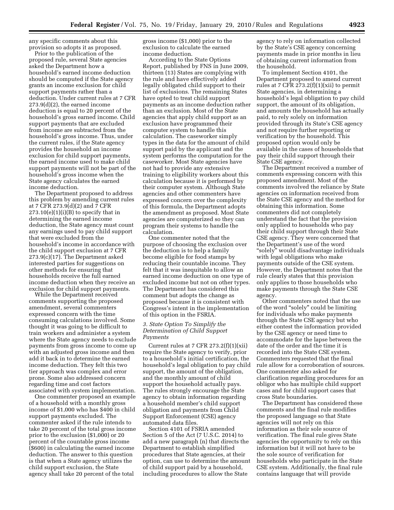any specific comments about this provision so adopts it as proposed.

Prior to the publication of the proposed rule, several State agencies asked the Department how a household's earned income deduction should be computed if the State agency grants an income exclusion for child support payments rather than a deduction. Under current rules at 7 CFR 273.9(d)(2), the earned income deduction is equal to 20 percent of the household's gross earned income. Child support payments that are excluded from income are subtracted from the household's gross income. Thus, under the current rules, if the State agency provides the household an income exclusion for child support payments, the earned income used to make child support payments will not be part of the household's gross income when the State agency calculates the earned income deduction.

The Department proposed to address this problem by amending current rules at 7 CFR 273.9(d)(2) and 7 CFR  $273.10(e)(1)(i)(B)$  to specify that in determining the earned income deduction, the State agency must count any earnings used to pay child support that were excluded from the household's income in accordance with the child support exclusion at 7 CFR 273.9(c)(17). The Department asked interested parties for suggestions on other methods for ensuring that households receive the full earned income deduction when they receive an exclusion for child support payments.

While the Department received comments supporting the proposed amendment, several commenters expressed concern with the time consuming calculations involved. Some thought it was going to be difficult to train workers and administer a system where the State agency needs to exclude payments from gross income to come up with an adjusted gross income and then add it back in to determine the earned income deduction. They felt this two tier approach was complex and error prone. Some also addressed concern regarding time and cost factors associated with system implementation.

One commenter proposed an example of a household with a monthly gross income of \$1,000 who has \$400 in child support payments excluded. The commenter asked if the rule intends to take 20 percent of the total gross income prior to the exclusion (\$1,000) or 20 percent of the countable gross income (\$600) in calculating the earned income deduction. The answer to this question is that when a State agency utilizes the child support exclusion, the State agency shall take 20 percent of the total

gross income (\$1,000) prior to the exclusion to calculate the earned income deduction.

According to the State Options Report, published by FNS in June 2009, thirteen (13) States are complying with the rule and have effectively added legally obligated child support to their list of exclusions. The remaining States have opted to treat child support payments as an income deduction rather than an exclusion. Most of the State agencies that apply child support as an exclusion have programmed their computer system to handle this calculation. The caseworker simply types in the data for the amount of child support paid by the applicant and the system performs the computation for the caseworker. Most State agencies have not had to provide any extensive training to eligibility workers about this calculation because it is performed by their computer system. Although State agencies and other commenters have expressed concern over the complexity of this formula, the Department adopts the amendment as proposed. Most State agencies are computerized so they can program their systems to handle the calculation.

One commenter noted that the purpose of choosing the exclusion over the deduction is to help a family become eligible for food stamps by reducing their countable income. They felt that it was inequitable to allow an earned income deduction on one type of excluded income but not on other types. The Department has considered this comment but adopts the change as proposed because it is consistent with Congress's intent in the implementation of this option in the FSRIA.

#### *3. State Option To Simplify the Determination of Child Support Payments*

Current rules at 7 CFR  $273.2(f)(1)(xii)$ require the State agency to verify, prior to a household's initial certification, the household's legal obligation to pay child support, the amount of the obligation, and the monthly amount of child support the household actually pays. The rules strongly encourage the State agency to obtain information regarding a household member's child support obligation and payments from Child Support Enforcement (CSE) agency automated data files.

Section 4101 of FSRIA amended Section 5 of the Act (7 U.S.C. 2014) to add a new paragraph (n) that directs the Department to establish simplified procedures that State agencies, at their option, can use to determine the amount of child support paid by a household, including procedures to allow the State

agency to rely on information collected by the State's CSE agency concerning payments made in prior months in lieu of obtaining current information from the household.

To implement Section 4101, the Department proposed to amend current rules at 7 CFR 273.2(f)(1)(xii) to permit State agencies, in determining a household's legal obligation to pay child support, the amount of its obligation, and amounts the household has actually paid, to rely solely on information provided through its State's CSE agency and not require further reporting or verification by the household. This proposed option would only be available in the cases of households that pay their child support through their State CSE agency.

The Department received a number of comments expressing concern with this proposed amendment. Most of the comments involved the reliance by State agencies on information received from the State CSE agency and the method for obtaining this information. Some commenters did not completely understand the fact that the provision only applied to households who pay their child support through their State CSE agency. They were concerned that the Department's use of the word "solely" would disadvantage individuals with legal obligations who make payments outside of the CSE system. However, the Department notes that the rule clearly states that this provision only applies to those households who make payments through the State CSE agency.

Other commenters noted that the use of the word ''solely'' could be limiting for individuals who make payments through the State CSE agency but who either contest the information provided by the CSE agency or need time to accommodate for the lapse between the date of the order and the time it is recorded into the State CSE system. Commenters requested that the final rule allow for a corroboration of sources. One commenter also asked for clarification regarding procedures for an obligor who has multiple child support cases and for child support cases that cross State boundaries.

The Department has considered these comments and the final rule modifies the proposed language so that State agencies will not rely on this information as their sole source of verification. The final rule gives State agencies the opportunity to rely on this information but it will not have to be the sole source of verification for households who participate in the State CSE system. Additionally, the final rule contains language that will provide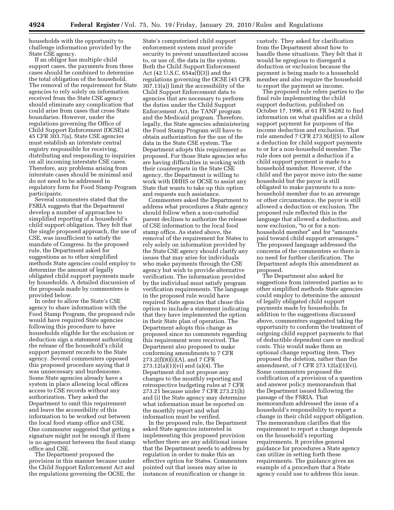households with the opportunity to challenge information provided by the State CSE agency.

If an obligor has multiple child support cases, the payments from these cases should be combined to determine the total obligation of the household. The removal of the requirement for State agencies to rely solely on information received from the State CSE agency should eliminate any complication that could arise from cases that cross State boundaries. However, under the regulations governing the Office of Child Support Enforcement (OCSE) at 45 CFR 303.7(a), State CSE agencies must establish an interstate central registry responsible for receiving, distributing and responding to inquiries on all incoming interstate CSE cases. Therefore, any problems arising from interstate cases should be minimal and do not need to be addressed in regulatory form for Food Stamp Program participants.

Several commenters stated that the FSRIA suggests that the Department develop a number of approaches to simplified reporting of a household's child support obligation. They felt that the single proposed approach, the use of CSE, was insufficient to satisfy the mandate of Congress. In the proposed rule, the Department asked for suggestions as to other simplified methods State agencies could employ to determine the amount of legally obligated child support payments made by households. A detailed discussion of the proposals made by commenters is provided below.

In order to allow the State's CSE agency to share information with the Food Stamp Program, the proposed rule would have required State agencies following this procedure to have households eligible for the exclusion or deduction sign a statement authorizing the release of the household's child support payment records to the State agency. Several commenters opposed this proposed procedure saying that it was unnecessary and burdensome. Some State agencies already have a system in place allowing local offices access to CSE records without any authorization. They asked the Department to omit this requirement and leave the accessibility of this information to be worked out between the local food stamp office and CSE. One commenter suggested that getting a signature might not be enough if there is no agreement between the food stamp office and CSE.

The Department proposed the provision in this manner because under the Child Support Enforcement Act and the regulations governing the OCSE, the

State's computerized child support enforcement system must provide security to prevent unauthorized access to, or use of, the data in the system. Both the Child Support Enforcement Act (42 U.S.C. 654a(f)(3)) and the regulations governing the OCSE (45 CFR 307.13(a)) limit the accessibility of the Child Support Enforcement data to agencies that are necessary to perform the duties under the Child Support Enforcement Act, the TANF program and the Medicaid program. Therefore, legally, the State agencies administering the Food Stamp Program will have to obtain authorization for the use of the data in the State CSE system. The Department adopts this requirement as proposed. For those State agencies who are having difficulties in working with their counterparts in the State CSE agency, the Department is willing to work with DHHS or OCSE to assist any State that wants to take up this option and requests such assistance.

Commenters asked the Department to address what procedures a State agency should follow when a non-custodial parent declines to authorize the release of CSE information to the local food stamp office. As stated above, the removal of the requirement for States to rely solely on information provided by the State CSE agency should clarify any issues that may arise for individuals who make payments through the CSE agency but wish to provide alternative verification. The information provided by the individual must satisfy program verification requirements. The language in the proposed rule would have required State agencies that chose this option to include a statement indicating that they have implemented the option in their State plan of operation. The Department adopts this change as proposed since no comments regarding this requirement were received. The Department also proposed to make conforming amendments to 7 CFR 273.2(f)(8)(i)(A), and 7 CFR 273.12(a)(1)(vi) and (a)(4). The Department did not propose any changes to the monthly reporting and retrospective budgeting rules at 7 CFR 273.21 because under 7 CFR 273.21(h) and (i) the State agency may determine what information must be reported on the monthly report and what information must be verified.

In the proposed rule, the Department asked State agencies interested in implementing this proposed provision whether there are any additional issues that the Department needs to address by regulation in order to make this an effective option for States. Commenters pointed out that issues may arise in instances of reunification or change in

custody. They asked for clarification from the Department about how to handle these situations. They felt that it would be egregious to disregard a deduction or exclusion because the payment is being made to a household member and also require the household to report the payment as income.

The proposed rule refers parties to the final rule implementing the child support deduction, published on October 17, 1996, at 61 FR 54282 to find information on what qualifies as a child support payment for purposes of the income deduction and exclusion. That rule amended 7 CFR 273.9(d)(5) to allow a deduction for child support payments to or for a non-household member. The rule does not permit a deduction if a child support payment is made to a household member. However, if the child and the payor move into the same household but the payor is still obligated to make payments to a nonhousehold member due to an arrearage or other circumstance, the payor is still allowed a deduction or exclusion. The proposed rule reflected this in the language that allowed a deduction, and now exclusion, ''to or for a nonhousehold member" and for "amounts paid toward child support arrearages.'' The proposed language addressed the concerns of the commenters so there is no need for further clarification. The Department adopts this amendment as proposed.

The Department also asked for suggestions from interested parties as to other simplified methods State agencies could employ to determine the amount of legally obligated child support payments made by households. In addition to the suggestions discussed above, commenters suggested taking the opportunity to conform the treatment of outgoing child support payments to that of deductible dependent care or medical costs. This would make them an optional change reporting item. They proposed the deletion, rather than the amendment, of 7 CFR 273.12(a)(1)(vi). Some commenters proposed the codification of a provision of a question and answer policy memorandum that the Department issued following the passage of the FSRIA. That memorandum addressed the issue of a household's responsibility to report a change in their child support obligation. The memorandum clarifies that the requirement to report a change depends on the household's reporting requirements. It provides general guidance for procedures a State agency can utilize in setting forth these requirements. The guidance gives an example of a procedure that a State agency could use to address this issue.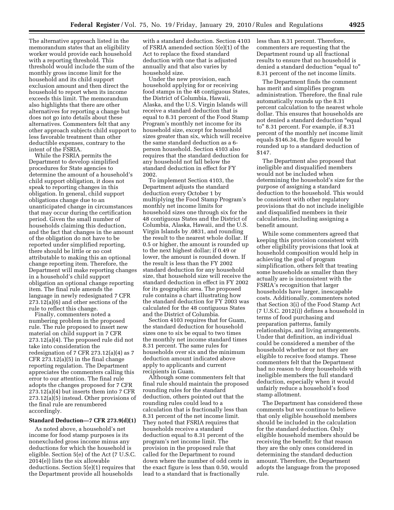The alternative approach listed in the memorandum states that an eligibility worker would provide each household with a reporting threshold. This threshold would include the sum of the monthly gross income limit for the household and its child support exclusion amount and then direct the household to report when its income exceeds this limit. The memorandum also highlights that there are other alternatives for reporting a change but does not go into details about these alternatives. Commenters felt that any other approach subjects child support to less favorable treatment than other deductible expenses, contrary to the intent of the FSRIA.

While the FSRIA permits the Department to develop simplified procedures for State agencies to determine the amount of a household's child support obligation, it does not speak to reporting changes in this obligation. In general, child support obligations change due to an unanticipated change in circumstances that may occur during the certification period. Given the small number of households claiming this deduction, and the fact that changes in the amount of the obligation do not have to be reported under simplified reporting, there should be little or no cost attributable to making this an optional change reporting item. Therefore, the Department will make reporting changes in a household's child support obligation an optional change reporting item. The final rule amends the language in newly redesignated 7 CFR 273.12(a)(6) and other sections of the rule to reflect this change.

Finally, commenters noted a numbering problem in the proposed rule. The rule proposed to insert new material on child support in 7 CFR 273.12(a)(4). The proposed rule did not take into consideration the redesignation of 7 CFR 273.12(a)(4) as 7 CFR 273.12(a)(5) in the final change reporting regulation. The Department appreciates the commenters calling this error to our attention. The final rule adopts the changes proposed for 7 CFR 273.12(a)(4) but inserts them into 7 CFR 273.12(a)(5) instead. Other provisions of the final rule are renumbered accordingly.

#### **Standard Deduction—7 CFR 273.9(d)(1)**

As noted above, a household's net income for food stamp purposes is its nonexcluded gross income minus any deductions for which the household is eligible. Section 5(e) of the Act (7 U.S.C. 2014(e)) lists the six allowable deductions. Section 5(e)(1) requires that the Department provide all households

with a standard deduction. Section 4103 of FSRIA amended section 5(e)(1) of the Act to replace the fixed standard deduction with one that is adjusted annually and that also varies by household size.

Under the new provision, each household applying for or receiving food stamps in the 48 contiguous States, the District of Columbia, Hawaii, Alaska, and the U.S. Virgin Islands will receive a standard deduction that is equal to 8.31 percent of the Food Stamp Program's monthly net income for its household size, except for household sizes greater than six, which will receive the same standard deduction as a 6 person household. Section 4103 also requires that the standard deduction for any household not fall below the standard deduction in effect for FY 2002.

To implement Section 4103, the Department adjusts the standard deduction every October 1 by multiplying the Food Stamp Program's monthly net income limits for household sizes one through six for the 48 contiguous States and the District of Columbia, Alaska, Hawaii, and the U.S. Virgin Islands by .0831, and rounding the result to the nearest whole dollar. If 0.5 or higher, the amount is rounded up to the next highest dollar; if 0.49 or lower, the amount is rounded down. If the result is less than the FY 2002 standard deduction for any household size, that household size will receive the standard deduction in effect in FY 2002 for its geographic area. The proposed rule contains a chart illustrating how the standard deduction for FY 2003 was calculated for the 48 contiguous States and the District of Columbia.

Section 4103 requires that for Guam, the standard deduction for household sizes one to six be equal to two times the monthly net income standard times 8.31 percent. The same rules for households over six and the minimum deduction amount indicated above apply to applicants and current recipients in Guam.

Although some commenters felt that final rule should maintain the proposed rounding rules for the standard deduction, others pointed out that the rounding rules could lead to a calculation that is fractionally less than 8.31 percent of the net income limit. They noted that FSRIA requires that households receive a standard deduction equal to 8.31 percent of the program's net income limit. The provision in the proposed rule that called for the Department to round down where the number of odd cents in the exact figure is less than 0.50, would lead to a standard that is fractionally

less than 8.31 percent. Therefore, commenters are requesting that the Department round up all fractional results to ensure that no household is denied a standard deduction ''equal to'' 8.31 percent of the net income limits.

The Department finds the comment has merit and simplifies program administration. Therefore, the final rule automatically rounds up the 8.31 percent calculation to the nearest whole dollar. This ensures that households are not denied a standard deduction ''equal to'' 8.31 percent. For example, if 8.31 percent of the monthly net income limit equals \$146.34, the figure would be rounded up to a standard deduction of \$147.

The Department also proposed that ineligible and disqualified members would not be included when determining the household's size for the purpose of assigning a standard deduction to the household. This would be consistent with other regulatory provisions that do not include ineligible and disqualified members in their calculations, including assigning a benefit amount.

While some commenters agreed that keeping this provision consistent with other eligibility provisions that look at household composition would help in achieving the goal of program simplification, others felt that treating some households as smaller than they actually are is inconsistent with the FSRIA's recognition that larger households have larger, inescapable costs. Additionally, commenters noted that Section 3(i) of the Food Stamp Act (7 U.S.C. 2012(i)) defines a household in terms of food purchasing and preparation patterns, family relationships, and living arrangements. Under that definition, an individual could be considered a member of the household whether or not they are eligible to receive food stamps. These commenters felt that the Department had no reason to deny households with ineligible members the full standard deduction, especially when it would unfairly reduce a household's food stamp allotment.

The Department has considered these comments but we continue to believe that only eligible household members should be included in the calculation for the standard deduction. Only eligible household members should be receiving the benefit; for that reason they are the only ones considered in determining the standard deduction amount. Therefore, the Department adopts the language from the proposed rule.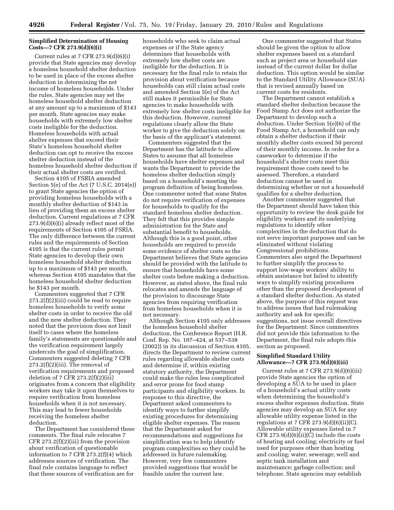#### **Simplified Determination of Housing Costs—7 CFR 273.9(d)(6)(i)**

Current rules at 7 CFR 273.9(d)(6)(i) provide that State agencies may develop a homeless household shelter deduction to be used in place of the excess shelter deduction in determining the net income of homeless households. Under the rules, State agencies may set the homeless household shelter deduction at any amount up to a maximum of \$143 per month. State agencies may make households with extremely low shelter costs ineligible for the deduction. Homeless households with actual shelter expenses that exceed their State's homeless household shelter deduction can opt to receive the excess shelter deduction instead of the homeless household shelter deduction if their actual shelter costs are verified.

Section 4105 of FSRIA amended Section 5(e) of the Act (7 U.S.C. 2014(e)) to grant State agencies the option of providing homeless households with a monthly shelter deduction of \$143 in lieu of providing them an excess shelter deduction. Current regulations at 7 CFR 273.9(d)(6)(i) already reflect most of the requirements of Section 4105 of FSRIA. The only difference between the current rules and the requirements of Section 4105 is that the current rules permit State agencies to develop their own homeless household shelter deduction up to a maximum of \$143 per month, whereas Section 4105 mandates that the homeless household shelter deduction be \$143 per month.

Commenters suggested that 7 CFR 273.2(f)(2)(iii) could be read to require homeless households to verify some shelter costs in order to receive the old and the new shelter deduction. They noted that the provision does not limit itself to cases where the homeless family's statements are questionable and the verification requirement largely undercuts the goal of simplification. Commenters suggested deleting 7 CFR  $273.2(f)(2)(iii)$ . The removal of verification requirements and proposed deletion of 7 CFR  $273.2(f)(2)(iii)$ originates from a concern that eligibility workers may take it upon themselves to require verification from homeless households when it is not necessary. This may lead to fewer households receiving the homeless shelter deduction.

The Department has considered these comments. The final rule relocates 7 CFR 273.2(f)(2)(iii) from the provision about verification of questionable information to 7 CFR 273.2(f)(4) which addresses sources of verification. The final rule contains language to reflect that these sources of verification are for

households who seek to claim actual expenses or if the State agency determines that households with extremely low shelter costs are ineligible for the deduction. It is necessary for the final rule to retain the provision about verification because households can still claim actual costs and amended Section 5(e) of the Act still makes it permissible for State agencies to make households with extremely low shelter costs ineligible for this deduction. However, current regulations clearly allow the State worker to give the deduction solely on the basis of the applicant's statement.

Commenters suggested that the Department has the latitude to allow States to assume that all homeless households have shelter expenses and wants the Department to provide the homeless shelter deduction simply based on a household's meeting the program definition of being homeless. One commenter noted that some States do not require verification of expenses for households to qualify for the standard homeless shelter deduction. They felt that this provides simple administration for the State and substantial benefit to households. Although this is a good point, other households are required to provide some evidence of shelter costs so the Department believes that State agencies should be provided with the latitude to ensure that households have some shelter costs before making a deduction. However, as stated above, the final rule relocates and amends the language of the provision to discourage State agencies from requiring verification from homeless households when it is not necessary.

Although Section 4105 only addresses the homeless household shelter deduction, the Conference Report (H.R. Conf. Rep. No. 107–424, at 537–538 (2002)) in its discussion of Section 4105, directs the Department to review current rules regarding allowable shelter costs and determine if, within existing statutory authority, the Department could make the rules less complicated and error prone for food stamp participants and eligibility workers. In response to this directive, the Department asked commenters to identify ways to further simplify existing procedures for determining eligible shelter expenses. The reason that the Department asked for recommendations and suggestions for simplification was to help identify program complexities so they could be addressed in future rulemaking. However, very few commenters provided suggestions that would be feasible under the current law.

One commenter suggested that States should be given the option to allow shelter expenses based on a standard such as project area or household size instead of the current dollar for dollar deduction. This option would be similar to the Standard Utility Allowance (SUA) that is revised annually based on current costs for residents.

The Department cannot establish a standard shelter deduction because the Food Stamp Act does not authorize the Department to develop such a deduction. Under Section 5(e)(6) of the Food Stamp Act, a household can only obtain a shelter deduction if their monthly shelter costs exceed 50 percent of their monthly income. In order for a caseworker to determine if the household's shelter costs meet this requirement those costs need to be assessed. Therefore, a standard deduction cannot be used in determining whether or not a household qualifies for a shelter deduction.

Another commenter suggested that the Department should have taken this opportunity to review the desk guide for eligibility workers and its underlying regulations to identify other complexities in the deduction that do not serve important purposes and can be eliminated without violating Congressional prohibitions. Commenters also urged the Department to further simplify the process to support low-wage workers' ability to obtain assistance but failed to identify ways to simplify existing procedures other than the proposed development of a standard shelter deduction. As stated above, the purpose of this request was to address issues that had rulemaking authority and ask for specific suggestions, not issue overall directives for the Department. Since commenters did not provide this information to the Department, the final rule adopts this section as proposed.

#### **Simplified Standard Utility Allowance—7 CFR 273.9(d)(6)(iii)**

Current rules at 7 CFR 273.9(d)(6)(iii) provide State agencies the option of developing a SUA to be used in place of a household's actual utility costs when determining the household's excess shelter expenses deduction. State agencies may develop an SUA for any allowable utility expense listed in the regulations at 7 CFR  $273.9(d)(6)(ii)(C)$ . Allowable utility expenses listed in 7 CFR  $273.9(d)(6)(ii)(C)$  include the costs of heating and cooling; electricity or fuel used for purposes other than heating and cooling; water; sewerage; well and septic tank installation and maintenance; garbage collection; and telephone. State agencies may establish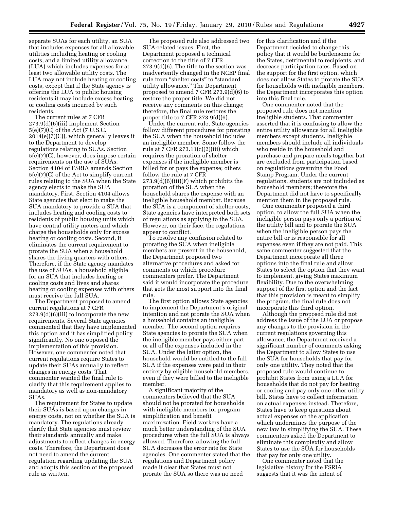separate SUAs for each utility, an SUA that includes expenses for all allowable utilities including heating or cooling costs, and a limited utility allowance (LUA) which includes expenses for at least two allowable utility costs. The LUA may not include heating or cooling costs, except that if the State agency is offering the LUA to public housing residents it may include excess heating or cooling costs incurred by such residents.

The current rules at 7 CFR 273.9(d)(6)(iii) implement Section 5(e)(7)(C) of the Act (7 U.S.C. 2014(e)(7)(C)), which generally leaves it to the Department to develop regulations relating to SUAs. Section 5(e)(7)(C), however, does impose certain requirements on the use of SUAs. Section 4104 of FSRIA amends Section 5(e)(7)(C) of the Act to simplify current rules relating to the SUA when the State agency elects to make the SUA mandatory. First, Section 4104 allows State agencies that elect to make the SUA mandatory to provide a SUA that includes heating and cooling costs to residents of public housing units which have central utility meters and which charge the households only for excess heating or cooling costs. Second, it eliminates the current requirement to prorate the SUA when a household shares the living quarters with others. Therefore, if the State agency mandates the use of SUAs, a household eligible for an SUA that includes heating or cooling costs and lives and shares heating or cooling expenses with others must receive the full SUA.

The Department proposed to amend current regulations at 7 CFR  $273.9(d)(6)(iii)$  to incorporate the new requirements. Several State agencies commented that they have implemented this option and it has simplified policy significantly. No one opposed the implementation of this provision. However, one commenter noted that current regulations require States to update their SUAs annually to reflect changes in energy costs. That commenter wanted the final rule to clarify that this requirement applies to mandatory as well as non-mandatory SUAs.

The requirement for States to update their SUAs is based upon changes in energy costs, not on whether the SUA is mandatory. The regulations already clarify that State agencies must review their standards annually and make adjustments to reflect changes in energy costs. Therefore, the Department does not need to amend the current regulation regarding updating the SUA and adopts this section of the proposed rule as written.

The proposed rule also addressed two SUA-related issues. First, the Department proposed a technical correction to the title of 7 CFR 273.9(d)(6). The title to the section was inadvertently changed in the NCEP final rule from "shelter costs" to "standard utility allowance.'' The Department proposed to amend 7 CFR 273.9(d)(6) to restore the proper title. We did not receive any comments on this change; therefore, the final rule restores the proper title to 7 CFR 273.9(d)(6).

Under the current rule, State agencies follow different procedures for prorating the SUA when the household includes an ineligible member. Some follow the rule at 7 CFR 273.11(c)(2)(iii) which requires the proration of shelter expenses if the ineligible member is billed for or pays the expense; others follow the rule at 7 CFR 273.9(d)(6)(iii)(F) which prohibits the proration of the SUA when the household shares the expense with an ineligible household member. Because the SUA is a component of shelter costs, State agencies have interpreted both sets of regulations as applying to the SUA. However, on their face, the regulations appear to conflict.

To resolve any confusion related to prorating the SUA when ineligible members are present in the household, the Department proposed two alternative procedures and asked for comments on which procedure commenters prefer. The Department said it would incorporate the procedure that gets the most support into the final rule.

The first option allows State agencies to implement the Department's original intention and not prorate the SUA when a household contains an ineligible member. The second option requires State agencies to prorate the SUA when the ineligible member pays either part or all of the expenses included in the SUA. Under the latter option, the household would be entitled to the full SUA if the expenses were paid in their entirety by eligible household members, even if they were billed to the ineligible member.

A significant majority of the commenters believed that the SUA should not be prorated for households with ineligible members for program simplification and benefit maximization. Field workers have a much better understanding of the SUA procedures when the full SUA is always allowed. Therefore, allowing the full SUA decreases the error rate for State agencies. One commenter stated that the regulations and Department policy made it clear that States must not prorate the SUA so there was no need

for this clarification and if the Department decided to change this policy that it would be burdensome for the States, detrimental to recipients, and decrease participation rates. Based on the support for the first option, which does not allow States to prorate the SUA for households with ineligible members, the Department incorporates this option into this final rule.

One commenter noted that the proposed rule does not mention ineligible students. That commenter asserted that it is confusing to allow the entire utility allowance for all ineligible members except students. Ineligible members should include all individuals who reside in the household and purchase and prepare meals together but are excluded from participation based on regulations governing the Food Stamp Program. Under the current regulations, students are not included as household members; therefore the Department did not have to specifically mention them in the proposed rule.

One commenter proposed a third option, to allow the full SUA when the ineligible person pays only a portion of the utility bill and to prorate the SUA when the ineligible person pays the entire bill or is responsible for all expenses even if they are not paid. This same commenter suggested that the Department incorporate all three options into the final rule and allow States to select the option that they want to implement, giving States maximum flexibility. Due to the overwhelming support of the first option and the fact that this provision is meant to simplify the program, the final rule does not incorporate this third option.

Although the proposed rule did not address the issue of the LUA or propose any changes to the provision in the current regulations governing this allowance, the Department received a significant number of comments asking the Department to allow States to use the SUA for households that pay for only one utility. They noted that the proposed rule would continue to prohibit States from using a LUA for households that do not pay for heating or cooling and pay only one other utility bill. States have to collect information on actual expenses instead. Therefore, States have to keep questions about actual expenses on the application which undermines the purpose of the new law in simplifying the SUA. These commenters asked the Department to eliminate this complexity and allow States to use the SUA for households that pay for only one utility.

One commenter noted that the legislative history for the FSRIA suggests that it was the intent of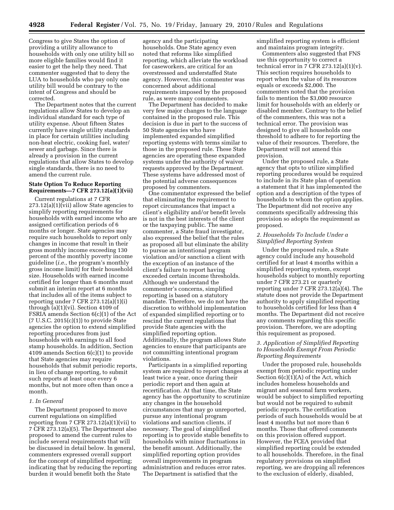Congress to give States the option of providing a utility allowance to households with only one utility bill so more eligible families would find it easier to get the help they need. That commenter suggested that to deny the LUA to households who pay only one utility bill would be contrary to the intent of Congress and should be corrected.

The Department notes that the current regulations allow States to develop an individual standard for each type of utility expense. About fifteen States currently have single utility standards in place for certain utilities including non-heat electric, cooking fuel, water/ sewer and garbage. Since there is already a provision in the current regulations that allow States to develop single standards, there is no need to amend the current rule.

#### **State Option To Reduce Reporting Requirements—7 CFR 273.12(a)(1)(vii)**

Current regulations at 7 CFR 273.12(a)(1)(vii) allow State agencies to simplify reporting requirements for households with earned income who are assigned certification periods of 6 months or longer. State agencies may require such households to report only changes in income that result in their gross monthly income exceeding 130 percent of the monthly poverty income guideline (*i.e.,* the program's monthly gross income limit) for their household size. Households with earned income certified for longer than 6 months must submit an interim report at 6 months that includes all of the items subject to reporting under 7 CFR 273.12(a)(1)(i) through  $(a)(1)(vi)$ . Section 4109 of FSRIA amends Section 6(c)(1) of the Act (7 U.S.C. 2015(c)(1)) to provide State agencies the option to extend simplified reporting procedures from just households with earnings to all food stamp households. In addition, Section 4109 amends Section 6(c)(1) to provide that State agencies may require households that submit periodic reports, in lieu of change reporting, to submit such reports at least once every 6 months, but not more often than once a month.

#### *1. In General*

The Department proposed to move current regulations on simplified reporting from 7 CFR 273.12(a)(1)(vii) to 7 CFR 273.12(a)(5). The Department also proposed to amend the current rules to include several requirements that will be discussed in detail below. In general, commenters expressed overall support for the concept of simplified reporting; indicating that by reducing the reporting burden it would benefit both the State

agency and the participating households. One State agency even noted that reforms like simplified reporting, which alleviate the workload for caseworkers, are critical for an overstressed and understaffed State agency. However, this commenter was concerned about additional requirements imposed by the proposed rule, as were many commenters.

The Department has decided to make very few major changes to the language contained in the proposed rule. This decision is due in part to the success of 50 State agencies who have implemented expanded simplified reporting systems with terms similar to those in the proposed rule. These State agencies are operating these expanded systems under the authority of waiver requests approved by the Department. These systems have addressed most of the potential adverse consequences proposed by commenters.

One commentator expressed the belief that eliminating the requirement to report circumstances that impact a client's eligibility and/or benefit levels is not in the best interests of the client or the taxpaying public. The same commenter, a State fraud investigator, also expressed the belief that the rules as proposed all but eliminate the ability to pursue an intentional program violation and/or sanction a client with the exception of an instance of the client's failure to report having exceeded certain income thresholds. Although we understand the commenter's concerns, simplified reporting is based on a statutory mandate. Therefore, we do not have the discretion to withhold implementation of expanded simplified reporting or to rescind the current regulations that provide State agencies with the simplified reporting option. Additionally, the program allows State agencies to ensure that participants are not committing intentional program violations.

Participants in a simplified reporting system are required to report changes at least twice a year, once during their periodic report and then again at recertification. At that time, the State agency has the opportunity to scrutinize any changes in the household circumstances that may go unreported, pursue any intentional program violations and sanction clients, if necessary. The goal of simplified reporting is to provide stable benefits to households with minor fluctuations in the benefit amount. Additionally, the simplified reporting option provides overall improvements in program administration and reduces error rates. The Department is satisfied that the

simplified reporting system is efficient and maintains program integrity.

Commenters also suggested that FNS use this opportunity to correct a technical error in 7 CFR  $273.12(a)(1)(v)$ . This section requires households to report when the value of its resources equals or exceeds \$2,000. The commenters noted that the provision fails to mention the \$3,000 resource limit for households with an elderly or disabled member. Contrary to the belief of the commenters, this was not a technical error. The provision was designed to give all households one threshold to adhere to for reporting the value of their resources. Therefore, the Department will not amend this provision.

Under the proposed rule, a State agency that opts to utilize simplified reporting procedures would be required to include in its State plan of operation a statement that it has implemented the option and a description of the types of households to whom the option applies. The Department did not receive any comments specifically addressing this provision so adopts the requirement as proposed.

#### *2. Households To Include Under a Simplified Reporting System*

Under the proposed rule, a State agency could include any household certified for at least 4 months within a simplified reporting system, except households subject to monthly reporting under 7 CFR 273.21 or quarterly reporting under 7 CFR 273.12(a)(4). The statute does not provide the Department authority to apply simplified reporting to households certified for less than 4 months. The Department did not receive any comments regarding this specific provision. Therefore, we are adopting this requirement as proposed.

#### *3. Application of Simplified Reporting to Households Exempt From Periodic Reporting Requirements*

Under the proposed rule, households exempt from periodic reporting under Section  $6(c)(1)(A)$  of the Act, which includes homeless households and migrant and seasonal farm workers, would be subject to simplified reporting but would not be required to submit periodic reports. The certification periods of such households would be at least 4 months but not more than 6 months. Those that offered comments on this provision offered support. However, the FCEA provided that simplified reporting could be extended to all households. Therefore, in the final regulatory provisions on simplified reporting, we are dropping all references to the exclusion of elderly, disabled,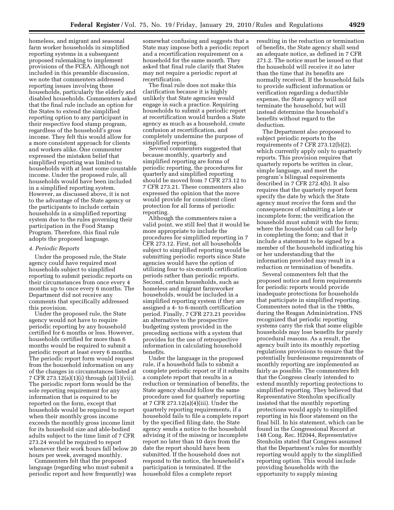homeless, and migrant and seasonal farm worker households in simplified reporting systems in a subsequent proposed rulemaking to implement provisions of the FCEA. Although not included in this preamble discussion, we note that commenters addressed reporting issues involving these households, particularly the elderly and disabled households. Commenters asked that the final rule include an option for the States to extend the simplified reporting option to any participant in their respective food stamp program, regardless of the household's gross income. They felt this would allow for a more consistent approach for clients and workers alike. One commenter expressed the mistaken belief that simplified reporting was limited to households with at least some countable income. Under the proposed rule, all households would have been included in a simplified reporting system. However, as discussed above, it is not to the advantage of the State agency or the participants to include certain households in a simplified reporting system due to the rules governing their participation in the Food Stamp Program. Therefore, this final rule adopts the proposed language.

#### *4. Periodic Reports*

Under the proposed rule, the State agency could have required most households subject to simplified reporting to submit periodic reports on their circumstances from once every 4 months up to once every 6 months. The Department did not receive any comments that specifically addressed this provision.

Under the proposed rule, the State agency would not have to require periodic reporting by any household certified for 6 months or less. However, households certified for more than 6 months would be required to submit a periodic report at least every 6 months. The periodic report form would request from the household information on any of the changes in circumstances listed at 7 CFR 273.12(a)(1)(i) through (a)(1)(vii). The periodic report form would be the sole reporting requirement for any information that is required to be reported on the form, except that households would be required to report when their monthly gross income exceeds the monthly gross income limit for its household size and able-bodied adults subject to the time limit of 7 CFR 273.24 would be required to report whenever their work hours fall below 20 hours per week, averaged monthly.

Commenters felt that the proposed language (regarding who must submit a periodic report and how frequently) was somewhat confusing and suggests that a State may impose both a periodic report and a recertification requirement on a household for the same month. They asked that final rule clarify that States may not require a periodic report at recertification.

The final rule does not make this clarification because it is highly unlikely that State agencies would engage in such a practice. Requiring households to submit a periodic report at recertification would burden a State agency as much as a household, create confusion at recertification, and completely undermine the purpose of simplified reporting.

Several commenters suggested that because monthly, quarterly and simplified reporting are forms of periodic reporting, the procedures for quarterly and simplified reporting should be moved from 7 CFR 273.12 to 7 CFR 273.21. These commenters also expressed the opinion that the move would provide for consistent client protection for all forms of periodic reporting.

Although the commenters raise a valid point, we still feel that it would be more appropriate to include the procedures for simplified reporting in 7 CFR 273.12. First, not all households subject to simplified reporting would be submitting periodic reports since State agencies would have the option of utilizing four to six-month certification periods rather than periodic reports. Second, certain households, such as homeless and migrant farmworker households, would be included in a simplified reporting system if they are assigned a 4- to 6-month certification period. Finally, 7 CFR 273.21 provides an alternative to the prospective budgeting system provided in the preceding sections with a system that provides for the use of retrospective information in calculating household benefits.

Under the language in the proposed rule, if a household fails to submit a complete periodic report or if it submits a complete report that results in a reduction or termination of benefits, the State agency should follow the same procedure used for quarterly reporting at 7 CFR 273.12(a)(4)(iii). Under the quarterly reporting requirements, if a household fails to file a complete report by the specified filing date, the State agency sends a notice to the household advising it of the missing or incomplete report no later than 10 days from the date the report should have been submitted. If the household does not respond to the notice, the household's participation is terminated. If the household files a complete report

resulting in the reduction or termination of benefits, the State agency shall send an adequate notice, as defined in 7 CFR 271.2. The notice must be issued so that the household will receive it no later than the time that its benefits are normally received. If the household fails to provide sufficient information or verification regarding a deductible expense, the State agency will not terminate the household, but will instead determine the household's benefits without regard to the deduction.

The Department also proposed to subject periodic reports to the requirements of 7 CFR 273.12(b)(2), which currently apply only to quarterly reports. This provision requires that quarterly reports be written in clear, simple language, and meet the program's bilingual requirements described in 7 CFR 272.4(b). It also requires that the quarterly report form specify the date by which the State agency must receive the form and the consequences of submitting a late or incomplete form; the verification the household must submit with the form; where the household can call for help in completing the form; and that it include a statement to be signed by a member of the household indicating his or her understanding that the information provided may result in a reduction or termination of benefits.

Several commenters felt that the proposed notice and form requirements for periodic reports would provide inadequate protections for households that participate in simplified reporting. Commenters noted that in the 1980s, during the Reagan Administration, FNS recognized that periodic reporting systems carry the risk that some eligible households may lose benefits for purely procedural reasons. As a result, the agency built into its monthly reporting regulations provisions to ensure that the potentially burdensome requirements of monthly reporting are implemented as fairly as possible. The commenters felt that the Congress clearly intended to extend monthly reporting protections to simplified reporting. They believed that Representative Stenholm specifically insisted that the monthly reporting protections would apply to simplified reporting in his floor statement on the final bill. In his statement, which can be found in the Congressional Record at 148 Cong. Rec. H2044, Representative Stenholm stated that Congress assumed that the Department's rules for monthly reporting would apply to the simplified reporting option. This would include providing households with the opportunity to supply missing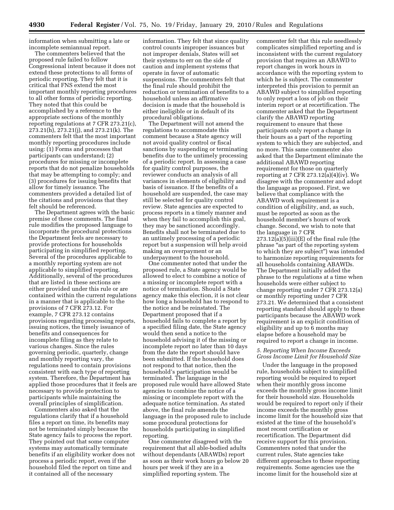information when submitting a late or incomplete semiannual report.

The commenters believed that the proposed rule failed to follow Congressional intent because it does not extend these protections to all forms of periodic reporting. They felt that it is critical that FNS extend the most important monthly reporting procedures to all other forms of periodic reporting. They noted that this could be accomplished by a reference to the appropriate sections of the monthly reporting regulations at 7 CFR 273.21(c), 273.21(h), 273.21(j), and 273.21(k). The commenters felt that the most important monthly reporting procedures include using: (1) Forms and processes that participants can understand; (2) procedures for missing or incomplete reports that do not penalize households that may be attempting to comply; and (3) procedures for issuing benefits that allow for timely issuance. The commenters provided a detailed list of the citations and provisions that they felt should be referenced.

The Department agrees with the basic premise of these comments. The final rule modifies the proposed language to incorporate the procedural protections the Department feels are necessary to provide protections for households participating in simplified reporting. Several of the procedures applicable to a monthly reporting system are not applicable to simplified reporting. Additionally, several of the procedures that are listed in these sections are either provided under this rule or are contained within the current regulations in a manner that is applicable to the provisions of 7 CFR 273.12. For example, 7 CFR 273.12 contains provisions regarding processing reports, issuing notices, the timely issuance of benefits and consequences for incomplete filing as they relate to various changes. Since the rules governing periodic, quarterly, change and monthly reporting vary, the regulations need to contain provisions consistent with each type of reporting system. Therefore, the Department has applied those procedures that it feels are necessary to provide protection to participants while maintaining the overall principles of simplification.

Commenters also asked that the regulations clarify that if a household files a report on time, its benefits may not be terminated simply because the State agency fails to process the report. They pointed out that some computer systems may automatically terminate benefits if an eligibility worker does not process a periodic report, even if the household filed the report on time and it contained all of the necessary

information. They felt that since quality control counts improper issuances but not improper denials, States will set their systems to err on the side of caution and implement systems that operate in favor of automatic suspensions. The commenters felt that the final rule should prohibit the reduction or termination of benefits to a household unless an affirmative decision is made that the household is either ineligible or in default of its procedural obligations.

The Department will not amend the regulations to accommodate this comment because a State agency will not avoid quality control or fiscal sanctions by suspending or terminating benefits due to the untimely processing of a periodic report. In assessing a case for quality control purposes, the reviewer conducts an analysis of all variances in elements of eligibility and basis of issuance. If the benefits of a household are suspended, the case may still be selected for quality control review. State agencies are expected to process reports in a timely manner and when they fail to accomplish this goal, they may be sanctioned accordingly. Benefits shall not be terminated due to an untimely processing of a periodic report but a suspension will help avoid making an overpayment or an underpayment to the household.

One commenter noted that under the proposed rule, a State agency would be allowed to elect to combine a notice of a missing or incomplete report with a notice of termination. Should a State agency make this election, it is not clear how long a household has to respond to the notice and be reinstated. The Department proposed that if a household fails to complete a report by a specified filing date, the State agency would then send a notice to the household advising it of the missing or incomplete report no later than 10 days from the date the report should have been submitted. If the household does not respond to that notice, then the household's participation would be terminated. The language in the proposed rule would have allowed State agencies to combine the notice of a missing or incomplete report with the adequate notice termination. As stated above, the final rule amends the language in the proposed rule to include some procedural protections for households participating in simplified reporting.

One commenter disagreed with the requirement that all able-bodied adults without dependants (ABAWDs) report as soon as their work hours go below 20 hours per week if they are in a simplified reporting system. The

commenter felt that this rule needlessly complicates simplified reporting and is inconsistent with the current regulatory provision that requires an ABAWD to report changes in work hours in accordance with the reporting system to which he is subject. The commenter interpreted this provision to permit an ABAWD subject to simplified reporting to only report a loss of job on their interim report or at recertification. The commenter asked that the Department clarify the ABAWD reporting requirement to ensure that these participants only report a change in their hours as a part of the reporting system to which they are subjected, and no more. This same commenter also asked that the Department eliminate the additional ABAWD reporting requirement for those on quarterly reporting at 7 CFR  $273.12(a)(4)(iv)$ . We disagree with the commenter and adopt the language as proposed. First, we believe that compliance with the ABAWD work requirement is a condition of eligibility, and, as such, must be reported as soon as the household member's hours of work change. Second, we wish to note that the language in 7 CFR 273.12(a)(5)(iii)(E) of the final rule (the phrase ''as part of the reporting system to which they are subject'') was intended to harmonize reporting requirements for all households containing ABAWDs. The Department initially added the phrase to the regulations at a time when households were either subject to change reporting under 7 CFR 273.12(a) or monthly reporting under 7 CFR 273.21. We determined that a consistent reporting standard should apply to these participants because the ABAWD work requirement is an explicit condition of eligibility and up to 6 months may elapse before a household may be required to report a change in income.

#### *5. Reporting When Income Exceeds Gross Income Limit for Household Size*

Under the language in the proposed rule, households subject to simplified reporting would be required to report when their monthly gross income exceeds the monthly gross income limit for their household size. Households would be required to report only if their income exceeds the monthly gross income limit for the household size that existed at the time of the household's most recent certification or recertification. The Department did receive support for this provision. Commenters noted that under the current rules, State agencies take different approaches to these reporting requirements. Some agencies use the income limit for the household size at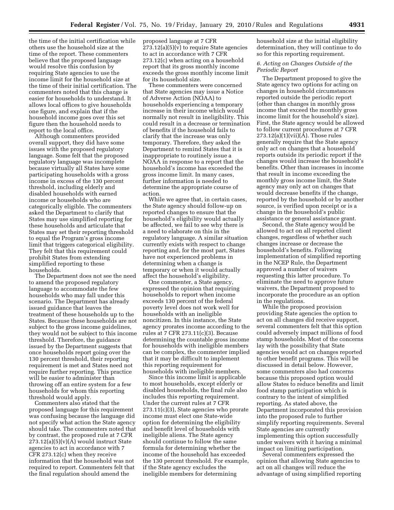the time of the initial certification while others use the household size at the time of the report. These commenters believe that the proposed language would resolve this confusion by requiring State agencies to use the income limit for the household size at the time of their initial certification. The commenters noted that this change is easier for households to understand. It allows local offices to give households one figure, and explain that if the household income goes over this set figure then the household needs to report to the local office.

Although commenters provided overall support, they did have some issues with the proposed regulatory language. Some felt that the proposed regulatory language was incomplete because virtually all States have some participating households with a gross income in excess of the 130 percent threshold, including elderly and disabled households with earned income or households who are categorically eligible. The commenters asked the Department to clarify that States may use simplified reporting for these households and articulate that States may set their reporting threshold to equal the Program's gross income limit that triggers categorical eligibility. They felt that this requirement could prohibit States from extending simplified reporting to these households.

The Department does not see the need to amend the proposed regulatory language to accommodate the few households who may fall under this scenario. The Department has already issued guidance that leaves the treatment of these households up to the States. Because these households are not subject to the gross income guidelines, they would not be subject to this income threshold. Therefore, the guidance issued by the Department suggests that once households report going over the 130 percent threshold, their reporting requirement is met and States need not require further reporting. This practice will be easier to administer than throwing off an entire system for a few households for whom this reporting threshold would apply.

Commenters also stated that the proposed language for this requirement was confusing because the language did not specify what action the State agency should take. The commenters noted that by contrast, the proposed rule at 7 CFR  $273.12(a)(5)(v)(A)$  would instruct State agencies to act in accordance with 7 CFR 273.12(c) when they receive information that the household was not required to report. Commenters felt that the final regulation should amend the

proposed language at 7 CFR  $273.12(a)(5)(v)$  to require State agencies to act in accordance with 7 CFR 273.12(c) when acting on a household report that its gross monthly income exceeds the gross monthly income limit for its household size.

These commenters were concerned that State agencies may issue a Notice of Adverse Action (NOAA) to households experiencing a temporary increase in their income which would normally not result in ineligibility. This could result in a decrease or termination of benefits if the household fails to clarify that the increase was only temporary. Therefore, they asked the Department to remind States that it is inappropriate to routinely issue a NOAA in response to a report that the household's income has exceeded the gross income limit. In many cases, further information is needed to determine the appropriate course of action.

While we agree that, in certain cases, the State agency should follow-up on reported changes to ensure that the household's eligibility would actually be affected, we fail to see why there is a need to elaborate on this in the regulatory language. A similar situation currently exists with respect to change reporting and, for the most part, States have not experienced problems in determining when a change is temporary or when it would actually affect the household's eligibility.

One commenter, a State agency, expressed the opinion that requiring households to report when income exceeds 130 percent of the federal poverty level does not work well for households with an ineligible noncitizen. In this instance, the State agency prorates income according to the rules at 7 CFR 273.11(c)(3). Because determining the countable gross income for households with ineligible members can be complex, the commenter implied that it may be difficult to implement this reporting requirement for households with ineligible members.

Since this income limit is applicable to most households, except elderly or disabled households, the final rule also includes this reporting requirement. Under the current rules at 7 CFR 273.11(c)(3), State agencies who prorate income must elect one State-wide option for determining the eligibility and benefit level of households with ineligible aliens. The State agency should continue to follow the same formula for determining whether the income of the household has exceeded the 130 percent threshold. For example, if the State agency excludes the ineligible members for determining

household size at the initial eligibility determination, they will continue to do so for this reporting requirement.

#### *6. Acting on Changes Outside of the Periodic Report*

The Department proposed to give the State agency two options for acting on changes in household circumstances reported outside the periodic report (other than changes in monthly gross income that exceed the monthly gross income limit for the household's size). First, the State agency would be allowed to follow current procedures at 7 CFR  $273.12(a)(1)(vii)(A)$ . Those rules generally require that the State agency only act on changes that a household reports outside its periodic report if the changes would increase the household's benefits. Other than increases in income that result in income exceeding the monthly gross income limit, the State agency may only act on changes that would decrease benefits if the change, reported by the household or by another source, is verified upon receipt or is a change in the household's public assistance or general assistance grant.

Second, the State agency would be allowed to act on all reported client changes, regardless of whether such changes increase or decrease the household's benefits. Following implementation of simplified reporting in the NCEP Rule, the Department approved a number of waivers requesting this latter procedure. To eliminate the need to approve future waivers, the Department proposed to incorporate the procedure as an option in the regulations.

While the proposed provision providing State agencies the option to act on all changes did receive support, several commenters felt that this option could adversely impact millions of food stamp households. Most of the concerns lay with the possibility that State agencies would act on changes reported to other benefit programs. This will be discussed in detail below. However, some commenters also had concerns because this proposed option would allow States to reduce benefits and limit food stamp participation which is contrary to the intent of simplified reporting. As stated above, the Department incorporated this provision into the proposed rule to further simplify reporting requirements. Several State agencies are currently implementing this option successfully under waivers with it having a minimal impact on limiting participation.

Several commenters expressed the opinion that allowing State agencies to act on all changes will reduce the advantage of using simplified reporting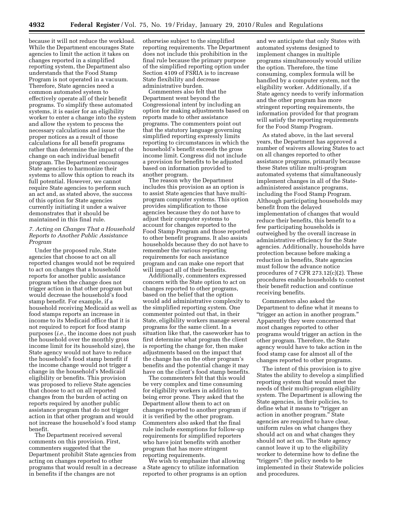because it will not reduce the workload. While the Department encourages State agencies to limit the action it takes on changes reported in a simplified reporting system, the Department also understands that the Food Stamp Program is not operated in a vacuum. Therefore, State agencies need a common automated system to effectively operate all of their benefit programs. To simplify these automated systems, it is easier for an eligibility worker to enter a change into the system and allow the system to process the necessary calculations and issue the proper notices as a result of those calculations for all benefit programs rather than determine the impact of the change on each individual benefit program. The Department encourages State agencies to harmonize their systems to allow this option to reach its full potential. However, we cannot require State agencies to perform such an act and, as stated above, the success of this option for State agencies currently initiating it under a waiver demonstrates that it should be maintained in this final rule.

#### *7. Acting on Changes That a Household Reports to Another Public Assistance Program*

Under the proposed rule, State agencies that choose to act on all reported changes would not be required to act on changes that a household reports for another public assistance program when the change does not trigger action in that other program but would decrease the household's food stamp benefit. For example, if a household receiving Medicaid as well as food stamps reports an increase in income to its Medicaid office that it is not required to report for food stamp purposes (*i.e.,* the income does not push the household over the monthly gross income limit for its household size), the State agency would not have to reduce the household's food stamp benefit if the income change would not trigger a change in the household's Medicaid eligibility or benefits. This provision was proposed to relieve State agencies that choose to act on all reported changes from the burden of acting on reports required by another public assistance program that do not trigger action in that other program and would not increase the household's food stamp benefit.

The Department received several comments on this provision. First, commenters suggested that the Department prohibit State agencies from acting on changes reported to other programs that would result in a decrease in benefits if the changes are not

otherwise subject to the simplified reporting requirements. The Department does not include this prohibition in the final rule because the primary purpose of the simplified reporting option under Section 4109 of FSRIA is to increase State flexibility and decrease administrative burden.

Commenters also felt that the Department went beyond the Congressional intent by including an option for making adjustments based on reports made to other assistance programs. The commenters point out that the statutory language governing simplified reporting expressly limits reporting to circumstances in which the household's benefit exceeds the gross income limit. Congress did not include a provision for benefits to be adjusted based on information provided to another program.

The reason why the Department includes this provision as an option is to assist State agencies that have multiprogram computer systems. This option provides simplification to those agencies because they do not have to adjust their computer systems to account for changes reported to the Food Stamp Program and those reported to other benefit programs. It also assists households because they do not have to remember the various reporting requirements for each assistance program and can make one report that will impact all of their benefits.

Additionally, commenters expressed concern with the State option to act on changes reported to other programs, based on the belief that the option would add administrative complexity to the simplified reporting system. One commenter pointed out that, in their State, eligibility workers manage several programs for the same client. In a situation like that, the caseworker has to first determine what program the client is reporting the change for, then make adjustments based on the impact that the change has on the other program's benefits and the potential change it may have on the client's food stamp benefits.

The commenters felt that this would be very complex and time consuming for eligibility workers in addition to being error prone. They asked that the Department allow them to act on changes reported to another program if it is verified by the other program. Commenters also asked that the final rule include exemptions for follow-up requirements for simplified reporters who have joint benefits with another program that has more stringent reporting requirements.

We wish to emphasize that allowing a State agency to utilize information reported to other programs is an option

and we anticipate that only States with automated systems designed to implement changes in multiple programs simultaneously would utilize the option. Therefore, the time consuming, complex formula will be handled by a computer system, not the eligibility worker. Additionally, if a State agency needs to verify information and the other program has more stringent reporting requirements, the information provided for that program will satisfy the reporting requirements for the Food Stamp Program.

As stated above, in the last several years, the Department has approved a number of waivers allowing States to act on all changes reported to other assistance programs, primarily because these States utilize multi-program automated systems that simultaneously implement changes in all of the Stateadministered assistance programs, including the Food Stamp Program. Although participating households may benefit from the delayed implementation of changes that would reduce their benefits, this benefit to a few participating households is outweighed by the overall increase in administrative efficiency for the State agencies. Additionally, households have protection because before making a reduction in benefits, State agencies must follow the advance notice procedures of 7 CFR  $273.12(c)(2)$ . These procedures enable households to contest their benefit reduction and continue receiving benefits.

Commenters also asked the Department to define what it means to ''trigger an action in another program.'' Apparently they were concerned that most changes reported to other programs would trigger an action in the other program. Therefore, the State agency would have to take action in the food stamp case for almost all of the changes reported to other programs.

The intent of this provision is to give States the ability to develop a simplified reporting system that would meet the needs of their multi-program eligibility system. The Department is allowing the State agencies, in their policies, to define what it means to "trigger an action in another program.'' State agencies are required to have clear, uniform rules on what changes they should act on and what changes they should not act on. The State agency cannot leave it up to the eligibility worker to determine how to define the ''triggers''; the policy needs to be implemented in their Statewide policies and procedures.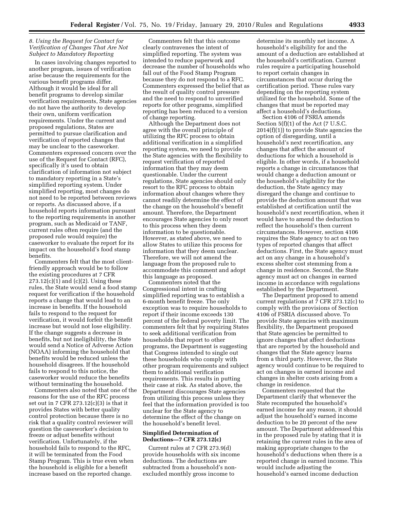#### *8. Using the Request for Contact for Verification of Changes That Are Not Subject to Mandatory Reporting*

In cases involving changes reported to another program, issues of verification arise because the requirements for the various benefit programs differ. Although it would be ideal for all benefit programs to develop similar verification requirements, State agencies do not have the authority to develop their own, uniform verification requirements. Under the current and proposed regulations, States are permitted to pursue clarification and verification of reported changes that may be unclear to the caseworker. Commenters expressed concern over the use of the Request for Contact (RFC), specifically it's used to obtain clarification of information not subject to mandatory reporting in a State's simplified reporting system. Under simplified reporting, most changes do not need to be reported between reviews or reports. As discussed above, if a household reports information pursuant to the reporting requirements in another program, such as Medicaid or TANF, current rules often require (and the proposed rule would require) the caseworker to evaluate the report for its impact on the household's food stamp benefits.

Commenters felt that the most clientfriendly approach would be to follow the existing procedures at 7 CFR  $273.12(c)(1)$  and  $(c)(2)$ . Using these rules, the State would send a food stamp request for verification if the household reports a change that would lead to an increase in benefits. If the household fails to respond to the request for verification, it would forfeit the benefit increase but would not lose eligibility. If the change suggests a decrease in benefits, but not ineligibility, the State would send a Notice of Adverse Action (NOAA) informing the household that benefits would be reduced unless the household disagrees. If the household fails to respond to this notice, the caseworker would reduce the benefits without terminating the household.

Commenters also noted that one of the reasons for the use of the RFC process set out in 7 CFR 273.12(c)(3) is that it provides States with better quality control protection because there is no risk that a quality control reviewer will question the caseworker's decision to freeze or adjust benefits without verification. Unfortunately, if the household fails to respond to the RFC, it will be terminated from the Food Stamp Program. This is true even when the household is eligible for a benefit increase based on the reported change.

Commenters felt that this outcome clearly contravenes the intent of simplified reporting. The system was intended to reduce paperwork and decrease the number of households who fall out of the Food Stamp Program because they do not respond to a RFC. Commenters expressed the belief that as the result of quality control pressure and the need to respond to unverified reports for other programs, simplified reporting has been reduced to a version of change reporting.

Although the Department does not agree with the overall principle of utilizing the RFC process to obtain additional verification in a simplified reporting system, we need to provide the State agencies with the flexibility to request verification of reported information that they may deem questionable. Under the current regulations, State agencies should only resort to the RFC process to obtain information about changes where they cannot readily determine the effect of the change on the household's benefit amount. Therefore, the Department encourages State agencies to only resort to this process when they deem information to be questionable. However, as stated above, we need to allow States to utilize this process for information that they deem unclear. Therefore, we will not amend the language from the proposed rule to accommodate this comment and adopt this language as proposed.

Commenters noted that the Congressional intent in crafting simplified reporting was to establish a 6-month benefit freeze. The only exception was to require households to report if their income exceeds 130 percent of the federal poverty limit. The commenters felt that by requiring States to seek additional verification from households that report to other programs, the Department is suggesting that Congress intended to single out these households who comply with other program requirements and subject them to additional verification requirements. This results in putting their case at risk. As stated above, the Department discourages State agencies from utilizing this process unless they feel that the information provided is too unclear for the State agency to determine the effect of the change on the household's benefit level.

#### **Simplified Determination of Deductions—7 CFR 273.12(c)**

Current rules at 7 CFR 273.9(d) provide households with six income deductions. The deductions are subtracted from a household's nonexcluded monthly gross income to

determine its monthly net income. A household's eligibility for and the amount of a deduction are established at the household's certification. Current rules require a participating household to report certain changes in circumstances that occur during the certification period. These rules vary depending on the reporting system utilized for the household. Some of the changes that must be reported may affect a household's deductions.

Section 4106 of FSRIA amends Section 5(f)(1) of the Act (7 U.S.C. 2014(f)(1)) to provide State agencies the option of disregarding, until a household's next recertification, any changes that affect the amount of deductions for which a household is eligible. In other words, if a household reports a change in circumstances that would change a deduction amount or the household's eligibility for the deduction, the State agency may disregard the change and continue to provide the deduction amount that was established at certification until the household's next recertification, when it would have to amend the deduction to reflect the household's then current circumstances. However, section 4106 requires the State agency to act on two types of reported changes that affect deductions. First, the State agency must act on any change in a household's excess shelter cost stemming from a change in residence. Second, the State agency must act on changes in earned income in accordance with regulations established by the Department.

The Department proposed to amend current regulations at 7 CFR 273.12(c) to comply with the provisions of Section 4106 of FSRIA discussed above. To provide State agencies with maximum flexibility, the Department proposed that State agencies be permitted to ignore changes that affect deductions that are reported by the household and changes that the State agency learns from a third party. However, the State agency would continue to be required to act on changes in earned income and changes in shelter costs arising from a change in residence.

Commenters requested that the Department clarify that whenever the State recomputed the household's earned income for any reason, it should adjust the household's earned income deduction to be 20 percent of the new amount. The Department addressed this in the proposed rule by stating that it is retaining the current rules in the area of making appropriate changes to the household's deductions when there is a reported change in earned income. This would include adjusting the household's earned income deduction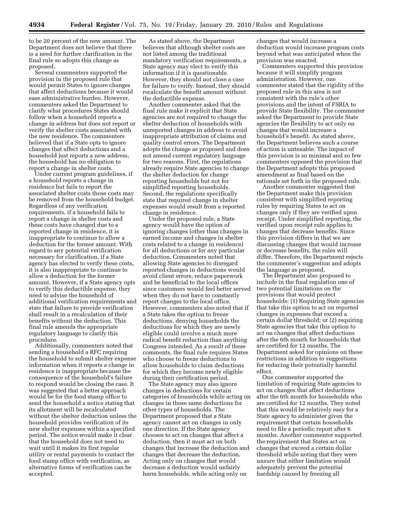to be 20 percent of the new amount. The Department does not believe that there is a need for further clarification in the final rule so adopts this change as proposed.

Several commenters supported the provision in the proposed rule that would permit States to ignore changes that affect deductions because it would ease administrative burden. However, commenters asked the Department to clarify what procedures States should follow when a household reports a change in address but does not report or verify the shelter costs associated with the new residence. The commenters believed that if a State opts to ignore changes that affect deductions and a household just reports a new address, the household has no obligation to report a change in shelter costs.

Under current program guidelines, if a household reports a change in residence but fails to report the associated shelter costs those costs may be removed from the household budget. Regardless of any verification requirements, if a household fails to report a change in shelter costs and these costs have changed due to a reported change in residence, it is inappropriate to continue to allow a deduction for the former amount. With regard to any potential verification necessary for clarification, if a State agency has elected to verify these costs, it is also inappropriate to continue to allow a deduction for the former amount. However, if a State agency opts to verify this deductible expense, they need to advise the household of additional verification requirements and state that failure to provide verification shall result in a recalculation of their benefits without the deduction. This final rule amends the appropriate regulatory language to clarify this procedure.

Additionally, commenters noted that sending a household a RFC requiring the household to submit shelter expense information when it reports a change in residence is inappropriate because the consequence of the household's failure to respond would be closing the case. It was suggested that a better approach would be for the food stamp office to send the household a notice stating that its allotment will be recalculated without the shelter deduction unless the household provides verification of its new shelter expenses within a specified period. The notice would make it clear that the household does not need to wait until it makes its first regular utility or rental payments to contact the food stamp office with verification, as alternative forms of verification can be accepted.

As stated above, the Department believes that although shelter costs are not listed among the traditional mandatory verification requirements, a State agency may elect to verify this information if it is questionable. However, they should not close a case for failure to verify. Instead, they should recalculate the benefit amount without the deductible expense.

Another commenter asked that the final rule make it explicit that State agencies are not required to change the shelter deduction of households with unreported changes in address to avoid inappropriate attribution of claims and quality control errors. The Department adopts the change as proposed and does not amend current regulatory language for two reasons. First, the regulations already require State agencies to change the shelter deduction for change reporting households but not for simplified reporting households. Second, the regulations specifically state that required change in shelter expenses would result from a reported change in residence.

Under the proposed rule, a State agency would have the option of ignoring changes (other than changes in earned income and changes in shelter costs related to a change in residence) for all deductions or for any particular deduction. Commenters noted that allowing State agencies to disregard reported changes in deductions would avoid client errors, reduce paperwork and be beneficial to the local offices since customers would feel better served when they do not have to constantly report changes to the local office. However, commenters also noted that if a State takes the option to freeze deductions, denying households the deductions for which they are newly eligible could involve a much more radical benefit reduction than anything Congress intended. As a result of these comments, the final rule requires States who choose to freeze deductions to allow households to claim deductions for which they become newly eligible during their certification period.

The State agency may also ignore changes in deductions for certain categories of households while acting on changes in those same deductions for other types of households. The Department proposed that a State agency cannot act on changes in only one direction. If the State agency chooses to act on changes that affect a deduction, then it must act on both changes that increase the deduction and changes that decrease the deduction. Acting only on changes that would decrease a deduction would unfairly harm households, while acting only on

changes that would increase a deduction would increase program costs beyond what was anticipated when the provision was enacted.

Commenters supported this provision because it will simplify program administration. However, one commenter stated that the rigidity of the proposed rule in this area is not consistent with the rule's other provisions and the intent of FSRIA to provide State flexibility. The commenter asked the Department to provide State agencies the flexibility to act only on changes that would increase a household's benefit. As stated above, the Department believes such a course of action is untenable. The impact of this provision is so minimal and so few commenters opposed the provision that the Department adopts this proposed amendment as final based on the rationale set forth in the proposed rule.

Another commenter suggested that the Department make this provision consistent with simplified reporting rules by requiring States to act on changes only if they are verified upon receipt. Under simplified reporting, the verified upon receipt rule applies to changes that decrease benefits. Since this provision differs in that we are discussing changes that would increase or decrease benefits, the rules will differ. Therefore, the Department rejects the commenter's suggestion and adopts the language as proposed.

The Department also proposed to include in the final regulation one of two potential limitations on the provisions that would protect households: (1) Requiring State agencies that take this option to act on reported changes in expenses that exceed a certain dollar threshold; or (2) requiring State agencies that take this option to act on changes that affect deductions after the 6th month for households that are certified for 12 months. The Department asked for opinions on these restrictions in addition to suggestions for reducing their potentially harmful effect.

One commenter supported the limitation of requiring State agencies to act on changes that affect deductions after the 6th month for households who are certified for 12 months. They noted that this would be relatively easy for a State agency to administer given the requirement that certain households need to file a periodic report after 6 months. Another commenter supported the requirement that States act on changes that exceed a certain dollar threshold while noting that they were unsure that either limitation would adequately prevent the potential hardship caused by freezing all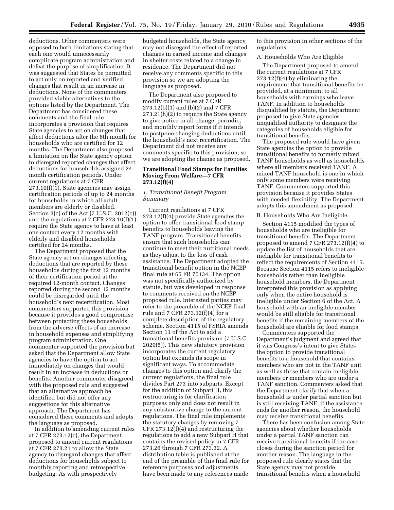deductions. Other commenters were opposed to both limitations stating that each one would unnecessarily complicate program administration and defeat the purpose of simplification. It was suggested that States be permitted to act only on reported and verified changes that result in an increase in deductions. None of the commenters provided viable alternatives to the options listed by the Department. The Department has considered these comments and the final rule incorporates a provision that requires State agencies to act on changes that affect deductions after the 6th month for households who are certified for 12 months. The Department also proposed a limitation on the State agency option to disregard reported changes that affect deductions for households assigned 24 month certification periods. Under current regulations at 7 CFR 273.10(f)(1), State agencies may assign certification periods of up to 24 months for households in which all adult members are elderly or disabled. Section 3(c) of the Act (7 U.S.C. 2012(c)) and the regulations at 7 CFR 273.10(f)(1) require the State agency to have at least one contact every 12 months with elderly and disabled households certified for 24 months.

The Department proposed that the State agency act on changes affecting deductions that are reported by these households during the first 12 months of their certification period at the required 12-month contact. Changes reported during the second 12 months could be disregarded until the household's next recertification. Most commenters supported this provision because it provides a good compromise between protecting these households from the adverse effects of an increase in household expenses and simplifying program administration. One commenter supported the provision but asked that the Department allow State agencies to have the option to act immediately on changes that would result in an increase in deductions or benefits. Another commenter disagreed with the proposed rule and suggested that an alternative approach be identified but did not offer any suggestions for this alternative approach. The Department has considered these comments and adopts the language as proposed.

In addition to amending current rules at 7 CFR 273.12(c), the Department proposed to amend current regulations at 7 CFR 273.21 to allow the State agency to disregard changes that affect deductions for households subject to monthly reporting and retrospective budgeting. As with prospectively

budgeted households, the State agency may not disregard the effect of reported changes in earned income and changes in shelter costs related to a change in residence. The Department did not receive any comments specific to this provision so we are adopting the language as proposed.

The Department also proposed to modify current rules at 7 CFR 273.12(b)(1) and (b)(2) and 7 CFR 273.21(h)(2) to require the State agency to give notice in all change, periodic, and monthly report forms if it intends to postpone changing deductions until the household's next recertification. The Department did not receive any comments specific to this provision, so we are adopting the change as proposed.

#### **Transitional Food Stamps for Families Moving From Welfare—7 CFR 273.12(f)(4)**

#### *1. Transitional Benefit Program Summary*

Current regulations at 7 CFR 273.12(f)(4) provide State agencies the option to offer transitional food stamp benefits to households leaving the TANF program. Transitional benefits ensure that such households can continue to meet their nutritional needs as they adjust to the loss of cash assistance. The Department adopted the transitional benefit option in the NCEP final rule at 65 FR 70134. The option was not specifically authorized by statute, but was developed in response to comments received on the NCEP proposed rule. Interested parties may refer to the preamble of the NCEP final rule and 7 CFR 273.12(f)(4) for a complete description of the regulatory scheme. Section 4115 of FSRIA amends Section 11 of the Act to add a transitional benefits provision (7 U.S.C. 2020(5)). This new statutory provision incorporates the current regulatory option but expands its scope in significant ways. To accommodate changes to this option and clarify the current regulations, the final rule divides Part 273 into subparts. Except for the addition of Subpart H, this restructuring is for clarification purposes only and does not result in any substantive change to the current regulations. The final rule implements the statutory changes by removing 7 CFR 273.12(f)(4) and restructuring the regulations to add a new Subpart H that contains the revised policy in 7 CFR 273.26 through 7 CFR 273.32. A distribution table is published at the end of the preamble of this final rule for reference purposes and adjustments have been made to any references made

to this provision in other sections of the regulations.

#### A. Households Who Are Eligible

The Department proposed to amend the current regulations at 7 CFR  $273.12(f)(4)$  by eliminating the requirement that transitional benefits be provided, at a minimum, to all households with earnings who leave TANF. In addition to households disqualified by statute, the Department proposed to give State agencies unqualified authority to designate the categories of households eligible for transitional benefits.

The proposed rule would have given State agencies the option to provide transitional benefits to formerly mixed TANF households as well as households where all members received TANF. A mixed TANF household is one in which only some members were receiving TANF. Commenters supported this provision because it provides States with needed flexibility. The Department adopts this amendment as proposed.

#### B. Households Who Are Ineligible

Section 4115 modified the types of households who are ineligible for transitional benefits. The Department proposed to amend 7 CFR 273.12(f)(4) to update the list of households that are ineligible for transitional benefits to reflect the requirements of Section 4115. Because Section 4115 refers to ineligible households rather than ineligible household members, the Department interpreted this provision as applying only when the entire household is ineligible under Section 6 of the Act. A household with an ineligible member would be still eligible for transitional benefits if the remaining members of the household are eligible for food stamps.

Commenters supported the Department's judgment and agreed that it was Congress's intent to give States the option to provide transitional benefits to a household that contains members who are not in the TANF unit as well as those that contain ineligible members or members who are under a TANF sanction. Commenters asked that the Department clarify that when a household is under partial sanction but is still receiving TANF, if the assistance ends for another reason, the household may receive transitional benefits.

There has been confusion among State agencies about whether households under a partial TANF sanction can receive transitional benefits if the case closes during the sanction period for another reason. The language in the proposed rule clearly states that the State agency may not provide transitional benefits when a household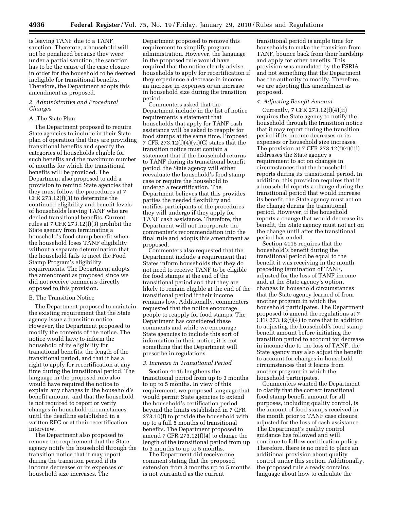is leaving TANF due to a TANF sanction. Therefore, a household will not be penalized because they were under a partial sanction; the sanction has to be the cause of the case closure in order for the household to be deemed ineligible for transitional benefits. Therefore, the Department adopts this amendment as proposed.

#### *2. Administrative and Procedural Changes*

#### A. The State Plan

The Department proposed to require State agencies to include in their State plan of operation that they are providing transitional benefits and specify the categories of households eligible for such benefits and the maximum number of months for which the transitional benefits will be provided. The Department also proposed to add a provision to remind State agencies that they must follow the procedures at 7 CFR 273.12(f)(3) to determine the continued eligibility and benefit levels of households leaving TANF who are denied transitional benefits. Current rules at 7 CFR 273.12(f)(3) prohibit the State agency from terminating a household's food stamp benefit when the household loses TANF eligibility without a separate determination that the household fails to meet the Food Stamp Program's eligibility requirements. The Department adopts the amendment as proposed since we did not receive comments directly opposed to this provision.

#### B. The Transition Notice

The Department proposed to maintain the existing requirement that the State agency issue a transition notice. However, the Department proposed to modify the contents of the notice. The notice would have to inform the household of its eligibility for transitional benefits, the length of the transitional period, and that it has a right to apply for recertification at any time during the transitional period. The language in the proposed rule also would have required the notice to explain any changes in the household's benefit amount, and that the household is not required to report or verify changes in household circumstances until the deadline established in a written RFC or at their recertification interview.

The Department also proposed to remove the requirement that the State agency notify the household through the transition notice that it may report during the transition period if its income decreases or its expenses or household size increases. The

Department proposed to remove this requirement to simplify program administration. However, the language in the proposed rule would have required that the notice clearly advise households to apply for recertification if they experience a decrease in income, an increase in expenses or an increase in household size during the transition period.

Commenters asked that the Department include in the list of notice requirements a statement that households that apply for TANF cash assistance will be asked to reapply for food stamps at the same time. Proposed 7 CFR 273.12(f)(4)(vi)(C) states that the transition notice must contain a statement that if the household returns to TANF during its transitional benefit period, the State agency will either reevaluate the household's food stamp case or require the household to undergo a recertification. The Department believes that this provides parties the needed flexibility and notifies participants of the procedures they will undergo if they apply for TANF cash assistance. Therefore, the Department will not incorporate the commenter's recommendation into the final rule and adopts this amendment as proposed.

Commenters also requested that the Department include a requirement that States inform households that they do not need to receive TANF to be eligible for food stamps at the end of the transitional period and that they are likely to remain eligible at the end of the transitional period if their income remains low. Additionally, commenters requested that the notice encourage people to reapply for food stamps. The Department has considered these comments and while we encourage State agencies to include this sort of information in their notice, it is not something that the Department will prescribe in regulations.

#### *3. Increase in Transitional Period*

Section 4115 lengthens the transitional period from up to 3 months to up to 5 months. In view of this requirement, we proposed language that would permit State agencies to extend the household's certification period beyond the limits established in 7 CFR 273.10(f) to provide the household with up to a full 5 months of transitional benefits. The Department proposed to amend 7 CFR 273.12(f)(4) to change the length of the transitional period from up to 3 months to up to 5 months.

The Department did receive one comment stating that the proposed extension from 3 months up to 5 months is not warranted as the current

transitional period is ample time for households to make the transition from TANF, bounce back from their hardship and apply for other benefits. This provision was mandated by the FSRIA and not something that the Department has the authority to modify. Therefore, we are adopting this amendment as proposed.

#### *4. Adjusting Benefit Amount*

Currently, 7 CFR 273.12(f)(4)(ii) requires the State agency to notify the household through the transition notice that it may report during the transition period if its income decreases or its expenses or household size increases. The provision at 7 CFR  $273.12(f)(4)(iii)$ addresses the State agency's requirement to act on changes in circumstances that the household reports during its transitional period. In addition, this provision requires that if a household reports a change during the transitional period that would increase its benefit, the State agency must act on the change during the transitional period. However, if the household reports a change that would decrease its benefit, the State agency must not act on the change until after the transitional period has ended.

Section 4115 requires that the household's benefit during the transitional period be equal to the benefit it was receiving in the month preceding termination of TANF, adjusted for the loss of TANF income and, at the State agency's option, changes in household circumstances that the State agency learned of from another program in which the household participates. The Department proposed to amend the regulations at 7 CFR 273.12(f)(4) to note that in addition to adjusting the household's food stamp benefit amount before initiating the transition period to account for decrease in income due to the loss of TANF, the State agency may also adjust the benefit to account for changes in household circumstances that it learns from another program in which the household participates.

Commenters wanted the Department to clarify that the correct transitional food stamp benefit amount for all purposes, including quality control, is the amount of food stamps received in the month prior to TANF case closure, adjusted for the loss of cash assistance. The Department's quality control guidance has followed and will continue to follow certification policy. Therefore, there is no need to place an additional provision about quality control under this section. Additionally, the proposed rule already contains language about how to calculate the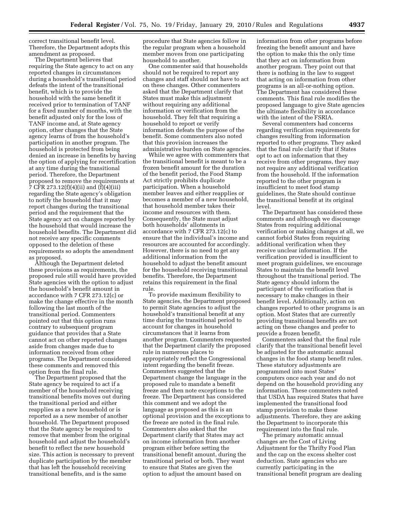correct transitional benefit level. Therefore, the Department adopts this amendment as proposed.

The Department believes that requiring the State agency to act on any reported changes in circumstances during a household's transitional period defeats the intent of the transitional benefit, which is to provide the household with the same benefit it received prior to termination of TANF for a fixed number of months, with the benefit adjusted only for the loss of TANF income and, at State agency option, other changes that the State agency learns of from the household's participation in another program. The household is protected from being denied an increase in benefits by having the option of applying for recertification at any time during the transitional period. Therefore, the Department proposed to remove the requirements at 7 CFR 273.12(f)(4)(ii) and (f)(4)(iii) regarding the State agency's obligation to notify the household that it may report changes during the transitional period and the requirement that the State agency act on changes reported by the household that would increase the household benefits. The Department did not receive any specific comments opposed to the deletion of these requirements so adopts the amendment as proposed.

Although the Department deleted these provisions as requirements, the proposed rule still would have provided State agencies with the option to adjust the household's benefit amount in accordance with 7 CFR 273.12(c) or make the change effective in the month following the last month of the transitional period. Commenters pointed out that this option runs contrary to subsequent program guidance that provides that a State cannot act on other reported changes aside from changes made due to information received from other programs. The Department considered these comments and removed this option from the final rule.

The Department proposed that the State agency be required to act if a member of the household receiving transitional benefits moves out during the transitional period and either reapplies as a new household or is reported as a new member of another household. The Department proposed that the State agency be required to remove that member from the original household and adjust the household's benefit to reflect the new household size. This action is necessary to prevent duplicate participation by the member that has left the household receiving transitional benefits, and is the same

procedure that State agencies follow in the regular program when a household member moves from one participating household to another.

One commenter said that households should not be required to report any changes and staff should not have to act on these changes. Other commenters asked that the Department clarify that States must make this adjustment without requiring any additional information or verification from the household. They felt that requiring a household to report or verify information defeats the purpose of the benefit. Some commenters also noted that this provision increases the administrative burden on State agencies.

While we agree with commenters that the transitional benefit is meant to be a frozen benefit amount for the duration of the benefit period, the Food Stamp Act strictly prohibits duplicate participation. When a household member leaves and either reapplies or becomes a member of a new household, that household member takes their income and resources with them. Consequently, the State must adjust both households' allotments in accordance with 7 CFR 273.12(c) to ensure that the individual's income and resources are accounted for accordingly. However, there is no need to get any additional information from the household to adjust the benefit amount for the household receiving transitional benefits. Therefore, the Department retains this requirement in the final rule.

To provide maximum flexibility to State agencies, the Department proposed to permit State agencies to adjust the household's transitional benefit at any time during the transitional period to account for changes in household circumstances that it learns from another program. Commenters requested that the Department clarify the proposed rule in numerous places to appropriately reflect the Congressional intent regarding the benefit freeze. Commenters suggested that the Department change the language in the proposed rule to mandate a benefit freeze and then note exceptions to the freeze. The Department has considered this comment and we adopt the language as proposed as this is an optional provision and the exceptions to the freeze are noted in the final rule. Commenters also asked that the Department clarify that States may act on income information from another program either before setting the transitional benefit amount, during the transitional period or both. They want to ensure that States are given the option to adjust the amount based on

information from other programs before freezing the benefit amount and have the option to make this the only time that they act on information from another program. They point out that there is nothing in the law to suggest that acting on information from other programs is an all-or-nothing option. The Department has considered these comments. This final rule modifies the proposed language to give State agencies the ultimate flexibility in accordance with the intent of the FSRIA.

Several commenters had concerns regarding verification requirements for changes resulting from information reported to other programs. They asked that the final rule clarify that if States opt to act on information that they receive from other programs, they may not require any additional verification from the household. If the information reported to the other program is insufficient to meet food stamp guidelines, the State should continue the transitional benefit at its original level.

The Department has considered these comments and although we discourage States from requiring additional verification or making changes at all, we cannot forbid States from requiring additional verification when they receive unclear information. If the verification provided is insufficient to meet program guidelines, we encourage States to maintain the benefit level throughout the transitional period. The State agency should inform the participant of the verification that is necessary to make changes in their benefit level. Additionally, action on changes reported to other programs is an option. Most States that are currently providing transitional benefits are not acting on these changes and prefer to provide a frozen benefit.

Commenters asked that the final rule clarify that the transitional benefit level be adjusted for the automatic annual changes in the food stamp benefit rules. These statutory adjustments are programmed into most States' computers once each year and do not depend on the household providing any information. These commenters noted that USDA has required States that have implemented the transitional food stamp provision to make these adjustments. Therefore, they are asking the Department to incorporate this requirement into the final rule.

The primary automatic annual changes are the Cost of Living Adjustment for the Thrifty Food Plan and the cap on the excess shelter cost deduction. State agencies who are currently participating in the transitional benefit program are dealing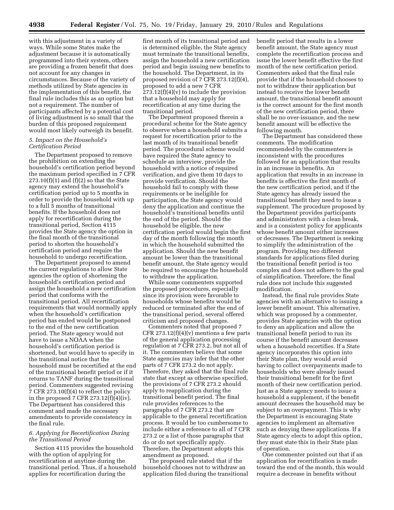with this adjustment in a variety of ways. While some States make the adjustment because it is automatically programmed into their system, others are providing a frozen benefit that does not account for any changes in circumstances. Because of the variety of methods utilized by State agencies in the implementation of this benefit, the final rule includes this as an option but not a requirement. The number of participants affected by a potential cost of living adjustment is so small that the burden of this proposed requirement would most likely outweigh its benefit.

#### *5. Impact on the Household's Certification Period*

The Department proposed to remove the prohibition on extending the household's certification period beyond the maximum period specified in 7 CFR  $273.10(f)(1)$  and  $(f)(2)$  so that the State agency may extend the household's certification period up to 5 months in order to provide the household with up to a full 5 months of transitional benefits. If the household does not apply for recertification during the transitional period, Section 4115 provides the State agency the option in the final month of the transitional period to shorten the household's certification period and require the household to undergo recertification.

The Department proposed to amend the current regulations to allow State agencies the option of shortening the household's certification period and assign the household a new certification period that conforms with the transitional period. All recertification requirements that would normally apply when the household's certification period has ended would be postponed to the end of the new certification period. The State agency would not have to issue a NOAA when the household's certification period is shortened, but would have to specify in the transitional notice that the household must be recertified at the end of the transitional benefit period or if it returns to TANF during the transitional period. Commenters suggested revising 7 CFR 273.10(f)(4) to reflect the policy in the proposed 7 CFR  $273.12(f)(4)(iv)$ . The Department has considered this comment and made the necessary amendments to provide consistency in the final rule.

#### *6. Applying for Recertification During the Transitional Period*

Section 4115 provides the household with the option of applying for recertification at anytime during the transitional period. Thus, if a household applies for recertification during the

first month of its transitional period and is determined eligible, the State agency must terminate the transitional benefits, assign the household a new certification period and begin issuing new benefits to the household. The Department, in its proposed revision of 7 CFR 273.12(f)(4), proposed to add a new 7 CFR  $273.12(f)(4)(v)$  to include the provision that a household may apply for recertification at any time during the transitional period.

The Department proposed therein a procedural scheme for the State agency to observe when a household submits a request for recertification prior to the last month of its transitional benefit period. The procedural scheme would have required the State agency to schedule an interview, provide the household with a notice of required verification, and give them 10 days to provide verification. Should the household fail to comply with these requirements or be ineligible for participation, the State agency would deny the application and continue the household's transitional benefits until the end of the period. Should the household be eligible, the new certification period would begin the first day of the month following the month in which the household submitted the application. Should the new benefit amount be lower than the transitional benefit amount, the State agency would be required to encourage the household to withdraw the application.

While some commenters supported the proposed procedures, especially since its provision were favorable to households whose benefits would be reduced or terminated after the end of the transitional period, several offered criticism and proposed changes.

Commenters noted that proposed 7 CFR  $273.12(f)(4)(v)$  mentions a few parts of the general application processing regulation at 7 CFR 273.2, but not all of it. The commenters believe that some State agencies may infer that the other parts of 7 CFR 273.2 do not apply. Therefore, they asked that the final rule state that except as otherwise specified, the provisions of 7 CFR 273.2 should apply to reapplication during the transitional benefit period. The final rule provides references to the paragraphs of 7 CFR 273.2 that are applicable to the general recertification process. It would be too cumbersome to include either a reference to all of 7 CFR 273.2 or a list of those paragraphs that do or do not specifically apply. Therefore, the Department adopts this amendment as proposed.

The proposed rule stated that if the household chooses not to withdraw an application filed during the transitional benefit period that results in a lower benefit amount, the State agency must complete the recertification process and issue the lower benefit effective the first month of the new certification period. Commenters asked that the final rule provide that if the household chooses to not to withdraw their application but instead to receive the lower benefit amount, the transitional benefit amount is the correct amount for the first month of the new certification period, there shall be no over-issuance, and the new benefit amount will be effective the following month.

The Department has considered these comments. The modification recommended by the commenters is inconsistent with the procedures followed for an application that results in an increase in benefits. An application that results in an increase in benefits is effective the first month of the new certification period, and if the State agency has already issued the transitional benefit they need to issue a supplement. The procedure proposed by the Department provides participants and administrators with a clean break, and is a consistent policy for applicants whose benefit amount either increases or decreases. The Department is seeking to simplify the administration of the program. Providing two different standards for applications filed during the transitional benefit period is too complex and does not adhere to the goal of simplification. Therefore, the final rule does not include this suggested modification.

Instead, the final rule provides State agencies with an alternative to issuing a lower benefit amount. This alternative, which was proposed by a commenter, provides State agencies with the option to deny an application and allow the transitional benefit period to run its course if the benefit amount decreases when a household recertifies. If a State agency incorporates this option into their State plan, they would avoid having to collect overpayments made to households who were already issued their transitional benefit for the first month of their new certification period. Just as a State agency needs to issue a household a supplement, if the benefit amount decreases the household may be subject to an overpayment. This is why the Department is encouraging State agencies to implement an alternative such as denying these applications. If a State agency elects to adopt this option, they must state this in their State plan of operation.

One commenter pointed out that if an application for recertification is made toward the end of the month, this would require a decrease in benefits without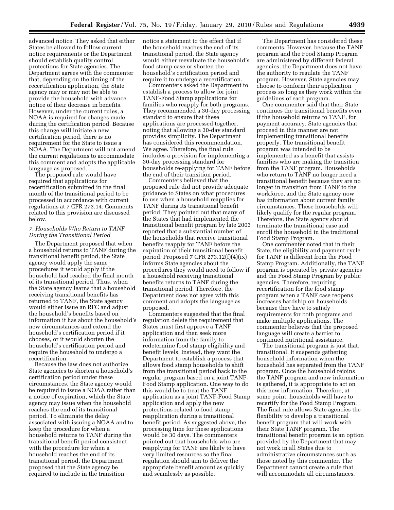advanced notice. They asked that either States be allowed to follow current notice requirements or the Department should establish quality control protections for State agencies. The Department agrees with the commenter that, depending on the timing of the recertification application, the State agency may or may not be able to provide the household with advance notice of their decrease in benefits. However, under the current rules, a NOAA is required for changes made during the certification period. Because this change will initiate a new certification period, there is no requirement for the State to issue a NOAA. The Department will not amend the current regulations to accommodate this comment and adopts the applicable language as proposed.

The proposed rule would have required that applications for recertification submitted in the final month of the transitional period to be processed in accordance with current regulations at 7 CFR 273.14. Comments related to this provision are discussed below.

#### *7. Households Who Return to TANF During the Transitional Period*

The Department proposed that when a household returns to TANF during the transitional benefit period, the State agency would apply the same procedures it would apply if the household had reached the final month of its transitional period. Thus, when the State agency learns that a household receiving transitional benefits has returned to TANF, the State agency would either issue an RFC and adjust the household's benefits based on information it has about the household's new circumstances and extend the household's certification period if it chooses, or it would shorten the household's certification period and require the household to undergo a recertification.

Because the law does not authorize State agencies to shorten a household's certification period under these circumstances, the State agency would be required to issue a NOAA rather than a notice of expiration, which the State agency may issue when the household reaches the end of its transitional period. To eliminate the delay associated with issuing a NOAA and to keep the procedure for when a household returns to TANF during the transitional benefit period consistent with the procedure for when a household reaches the end of its transitional period, the Department proposed that the State agency be required to include in the transition

notice a statement to the effect that if the household reaches the end of its transitional period, the State agency would either reevaluate the household's food stamp case or shorten the household's certification period and require it to undergo a recertification.

Commenters asked the Department to establish a process to allow for joint TANF-Food Stamp applications for families who reapply for both programs. They recommended a 30-day processing standard to ensure that these applications are processed together, noting that allowing a 30-day standard provides simplicity. The Department has considered this recommendation. We agree. Therefore, the final rule includes a provision for implementing a 30-day processing standard for households re-applying for TANF before the end of their transition period.

Commenters believed that the proposed rule did not provide adequate guidance to States on what procedures to use when a household reapplies for TANF during its transitional benefit period. They pointed out that many of the States that had implemented the transitional benefit program by late 2003 reported that a substantial number of the households that receive transitional benefits reapply for TANF before the expiration of their transitional benefit period. Proposed 7 CFR 273.12(f)(4)(ix) informs State agencies about the procedures they would need to follow if a household receiving transitional benefits returns to TANF during the transitional period. Therefore, the Department does not agree with this comment and adopts the language as proposed.

Commenters suggested that the final regulation delete the requirement that States must first approve a TANF application and then seek more information from the family to redetermine food stamp eligibility and benefit levels. Instead, they want the Department to establish a process that allows food stamp households to shift from the transitional period back to the regular program based on a joint TANF-Food Stamp application. One way to do this would be to treat the TANF application as a joint TANF-Food Stamp application and apply the new protections related to food stamp reapplication during a transitional benefit period. As suggested above, the processing time for these applications would be 30 days. The commenters pointed out that households who are reapplying for TANF are likely to have very limited resources so the final regulation should aim to deliver the appropriate benefit amount as quickly and seamlessly as possible.

The Department has considered these comments. However, because the TANF program and the Food Stamp Program are administered by different federal agencies, the Department does not have the authority to regulate the TANF program. However, State agencies may choose to conform their application process so long as they work within the guidelines of each program.

One commenter said that their State continues the transitional benefits even if the household returns to TANF, for payment accuracy. State agencies that proceed in this manner are not implementing transitional benefits properly. The transitional benefit program was intended to be implemented as a benefit that assists families who are making the transition from the TANF program. Households who return to TANF no longer need a transitional benefit because they are no longer in transition from TANF to the workforce, and the State agency now has information about current family circumstances. These households will likely qualify for the regular program. Therefore, the State agency should terminate the transitional case and enroll the household in the traditional Food Stamp Program.

One commenter noted that in their State, the eligibility and payment cycle for TANF is different from the Food Stamp Program. Additionally, the TANF program is operated by private agencies and the Food Stamp Program by public agencies. Therefore, requiring recertification for the food stamp program when a TANF case reopens increases hardship on households because they have to satisfy requirements for both programs and make multiple applications. The commenter believes that the proposed language will create a barrier to continued nutritional assistance.

The transitional program is just that, transitional. It suspends gathering household information when the household has separated from the TANF program. Once the household rejoins the TANF program and new information is gathered, it is appropriate to act on this new information. Therefore, at some point, households will have to recertify for the Food Stamp Program. The final rule allows State agencies the flexibility to develop a transitional benefit program that will work with their State TANF program. The transitional benefit program is an option provided by the Department that may not work in all States due to administrative circumstances such as those noted by this commenter. The Department cannot create a rule that will accommodate all circumstances.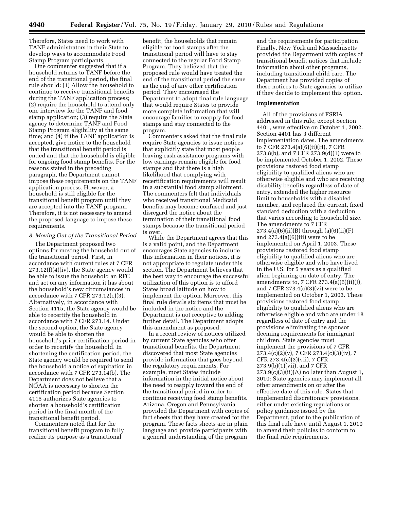Therefore, States need to work with TANF administrators in their State to develop ways to accommodate Food Stamp Program participants.

One commenter suggested that if a household returns to TANF before the end of the transitional period, the final rule should: (1) Allow the household to continue to receive transitional benefits during the TANF application process; (2) require the household to attend only one interview for the TANF and food stamp application; (3) require the State agency to determine TANF and Food Stamp Program eligibility at the same time; and (4) if the TANF application is accepted, give notice to the household that the transitional benefit period is ended and that the household is eligible for ongoing food stamp benefits. For the reasons stated in the preceding paragraph, the Department cannot impose these requirements on the TANF application process. However, a household is still eligible for the transitional benefit program until they are accepted into the TANF program. Therefore, it is not necessary to amend the proposed language to impose these requirements.

#### *8. Moving Out of the Transitional Period*

The Department proposed two options for moving the household out of the transitional period. First, in accordance with current rules at 7 CFR  $273.12(f)(4)(iv)$ , the State agency would be able to issue the household an RFC and act on any information it has about the household's new circumstances in accordance with 7 CFR  $273.12(c)(3)$ . Alternatively, in accordance with Section 4115, the State agency would be able to recertify the household in accordance with 7 CFR 273.14. Under the second option, the State agency would be able to shorten the household's prior certification period in order to recertify the household. In shortening the certification period, the State agency would be required to send the household a notice of expiration in accordance with 7 CFR 273.14(b). The Department does not believe that a NOAA is necessary to shorten the certification period because Section 4115 authorizes State agencies to shorten a household's certification period in the final month of the transitional benefit period.

Commenters noted that for the transitional benefit program to fully realize its purpose as a transitional

benefit, the households that remain eligible for food stamps after the transitional period will have to stay connected to the regular Food Stamp Program. They believed that the proposed rule would have treated the end of the transitional period the same as the end of any other certification period. They encouraged the Department to adopt final rule language that would require States to provide more complete information that will encourage families to reapply for food stamps and stay connected to the program.

Commenters asked that the final rule require State agencies to issue notices that explicitly state that most people leaving cash assistance programs with low earnings remain eligible for food stamps and that there is a high likelihood that complying with recertification requirements will result in a substantial food stamp allotment. The commenters felt that individuals who received transitional Medicaid benefits may become confused and just disregard the notice about the termination of their transitional food stamps because the transitional period is over.

While the Department agrees that this is a valid point, and the Department encourages State agencies to include this information in their notices, it is not appropriate to regulate under this section. The Department believes that the best way to encourage the successful utilization of this option is to afford States broad latitude on how to implement the option. Moreover, this final rule details six items that must be included in the notice and the Department is not receptive to adding further detail. The Department adopts this amendment as proposed.

In a recent review of notices utilized by current State agencies who offer transitional benefits, the Department discovered that most State agencies provide information that goes beyond the regulatory requirements. For example, most States include information in the initial notice about the need to reapply toward the end of the transitional period in order to continue receiving food stamp benefits. Arizona, Oregon and Pennsylvania provided the Department with copies of fact sheets that they have created for the program. These facts sheets are in plain language and provide participants with a general understanding of the program

and the requirements for participation. Finally, New York and Massachusetts provided the Department with copies of transitional benefit notices that include information about other programs, including transitional child care. The Department has provided copies of these notices to State agencies to utilize if they decide to implement this option.

#### **Implementation**

All of the provisions of FSRIA addressed in this rule, except Section 4401, were effective on October 1, 2002. Section 4401 has 3 different implementation dates. The amendments to 7 CFR 273.4(a)(6)(ii)(H), 7 CFR 273.8(b), and 7 CFR 273.9(d)(1) were to be implemented October 1, 2002. These provisions restored food stamp eligibility to qualified aliens who are otherwise eligible and who are receiving disability benefits regardless of date of entry, extended the higher resource limit to households with a disabled member, and replaced the current, fixed standard deduction with a deduction that varies according to household size. The amendments to 7 CFR  $273.4(a)(6)(ii)(B)$  through  $(a)(6)(ii)(F)$ and 273.4(a)(6)(iii) were to be implemented on April 1, 2003. These provisions restored food stamp eligibility to qualified aliens who are otherwise eligible and who have lived in the U.S. for 5 years as a qualified alien beginning on date of entry. The amendments to, 7 CFR 273.4(a)(6)(ii)(J), and 7 CFR 273.4(c)(3)(vi) were to be implemented on October 1, 2003. These provisions restored food stamp eligibility to qualified aliens who are otherwise eligible and who are under 18 regardless of date of entry and the provisions eliminating the sponsor deeming requirements for immigrant children. State agencies must implement the provisions of 7 CFR 273.4(c)(2)(v), 7 CFR 273.4(c)(3)(iv), 7 CFR 273.4(c)(3)(vii), 7 CFR 273.9(b)(1)(vii), and 7 CFR  $273.9(c)(3)(ii)(A)$  no later than August 1, 2010: State agencies may implement all other amendments on or after the effective date of this rule. States that implemented discretionary provisions, either under existing regulations or policy guidance issued by the Department, prior to the publication of this final rule have until August 1, 2010 to amend their policies to conform to the final rule requirements.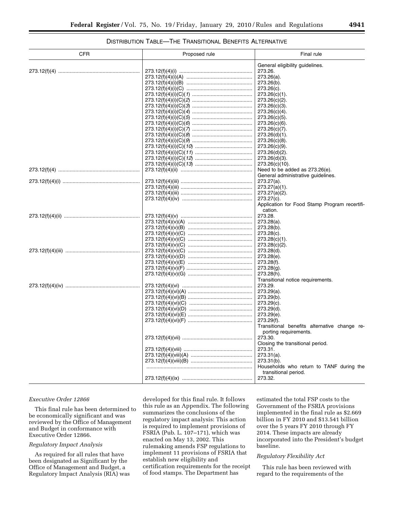#### DISTRIBUTION TABLE—THE TRANSITIONAL BENEFITS ALTERNATIVE

| CFR | Proposed rule | Final rule<br>General eligibility guidelines.              |  |  |
|-----|---------------|------------------------------------------------------------|--|--|
|     |               |                                                            |  |  |
|     |               | 273.26.                                                    |  |  |
|     |               | 273.26(a).                                                 |  |  |
|     |               | 273.26(b).                                                 |  |  |
|     |               | $273.26(c)$ .                                              |  |  |
|     |               | 273.26(c)(1).                                              |  |  |
|     |               | 273.26(c)(2).                                              |  |  |
|     |               | $273.26(c)(3)$ .                                           |  |  |
|     |               | 273.26(c)(4).                                              |  |  |
|     |               | $273.26(c)(5)$ .                                           |  |  |
|     |               | $273.26(c)(6)$ .                                           |  |  |
|     |               | $273.26(c)(7)$ .                                           |  |  |
|     |               | $273.26(d)(1)$ .                                           |  |  |
|     |               | $273.26(c)(8)$ .                                           |  |  |
|     |               | $273.26(c)(9)$ .                                           |  |  |
|     |               | $273.26(d)(2)$ .                                           |  |  |
|     |               | $273.26(d)(3)$ .                                           |  |  |
|     |               | 273.26(c)(10).                                             |  |  |
|     |               | Need to be added as 273.26(e).                             |  |  |
|     |               | General administrative quidelines.                         |  |  |
|     |               | $273.27(a)$ .                                              |  |  |
|     |               | $273.27(a)(1)$ .                                           |  |  |
|     |               | $273.27(a)(2)$ .                                           |  |  |
|     |               | 273.27(c).                                                 |  |  |
|     |               |                                                            |  |  |
|     |               | Application for Food Stamp Program recertifi-<br>cation.   |  |  |
|     |               | 273.28.                                                    |  |  |
|     |               | $273.28(a)$ .                                              |  |  |
|     |               | 273.28(b).                                                 |  |  |
|     |               | 273.28(c).                                                 |  |  |
|     |               | $273.28(c)(1)$ .                                           |  |  |
|     |               | 273.28(c)(2).                                              |  |  |
|     |               | 273.28(d).                                                 |  |  |
|     |               | 273.28(e).                                                 |  |  |
|     |               | 273.28(f).                                                 |  |  |
|     |               | $273.28(q)$ .                                              |  |  |
|     |               | 273.28(h).                                                 |  |  |
|     |               | Transitional notice requirements.                          |  |  |
|     |               | 273.29.                                                    |  |  |
|     |               | 273.29(a).                                                 |  |  |
|     |               | 273.29(b).                                                 |  |  |
|     |               | 273.29(c).                                                 |  |  |
|     |               | $273.29(d)$ .                                              |  |  |
|     |               |                                                            |  |  |
|     |               | 273.29(e).                                                 |  |  |
|     |               | 273.29(f).<br>Transitional benefits alternative change re- |  |  |
|     |               | porting requirements.                                      |  |  |
|     |               | 273.30.                                                    |  |  |
|     |               | Closing the transitional period.                           |  |  |
|     |               | 273.31.                                                    |  |  |
|     |               | $273.31(a)$ .                                              |  |  |
|     |               | $273.31(b)$ .                                              |  |  |
|     |               | Households who return to TANF during the                   |  |  |
|     |               | transitional period.                                       |  |  |
|     |               | 273.32.                                                    |  |  |
|     |               |                                                            |  |  |

#### *Executive Order 12866*

This final rule has been determined to be economically significant and was reviewed by the Office of Management and Budget in conformance with Executive Order 12866.

#### *Regulatory Impact Analysis*

As required for all rules that have been designated as Significant by the Office of Management and Budget, a Regulatory Impact Analysis (RIA) was developed for this final rule. It follows this rule as an Appendix. The following summarizes the conclusions of the regulatory impact analysis: This action is required to implement provisions of FSRIA (Pub. L. 107–171), which was enacted on May 13, 2002. This rulemaking amends FSP regulations to implement 11 provisions of FSRIA that establish new eligibility and certification requirements for the receipt of food stamps. The Department has

estimated the total FSP costs to the Government of the FSRIA provisions implemented in the final rule as \$2.669 billion in FY 2010 and \$13.541 billion over the 5 years FY 2010 through FY 2014. These impacts are already incorporated into the President's budget baseline.

#### *Regulatory Flexibility Act*

This rule has been reviewed with regard to the requirements of the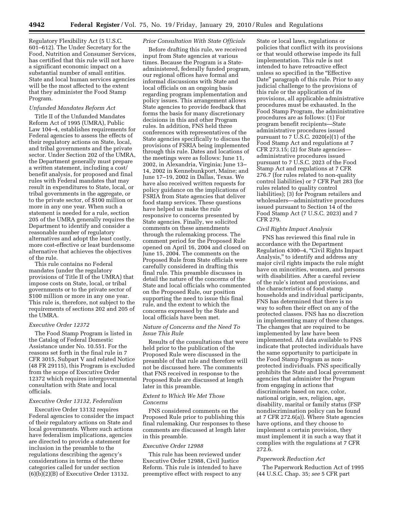Regulatory Flexibility Act (5 U.S.C. 601–612). The Under Secretary for the Food, Nutrition and Consumer Services, has certified that this rule will not have a significant economic impact on a substantial number of small entities. State and local human services agencies will be the most affected to the extent that they administer the Food Stamp Program.

#### *Unfunded Mandates Reform Act*

Title II of the Unfunded Mandates Reform Act of 1995 (UMRA), Public Law 104–4, establishes requirements for Federal agencies to assess the effects of their regulatory actions on State, local, and tribal governments and the private sector. Under Section 202 of the UMRA, the Department generally must prepare a written statement, including a cost/ benefit analysis, for proposed and final rules with Federal mandates that may result in expenditures to State, local, or tribal governments in the aggregate, or to the private sector, of \$100 million or more in any one year. When such a statement is needed for a rule, section 205 of the UMRA generally requires the Department to identify and consider a reasonable number of regulatory alternatives and adopt the least costly, more cost-effective or least burdensome alternative that achieves the objectives of the rule.

This rule contains no Federal mandates (under the regulatory provisions of Title II of the UMRA) that impose costs on State, local, or tribal governments or to the private sector of \$100 million or more in any one year. This rule is, therefore, not subject to the requirements of sections 202 and 205 of the UMRA.

#### *Executive Order 12372*

The Food Stamp Program is listed in the Catalog of Federal Domestic Assistance under No. 10.551. For the reasons set forth in the final rule in 7 CFR 3015, Subpart V and related Notice (48 FR 29115), this Program is excluded from the scope of Executive Order 12372 which requires intergovernmental consultation with State and local officials.

#### *Executive Order 13132, Federalism*

Executive Order 13132 requires Federal agencies to consider the impact of their regulatory actions on State and local governments. Where such actions have federalism implications, agencies are directed to provide a statement for inclusion in the preamble to the regulations describing the agency's considerations in terms of the three categories called for under section (6)(b)(2)(B) of Executive Order 13132.

#### *Prior Consultation With State Officials*

Before drafting this rule, we received input from State agencies at various times. Because the Program is a Stateadministered, federally funded program, our regional offices have formal and informal discussions with State and local officials on an ongoing basis regarding program implementation and policy issues. This arrangement allows State agencies to provide feedback that forms the basis for many discretionary decisions in this and other Program rules. In addition, FNS held three conferences with representatives of the State agencies specifically to discuss the provisions of FSRIA being implemented through this rule. Dates and locations of the meetings were as follows: June 11, 2002, in Alexandria, Virginia; June 13– 14, 2002 in Kennebunkport, Maine; and June 17–19, 2002 in Dallas, Texas. We have also received written requests for policy guidance on the implications of FSRIA from State agencies that deliver food stamp services. These questions have helped us make the rule responsive to concerns presented by State agencies. Finally, we solicited comments on these amendments through the rulemaking process. The comment period for the Proposed Rule opened on April 16, 2004 and closed on June 15, 2004. The comments on the Proposed Rule from State officials were carefully considered in drafting this final rule. This preamble discusses in detail the nature of the concerns of the State and local officials who commented on the Proposed Rule, our position supporting the need to issue this final rule, and the extent to which the concerns expressed by the State and local officials have been met.

#### *Nature of Concerns and the Need To Issue This Rule*

Results of the consultations that were held prior to the publication of the Proposed Rule were discussed in the preamble of that rule and therefore will not be discussed here. The comments that FNS received in response to the Proposed Rule are discussed at length later in this preamble.

#### *Extent to Which We Met Those Concerns*

FNS considered comments on the Proposed Rule prior to publishing this final rulemaking. Our responses to these comments are discussed at length later in this preamble.

#### *Executive Order 12988*

This rule has been reviewed under Executive Order 12988, Civil Justice Reform. This rule is intended to have preemptive effect with respect to any

State or local laws, regulations or policies that conflict with its provisions or that would otherwise impede its full implementation. This rule is not intended to have retroactive effect unless so specified in the ''Effective Date'' paragraph of this rule. Prior to any judicial challenge to the provisions of this rule or the application of its provisions, all applicable administrative procedures must be exhausted. In the Food Stamp Program, the administrative procedures are as follows: (1) For program benefit recipients—State administrative procedures issued pursuant to 7 U.S.C. 2020(e)(1) of the Food Stamp Act and regulations at 7 CFR 273.15; (2) for State agencies administrative procedures issued pursuant to 7 U.S.C. 2023 of the Food Stamp Act and regulations at 7 CFR 276.7 (for rules related to non-quality control liabilities) or 7 CFR Part 283 (for rules related to quality control liabilities); (3) for Program retailers and wholesalers—administrative procedures issued pursuant to Section 14 of the Food Stamp Act (7 U.S.C. 2023) and 7 CFR 279.

#### *Civil Rights Impact Analysis*

FNS has reviewed this final rule in accordance with the Department Regulation 4300–4, ''Civil Rights Impact Analysis,'' to identify and address any major civil rights impacts the rule might have on minorities, women, and persons with disabilities. After a careful review of the rule's intent and provisions, and the characteristics of food stamp households and individual participants, FNS has determined that there is no way to soften their effect on any of the protected classes. FNS has no discretion in implementing many of these changes. The changes that are required to be implemented by law have been implemented. All data available to FNS indicate that protected individuals have the same opportunity to participate in the Food Stamp Program as nonprotected individuals. FNS specifically prohibits the State and local government agencies that administer the Program from engaging in actions that discriminate based on race, color, national origin, sex, religion, age, disability, marital or family status (FSP nondiscrimination policy can be found at 7 CFR 272.6(a)). Where State agencies have options, and they choose to implement a certain provision, they must implement it in such a way that it complies with the regulations at 7 CFR 272.6.

#### *Paperwork Reduction Act*

The Paperwork Reduction Act of 1995 (44 U.S.C. Chap. 35; *see* 5 CFR part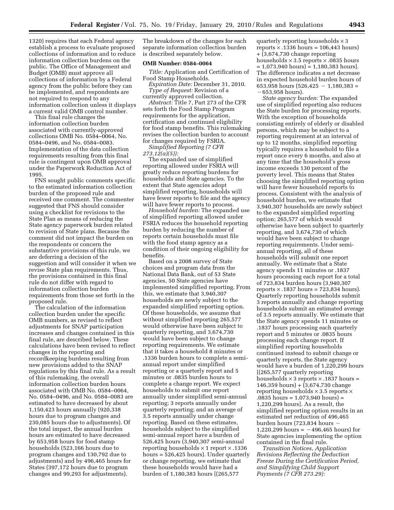1320) requires that each Federal agency establish a process to evaluate proposed collections of information and to reduce information collection burdens on the public. The Office of Management and Budget (OMB) must approve all collections of information by a Federal agency from the public before they can be implemented, and respondents are not required to respond to any information collection unless it displays a current valid OMB control number.

This final rule changes the information collection burden associated with currently-approved collections OMB No. 0584–0064, No. 0584–0496, and No. 0584–0083. Implementation of the data collection requirements resulting from this final rule is contingent upon OMB approval under the Paperwork Reduction Act of 1995.

FNS sought public comments specific to the estimated information collection burden of the proposed rule and received one comment. The commenter suggested that FNS should consider using a checklist for revisions to the State Plan as means of reducing the State agency paperwork burden related to revision of State plans. Because the comment did not impact the burden on the respondents or concern the substantive provisions of this rule, we are deferring a decision of the suggestion and will consider it when we revise State plan requirements. Thus, the provisions contained in this final rule do not differ with regard to information collection burden requirements from those set forth in the proposed rule.

The calculation of the information collection burden under the specific OMB numbers, as revised to reflect adjustments for SNAP participation increases and changes contained in this final rule, are described below. These calculations have been revised to reflect changes in the reporting and recordkeeping burdens resulting from new provisions added to the SNAP regulations by this final rule. As a result of this rulemaking, the overall information collection burden hours associated with OMB No. 0584–0064, No. 0584–0496, and No. 0584–0083 are estimated to have decreased by about 1,150,423 hours annually (920,338 hours due to program changes and 230,085 hours due to adjustments). Of the total impact, the annual burden hours are estimated to have decreased by 653,958 hours for food stamp households (523,166 hours due to program changes and 130,792 due to adjustments) and by 496,465 hours for States (397,172 hours due to program changes and 99,293 for adjustments).

The breakdown of the changes for each separate information collection burden is described separately below.

#### **OMB Number: 0584–0064**

*Title:* Application and Certification of Food Stamp Households.

*Expiration Date:* December 31, 2010. *Type of Request:* Revision of a currently approved collection.

*Abstract:* Title 7, Part 273 of the CFR sets forth the Food Stamp Program requirements for the application, certification and continued eligibility for food stamp benefits. This rulemaking revises the collection burden to account for changes required by FSRIA.

*Simplified Reporting (7 CFR 273.12(a)(5)):* 

The expanded use of simplified reporting allowed under FSRIA will greatly reduce reporting burdens for households and State agencies. To the extent that State agencies adopt simplified reporting, households will have fewer reports to file and the agency will have fewer reports to process.

*Household burden:* The expanded use of simplified reporting allowed under FSRIA reduces the household reporting burden by reducing the number of reports certain households must file with the food stamp agency as a condition of their ongoing eligibility for benefits.

Based on a 2008 survey of State choices and program data from the National Data Bank, out of 53 State agencies, 50 State agencies have implemented simplified reporting. From this, we estimate that 3,940,307 households are newly subject to the expanded simplified reporting option. Of these households, we assume that without simplified reporting 265,577 would otherwise have been subject to quarterly reporting, and 3,674,730 would have been subject to change reporting requirements. We estimate that it takes a household 8 minutes or .1336 burden hours to complete a semiannual report under simplified reporting or a quarterly report and 5 minutes or .0835 burden hours to complete a change report. We expect households to submit one report annually under simplified semi-annual reporting; 3 reports annually under quarterly reporting; and an average of 3.5 reports annually under change reporting. Based on these estimates, households subject to the simplified semi-annual report have a burden of 526,425 hours (3,940,307 semi-annual reporting households  $\times$  1 report  $\times$  .1336 hours = 526,425 hours). Under quarterly or change reporting, we estimate that these households would have had a burden of 1,180,383 hours [(265,577

quarterly reporting households  $\times$  3 reports  $\times$  .1336 hours = 106,443 hours) + (3,674,730 change reporting households  $\times$  3.5 reports  $\times$  .0835 hours  $= 1,073,940$  hours)  $= 1,180,383$  hours]. The difference indicates a net decrease in expected household burden hours of 653,958 hours  $(526, 425 - 1, 180, 383 =$  $-653.958$  hours).

*State agency burden:* The expanded use of simplified reporting also reduces the State burden for processing reports. With the exception of households consisting entirely of elderly or disabled persons, which may be subject to a reporting requirement at an interval of up to 12 months, simplified reporting typically requires a household to file a report once every 6 months, and also at any time that the household's gross income exceeds 130 percent of the poverty level. This means that States choosing the simplified reporting option will have fewer household reports to process. Consistent with the analysis of household burden, we estimate that 3,940,307 households are newly subject to the expanded simplified reporting option; 265,577 of which would otherwise have been subject to quarterly reporting, and 3,674,730 of which would have been subject to change reporting requirements. Under semiannual reporting, all of these households will submit one report annually. We estimate that a State agency spends 11 minutes or .1837 hours processing each report for a total of 723,834 burden hours (3,940,307 reports  $\times$  .1837 hours = 723,834 hours). Quarterly reporting households submit 3 reports annually and change reporting households submit an estimated average of 3.5 reports annually. We estimate that the State agency spends 11 minutes or .1837 hours processing each quarterly report and 5 minutes or .0835 hours processing each change report. If simplified reporting households continued instead to submit change or quarterly reports, the State agency would have a burden of 1,220,299 hours [(265,577 quarterly reporting households  $\times$  3 reports  $\times$  .1837 hours = 146,359 hours) + (3,674,730 change reporting households  $\times$  3.5 reports  $\times$ .0835 hours = 1,073,940 hours) = 1,220,299 hours]. As a result, the simplified reporting option results in an estimated net reduction of 496,465 burden hours  $(723, 834)$  hours  $\cdot$  $1,220,299$  hours =  $-496,465$  hours) for State agencies implementing the option contained in the final rule.

*Transition Notices, Application Revisions Reflecting the Deduction Freeze During the Certification Period, and Simplifying Child Support Payments (7 CFR 273.29):*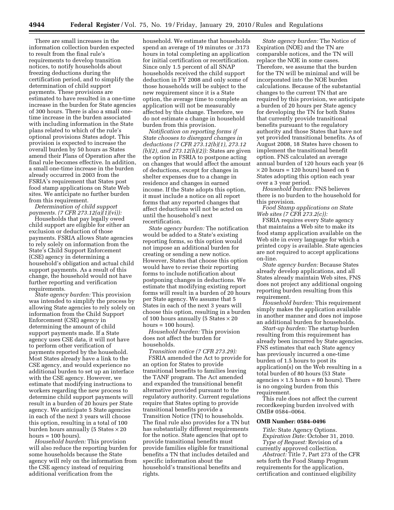There are small increases in the information collection burden expected to result from the final rule's requirements to develop transition notices, to notify households about freezing deductions during the certification period, and to simplify the determination of child support payments. These provisions are estimated to have resulted in a one-time increase in the burden for State agencies of 300 hours. There is also a small onetime increase in the burden associated with including information in the State plans related to which of the rule's optional provisions States adopt. This provision is expected to increase the overall burden by 50 hours as States amend their Plans of Operation after the final rule becomes effective. In addition, a small one-time increase in the burden already occurred in 2003 from the FSRIA's requirement that States post food stamp applications on State Web sites. We anticipate no further burden from this requirement.

*Determination of child support payments. (7 CFR 273.12(a)(1)(vi)):* 

Households that pay legally owed child support are eligible for either an exclusion or deduction of those payments. FSRIA allows State agencies to rely solely on information from the State's Child Support Enforcement (CSE) agency in determining a household's obligation and actual child support payments. As a result of this change, the household would not have further reporting and verification requirements.

*State agency burden:* This provision was intended to simplify the process by allowing State agencies to rely solely on information from the Child Support Enforcement (CSE) agency in determining the amount of child support payments made. If a State agency uses CSE data, it will not have to perform other verification of payments reported by the household. Most States already have a link to the CSE agency, and would experience no additional burden to set up an interface with the CSE agency. However, we estimate that modifying instructions to workers regarding the new process to determine child support payments will result in a burden of 20 hours per State agency. We anticipate 5 State agencies in each of the next 3 years will choose this option, resulting in a total of 100 burden hours annually (5 States  $\times$  20  $hours = 100 hours$ .

*Household burden:* This provision will also reduce the reporting burden for some households because the State agency will rely on the information from the CSE agency instead of requiring additional verification from the

household. We estimate that households spend an average of 19 minutes or .3173 hours in total completing an application for initial certification or recertification. Since only 1.5 percent of all SNAP households received the child support deduction in FY 2008 and only some of those households will be subject to the new requirement since it is a State option, the average time to complete an application will not be measurably affected by this change. Therefore, we do not estimate a change in household burden from this provision.

*Notification on reporting forms if State chooses to disregard changes in deductions (7 CFR 273.12(b)(1), 273.12 (b)(2), and 273.12(h)(2)):* States are given the option in FSRIA to postpone acting on changes that would affect the amount of deductions, except for changes in shelter expenses due to a change in residence and changes in earned income. If the State adopts this option, it must include a notice on all report forms that any reported changes that affect deductions will not be acted on until the household's next recertification.

*State agency burden:* The notification would be added to a State's existing reporting forms, so this option would not impose an additional burden for creating or sending a new notice. However, States that choose this option would have to revise their reporting forms to include notification about postponing changes in deductions. We estimate that modifying existing report forms will result in a burden of 20 hours per State agency. We assume that 5 States in each of the next 3 years will choose this option, resulting in a burden of 100 hours annually (5 States  $\times$  20 hours  $= 100$  hours).

*Household burden:* This provision does not affect the burden for households.

*Transition notice (7 CFR 273.29):*  FSRIA amended the Act to provide for an option for States to provide transitional benefits to families leaving the TANF program. The Act amended and expanded the transitional benefit alternative provided pursuant to the regulatory authority. Current regulations require that States opting to provide transitional benefits provide a Transition Notice (TN) to households. The final rule also provides for a TN but has substantially different requirements for the notice. State agencies that opt to provide transitional benefits must provide families eligible for transitional benefits a TN that includes detailed and specific information about the household's transitional benefits and rights.

*State agency burden:* The Notice of Expiration (NOE) and the TN are comparable notices, and the TN will replace the NOE in some cases. Therefore, we assume that the burden for the TN will be minimal and will be incorporated into the NOE burden calculations. Because of the substantial changes to the current TN that are required by this provision, we anticipate a burden of 20 hours per State agency for developing the TN for both States that currently provide transitional benefits pursuant to the regulatory authority and those States that have not yet provided transitional benefits. As of August 2008, 18 States have chosen to implement the transitional benefit option. FNS calculated an average annual burden of 120 hours each year (6  $\times$  20 hours = 120 hours) based on 6 States adopting this option each year over a 3 year period.

*Household burden:* FNS believes there is no burden to the household for this provision.

*Food Stamp applications on State Web sites (7 CFR 273.2(c)):* 

FSRIA requires every State agency that maintains a Web site to make its food stamp application available on the Web site in every language for which a printed copy is available. State agencies are not required to accept applications on-line.

*State agency burden:* Because States already develop applications, and all States already maintain Web sites, FNS does not project any additional ongoing reporting burden resulting from this requirement.

*Household burden:* This requirement simply makes the application available in another manner and does not impose an additional burden for households.

*Start-up burden:* The startup burden resulting from this requirement has already been incurred by State agencies. FNS estimates that each State agency has previously incurred a one-time burden of 1.5 hours to post its application(s) on the Web resulting in a total burden of 80 hours (53 State agencies  $\times$  1.5 hours = 80 hours). There is no ongoing burden from this requirement.

This rule does not affect the current recordkeeping burden involved with OMB# 0584–0064.

#### **OMB Number: 0584–0496**

*Title:* State Agency Options. *Expiration Date:* October 31, 2010. *Type of Request:* Revision of a currently approved collection.

*Abstract:* Title 7, Part 273 of the CFR sets forth the Food Stamp Program requirements for the application, certification and continued eligibility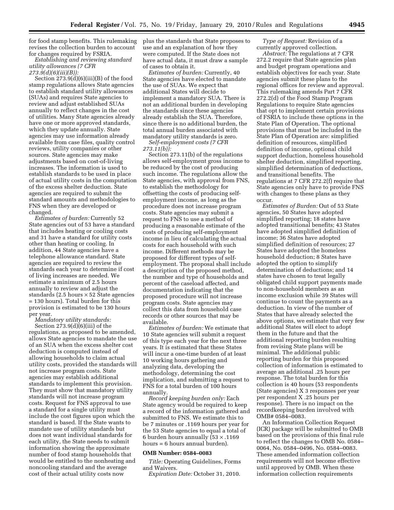for food stamp benefits. This rulemaking plus the standards that State proposes to revises the collection burden to account for changes required by FSRIA.

*Establishing and reviewing standard utility allowances (7 CFR 273.9(d)(6)(iii)(B)):* 

Section 273.9(d)(6)(iii)(B) of the food stamp regulations allows State agencies to establish standard utility allowances (SUAs) and requires State agencies to review and adjust established SUAs annually to reflect changes in the cost of utilities. Many State agencies already have one or more approved standards, which they update annually. State agencies may use information already available from case files, quality control reviews, utility companies or other sources. State agencies may make adjustments based on cost-of-living increases. The information is used to establish standards to be used in place of actual utility costs in the computation of the excess shelter deduction. State agencies are required to submit the standard amounts and methodologies to FNS when they are developed or changed.

*Estimates of burden:* Currently 52 State agencies out of 53 have a standard that includes heating or cooling costs and 31 have a standard for utility costs other than heating or cooling. In addition, 44 State agencies have a telephone allowance standard. State agencies are required to review the standards each year to determine if cost of living increases are needed. We estimate a minimum of 2.5 hours annually to review and adjust the standards (2.5 hours  $\times$  52 State agencies = 130 hours). Total burden for this provision is estimated to be 130 hours per year.

*Mandatory utility standards:*  Section 273.9(d)(6)(iii) of the regulations, as proposed to be amended, allows State agencies to mandate the use of an SUA when the excess shelter cost deduction is computed instead of allowing households to claim actual utility costs, provided the standards will not increase program costs. State agencies may establish additional standards to implement this provision. They must show that mandatory utility standards will not increase program costs. Request for FNS approval to use a standard for a single utility must include the cost figures upon which the standard is based. If the State wants to mandate use of utility standards but does not want individual standards for each utility, the State needs to submit information showing the approximate number of food stamp households that would be entitled to the nonheating and noncooling standard and the average cost of their actual utility costs now

use and an explanation of how they were computed. If the State does not have actual data, it must draw a sample of cases to obtain it.

*Estimates of burden:* Currently, 40 State agencies have elected to mandate the use of SUAs. We expect that additional States will decide to implement a mandatory SUA. There is not an additional burden in developing the standards since these agencies already establish the SUA. Therefore, since there is no additional burden, the total annual burden associated with mandatory utility standards is zero.

*Self-employment costs (7 CFR 273.11(b)):* 

Section 273.11(b) of the regulations allows self-employment gross income to be reduced by the cost of producing such income. The regulations allow the State agencies, with approval from FNS, to establish the methodology for offsetting the costs of producing selfemployment income, as long as the procedure does not increase program costs. State agencies may submit a request to FNS to use a method of producing a reasonable estimate of the costs of producing self-employment income in lieu of calculating the actual costs for each household with such income. Different methods may be proposed for different types of selfemployment. The proposal shall include a description of the proposed method, the number and type of households and percent of the caseload affected, and documentation indicating that the proposed procedure will not increase program costs. State agencies may collect this data from household case records or other sources that may be available.

*Estimates of burden:* We estimate that 10 State agencies will submit a request of this type each year for the next three years. It is estimated that these States will incur a one-time burden of at least 10 working hours gathering and analyzing data, developing the methodology, determining the cost implication, and submitting a request to FNS for a total burden of 100 hours annually.

*Record keeping burden only:* Each State agency would be required to keep a record of the information gathered and submitted to FNS. We estimate this to be 7 minutes or .1169 hours per year for the 53 State agencies to equal a total of 6 burden hours annually  $(53 \times .1169)$ hours = 6 hours annual burden).

#### **OMB Number: 0584–0083**

*Title:* Operating Guidelines, Forms and Waivers.

*Expiration Date:* October 31, 2010.

*Type of Request:* Revision of a currently approved collection.

*Abstract:* The regulations at 7 CFR 272.2 require that State agencies plan and budget program operations and establish objectives for each year. State agencies submit these plans to the regional offices for review and approval. This rulemaking amends Part 7 CFR 272.2(d) of the Food Stamp Program Regulations to require State agencies that opt to implement certain provisions of FSRIA to include these options in the State Plan of Operation. The optional provisions that must be included in the State Plan of Operation are: simplified definition of resources, simplified definition of income, optional child support deduction, homeless household shelter deduction, simplified reporting, simplified determination of deductions, and transitional benefits. The regulations at 7 CFR 272.2(f) require that State agencies only have to provide FNS with changes to these plans as they occur.

*Estimates of Burden:* Out of 53 State agencies, 50 States have adopted simplified reporting; 18 states have adopted transitional benefits; 43 States have adopted simplified definition of income; 36 States have adopted simplified definition of resources; 27 States have adopted the homeless household deduction; 8 States have adopted the option to simplify determination of deductions; and 14 states have chosen to treat legally obligated child support payments made to non-household members as an income exclusion while 39 States will continue to count the payments as a deduction. In view of the number of States that have already selected the above options, we estimate that very few additional States will elect to adopt them in the future and that the additional reporting burden resulting from revising State plans will be minimal. The additional public reporting burden for this proposed collection of information is estimated to average an additional .25 hours per response. The total burden for this collection is 40 hours (53 respondents (State agencies) X 3 responses per year per respondent X .25 hours per response). There is no impact on the recordkeeping burden involved with OMB# 0584–0083.

An Information Collection Request (ICR) package will be submitted to OMB based on the provisions of this final rule to reflect the changes to OMB No. 0584– 0064, No. 0584–0496, No. 0584–0083. These amended information collection requirements will not become effective until approved by OMB. When these information collection requirements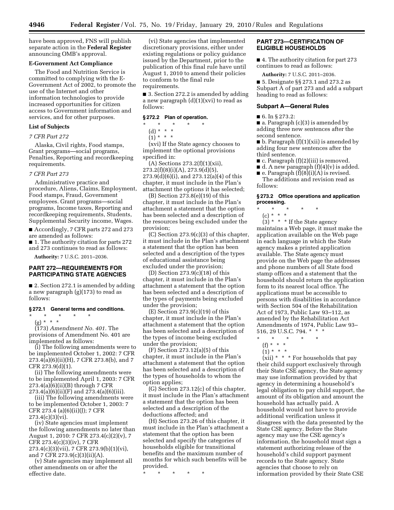have been approved, FNS will publish separate action in the **Federal Register**  announcing OMB's approval.

#### **E-Government Act Compliance**

The Food and Nutrition Service is committed to complying with the E-Government Act of 2002, to promote the use of the Internet and other information technologies to provide increased opportunities for citizen access to Government information and services, and for other purposes.

#### **List of Subjects**

#### *7 CFR Part 272*

Alaska, Civil rights, Food stamps, Grant programs—social programs, Penalties, Reporting and recordkeeping requirements.

#### *7 CFR Part 273*

Administrative practice and procedure, Aliens, Claims, Employment, Food stamps, Fraud, Government employees. Grant programs—social programs, Income taxes, Reporting and recordkeeping requirements, Students, Supplemental Security income, Wages.

■ Accordingly, 7 CFR parts 272 and 273 are amended as follows:

■ 1. The authority citation for parts 272 and 273 continues to read as follows:

**Authority:** 7 U.S.C. 2011–2036.

#### **PART 272—REQUIREMENTS FOR PARTICIPATING STATE AGENCIES**

■ 2. Section 272.1 is amended by adding a new paragraph (g)(173) to read as follows:

#### **§ 272.1 General terms and conditions.**

\* \* \* \* \*

(g) \* \* \* \*

(173) *Amendment No. 401.* The provisions of Amendment No. 401 are implemented as follows:

(i) The following amendments were to be implemented October 1, 2002: 7 CFR  $273.4(a)(6)(ii)(H)$ , 7 CFR  $273.8(b)$ , and 7 CFR 273.9(d)(1).

(ii) The following amendments were to be implemented April 1, 2003: 7 CFR 273.4(a)(6)(ii)(B) through 7 CFR 273.4(a)(6)(ii)(F) and 273.4(a)(6)(iii).

(iii) The following amendments were to be implemented October 1, 2003: 7 CFR 273.4 (a)(6)(ii)(J); 7 CFR  $273.4(c)(3)(vi).$ 

(iv) State agencies must implement the following amendments no later than August 1, 2010: 7 CFR 273.4(c)(2)(v), 7 CFR 273.4(c)(3)(iv), 7 CFR 273.4(c)(3)(vii), 7 CFR 273.9(b)(1)(vi),

and 7 CFR 273.9(c)(3)(ii)(A). (v) State agencies may implement all

other amendments on or after the effective date.

(vi) State agencies that implemented discretionary provisions, either under existing regulations or policy guidance issued by the Department, prior to the publication of this final rule have until August 1, 2010 to amend their policies to conform to the final rule requirements.

■ 3. Section 272.2 is amended by adding a new paragraph  $(d)(1)(xvi)$  to read as follows:

#### **§ 272.2 Plan of operation.**

\* \* \* \* \* (d) \* \* \*

 $(1) * * * *$ 

(xvi) If the State agency chooses to implement the optional provisions specified in:

(A) Sections  $273.2(f)(1)(xii)$ ,  $273.2(f)(8)(i)(A), 273.9(d)(5),$ 273.9(d)(6)(i), and 273.12(a)(4) of this chapter, it must include in the Plan's attachment the options it has selected;

(B) Section 273.8(e)(19) of this chapter, it must include in the Plan's attachment a statement that the option has been selected and a description of the resources being excluded under the provision;

(C) Section 273.9(c)(3) of this chapter, it must include in the Plan's attachment a statement that the option has been selected and a description of the types of educational assistance being excluded under the provision;

(D) Section 273.9(c)(18) of this chapter, it must include in the Plan's attachment a statement that the option has been selected and a description of the types of payments being excluded under the provision;

 $(E)$  Section 273.9(c)(19) of this chapter, it must include in the Plan's attachment a statement that the option has been selected and a description of the types of income being excluded under the provision;

(F) Section 273.12(a)(5) of this chapter, it must include in the Plan's attachment a statement that the option has been selected and a description of the types of households to whom the option applies;

(G) Section 273.12(c) of this chapter, it must include in the Plan's attachment a statement that the option has been selected and a description of the deductions affected; and

(H) Section 273.26 of this chapter, it must include in the Plan's attachment a statement that the option has been selected and specify the categories of households eligible for transitional benefits and the maximum number of months for which such benefits will be provided.

\* \* \* \* \*

#### **PART 273—CERTIFICATION OF ELIGIBLE HOUSEHOLDS**

■ 4. The authority citation for part 273 continues to read as follows:

**Authority:** 7 U.S.C. 2011–2036.

■ 5. Designate §§ 273.1 and 273.2 as Subpart A of part 273 and add a subpart heading to read as follows:

#### **Subpart A—General Rules**

■ 6. In § 273.2:

■ a. Paragraph (c)(3) is amended by adding three new sentences after the second sentence.

 $\blacksquare$  b. Paragraph (f)(1)(xii) is amended by adding four new sentences after the third sentence.

- c. Paragraph (f)(2)(iii) is removed.
- $\blacksquare$  d. A new paragraph  $(f)(4)(v)$  is added.
- **•** e. Paragraph  $(f)(8)(i)(A)$  is revised. The additions and revision read as follows:

#### **§ 273.2 Office operations and application processing.**

- \* \* \* \* \*
	- (c) \* \* \*

 $(3)$  \* \* \* If the State agency maintains a Web page, it must make the application available on the Web page in each language in which the State agency makes a printed application available. The State agency must provide on the Web page the addresses and phone numbers of all State food stamp offices and a statement that the household should return the application form to its nearest local office. The applications must be accessible to persons with disabilities in accordance with Section 504 of the Rehabilitation Act of 1973, Public Law 93–112, as amended by the Rehabilitation Act Amendments of 1974, Public Law 93– 516, 29 U.S.C. 794. \* \* \*

- \* \* \* \* \*
- $(f) * * * *$
- $(1) * * * *$

 $(xii) * * *$  For households that pay their child support exclusively through their State CSE agency, the State agency may use information provided by that agency in determining a household's legal obligation to pay child support, the amount of its obligation and amount the household has actually paid. A household would not have to provide additional verification unless it disagrees with the data presented by the State CSE agency. Before the State agency may use the CSE agency's information, the household must sign a statement authorizing release of the household's child support payment records to the State agency. State agencies that choose to rely on information provided by their State CSE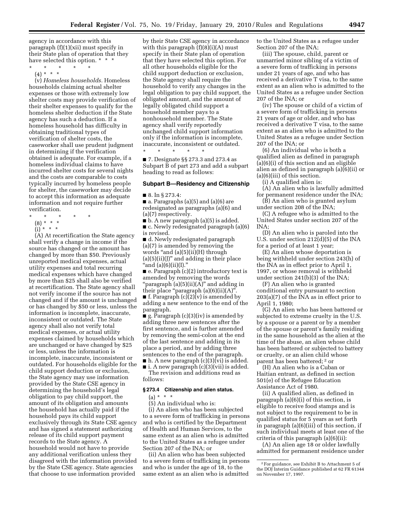agency in accordance with this paragraph (f)(1)(xii) must specify in their State plan of operation that they have selected this option. \* \* \*

- \* \* \* \* \*
	- (4) \* \* \*

(v) *Homeless households.* Homeless households claiming actual shelter expenses or those with extremely low shelter costs may provide verification of their shelter expenses to qualify for the homeless shelter deduction if the State agency has such a deduction. If a homeless household has difficulty in obtaining traditional types of verification of shelter costs, the caseworker shall use prudent judgment in determining if the verification obtained is adequate. For example, if a homeless individual claims to have incurred shelter costs for several nights and the costs are comparable to costs typically incurred by homeless people for shelter, the caseworker may decide to accept this information as adequate information and not require further verification.

- \* \* \* \* \*
	- (8) \* \* \*  $(i)$  \* \* \*
	-

(A) At recertification the State agency shall verify a change in income if the source has changed or the amount has changed by more than \$50. Previously unreported medical expenses, actual utility expenses and total recurring medical expenses which have changed by more than \$25 shall also be verified at recertification. The State agency shall not verify income if the source has not changed and if the amount is unchanged or has changed by \$50 or less, unless the information is incomplete, inaccurate, inconsistent or outdated. The State agency shall also not verify total medical expenses, or actual utility expenses claimed by households which are unchanged or have changed by \$25 or less, unless the information is incomplete, inaccurate, inconsistent or outdated. For households eligible for the child support deduction or exclusion, the State agency may use information provided by the State CSE agency in determining the household's legal obligation to pay child support, the amount of its obligation and amounts the household has actually paid if the household pays its child support exclusively through its State CSE agency and has signed a statement authorizing release of its child support payment records to the State agency. A household would not have to provide any additional verification unless they disagreed with the information provided by the State CSE agency. State agencies that choose to use information provided

by their State CSE agency in accordance with this paragraph  $(f)(8)(i)(A)$  must specify in their State plan of operation that they have selected this option. For all other households eligible for the child support deduction or exclusion, the State agency shall require the household to verify any changes in the legal obligation to pay child support, the obligated amount, and the amount of legally obligated child support a household member pays to a nonhousehold member. The State agency shall verify reportedly unchanged child support information only if the information is incomplete, inaccurate, inconsistent or outdated.

■ 7. Designate §§ 273.3 and 273.4 as Subpart B of part 273 and add a subpart heading to read as follows:

#### **Subpart B—Residency and Citizenship**

■ 8. In § 273.4:

\* \* \* \* \*

 $\blacksquare$  a. Paragraphs (a)(5) and (a)(6) are redesignated as paragraphs (a)(6) and (a)(7) respectively.

■ b. A new paragraph (a)(5) is added.

■ c. Newly redesignated paragraph (a)(6) is revised.

■ d. Newly redesignated paragraph (a)(7) is amended by removing the words "and (a)(5)(ii)(H) through  $(a)(5)(ii)(J)'$  and adding in their place "and  $(a)(6)(ii)(I)$ ."

■ e. Paragraph (c)(2) introductory text is amended by removing the words ''paragraph (a)(5)(ii)(A)'' and adding in their place "paragraph  $(a)(6)(ii)(A)$ ".  $\blacksquare$  f. Paragraph (c)(2)(v) is amended by

adding a new sentence to the end of the paragraph.

g. Paragraph  $(c)(3)(iv)$  is amended by adding three new sentences after the first sentence, and is further amended by removing the semi-colon at the end of the last sentence and adding in its place a period, and by adding three sentences to the end of the paragraph.  $\blacksquare$  h. A new paragraph (c)(3)(vi) is added.

 $\blacksquare$  i. A new paragraph (c)(3)(vii) is added. The revision and additions read as

follows:

#### **§ 273.4 Citizenship and alien status.**

(a) \* \* \*

(5) An individual who is:

(i) An alien who has been subjected to a severe form of trafficking in persons and who is certified by the Department of Health and Human Services, to the same extent as an alien who is admitted to the United States as a refugee under Section 207 of the INA; or

(ii) An alien who has been subjected to a severe form of trafficking in persons and who is under the age of 18, to the same extent as an alien who is admitted

to the United States as a refugee under Section 207 of the INA;

(iii) The spouse, child, parent or unmarried minor sibling of a victim of a severe form of trafficking in persons under 21 years of age, and who has received a derivative T visa, to the same extent as an alien who is admitted to the United States as a refugee under Section 207 of the INA; or

(iv) The spouse or child of a victim of a severe form of trafficking in persons 21 years of age or older, and who has received a derivative T visa, to the same extent as an alien who is admitted to the United States as a refugee under Section 207 of the INA; or

(6) An individual who is both a qualified alien as defined in paragraph (a)(6)(i) of this section and an eligible alien as defined in paragraph (a)(6)(ii) or (a)(6)(iii) of this section.

(i) A qualified alien is:

(A) An alien who is lawfully admitted for permanent residence under the INA;

 $(\dot{B})$  An alien who is granted asylum under section 208 of the INA;

(C) A refugee who is admitted to the United States under section 207 of the INA;

(D) An alien who is paroled into the U.S. under section 212(d)(5) of the INA for a period of at least 1 year;

(E) An alien whose deportation is being withheld under section 243(h) of the INA as in effect prior to April 1, 1997, or whose removal is withheld under section 241(b)(3) of the INA;

(F) An alien who is granted conditional entry pursuant to section 203(a)(7) of the INA as in effect prior to April 1, 1980;

(G) An alien who has been battered or subjected to extreme cruelty in the U.S. by a spouse or a parent or by a member of the spouse or parent's family residing in the same household as the alien at the time of the abuse, an alien whose child has been battered or subjected to battery or cruelty, or an alien child whose parent has been battered; 2 or

(H) An alien who is a Cuban or Haitian entrant, as defined in section 501(e) of the Refugee Education Assistance Act of 1980.

(ii) A qualified alien, as defined in paragraph (a)(6)(i) of this section, is eligible to receive food stamps and is not subject to the requirement to be in qualified status for 5 years as set forth in paragraph (a)(6)(iii) of this section, if such individual meets at least one of the criteria of this paragraph (a)(6)(ii):

(A) An alien age 18 or older lawfully admitted for permanent residence under

<sup>2</sup>For guidance, see Exhibit B to Attachment 5 of the DOJ Interim Guidance published at 62 FR 61344 on November 17, 1997.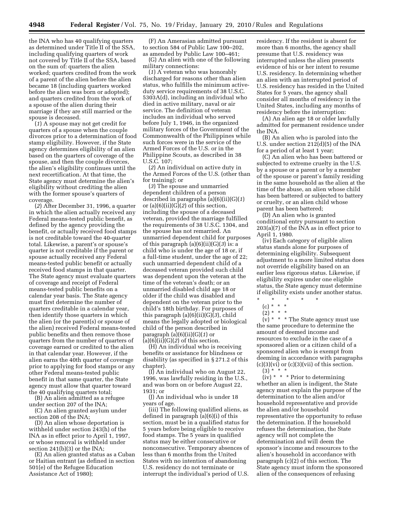the INA who has 40 qualifying quarters as determined under Title II of the SSA, including qualifying quarters of work not covered by Title II of the SSA, based on the sum of: quarters the alien worked; quarters credited from the work of a parent of the alien before the alien became 18 (including quarters worked before the alien was born or adopted); and quarters credited from the work of a spouse of the alien during their marriage if they are still married or the spouse is deceased.

(*1*) A spouse may not get credit for quarters of a spouse when the couple divorces prior to a determination of food stamp eligibility. However, if the State agency determines eligibility of an alien based on the quarters of coverage of the spouse, and then the couple divorces, the alien's eligibility continues until the next recertification. At that time, the State agency must determine the alien's eligibility without crediting the alien with the former spouse's quarters of coverage.

(*2*) After December 31, 1996, a quarter in which the alien actually received any Federal means-tested public benefit, as defined by the agency providing the benefit, or actually received food stamps is not creditable toward the 40-quarter total. Likewise, a parent's or spouse's quarter is not creditable if the parent or spouse actually received any Federal means-tested public benefit or actually received food stamps in that quarter. The State agency must evaluate quarters of coverage and receipt of Federal means-tested public benefits on a calendar year basis. The State agency must first determine the number of quarters creditable in a calendar year, then identify those quarters in which the alien (or the parent(s) or spouse of the alien) received Federal means-tested public benefits and then remove those quarters from the number of quarters of coverage earned or credited to the alien in that calendar year. However, if the alien earns the 40th quarter of coverage prior to applying for food stamps or any other Federal means-tested public benefit in that same quarter, the State agency must allow that quarter toward the 40 qualifying quarters total;

(B) An alien admitted as a refugee under section 207 of the INA;

(C) An alien granted asylum under section 208 of the INA;

(D) An alien whose deportation is withheld under section 243(h) of the INA as in effect prior to April 1, 1997, or whose removal is withheld under section 241(b)(3) or the INA;

(E) An alien granted status as a Cuban or Haitian entrant (as defined in section 501(e) of the Refugee Education Assistance Act of 1980);

(F) An Amerasian admitted pursuant to section 584 of Public Law 100–202, as amended by Public Law 100–461;

(G) An alien with one of the following military connections:

(*1*) A veteran who was honorably discharged for reasons other than alien status, who fulfills the minimum activeduty service requirements of 38 U.S.C. 5303A(d), including an individual who died in active military, naval or air service. The definition of veteran includes an individual who served before July 1, 1946, in the organized military forces of the Government of the Commonwealth of the Philippines while such forces were in the service of the Armed Forces of the U.S. or in the Philippine Scouts, as described in 38 U.S.C. 107;

(*2*) An individual on active duty in the Armed Forces of the U.S. (other than for training); or

(*3*) The spouse and unmarried dependent children of a person described in paragraphs (a)(6)(ii)(G)(*1*) or  $(a)(6)(ii)(G)(2)$  of this section, including the spouse of a deceased veteran, provided the marriage fulfilled the requirements of 38 U.S.C. 1304, and the spouse has not remarried. An unmarried dependent child for purposes of this paragraph (a)(6)(ii)(G)(*3*) is: a child who is under the age of 18 or, if a full-time student, under the age of 22; such unmarried dependent child of a deceased veteran provided such child was dependent upon the veteran at the time of the veteran's death; or an unmarried disabled child age 18 or older if the child was disabled and dependent on the veteran prior to the child's 18th birthday. For purposes of this paragraph (a)(6)(ii)(G)(*3*), child means the legally adopted or biological child of the person described in paragraph (a)(6)(ii)(G)(*1*) or (a)(6)(ii)(G)(*2*) of this section.

(H) An individual who is receiving benefits or assistance for blindness or disability (as specified in § 271.2 of this chapter).

(I) An individual who on August 22, 1996, was lawfully residing in the U.S., and was born on or before August 22, 1931; or

(J) An individual who is under 18 years of age.

(iii) The following qualified aliens, as defined in paragraph (a)(6)(i) of this section, must be in a qualified status for 5 years before being eligible to receive food stamps. The 5 years in qualified status may be either consecutive or nonconsecutive. Temporary absences of less than 6 months from the United States with no intention of abandoning U.S. residency do not terminate or interrupt the individual's period of U.S.

residency. If the resident is absent for more than 6 months, the agency shall presume that U.S. residency was interrupted unless the alien presents evidence of his or her intent to resume U.S. residency. In determining whether an alien with an interrupted period of U.S. residency has resided in the United States for 5 years, the agency shall consider all months of residency in the United States, including any months of residency before the interruption:

(A) An alien age 18 or older lawfully admitted for permanent residence under the INA.

(B) An alien who is paroled into the U.S. under section 212(d)(5) of the INA for a period of at least 1 year;

(C) An alien who has been battered or subjected to extreme cruelty in the U.S. by a spouse or a parent or by a member of the spouse or parent's family residing in the same household as the alien at the time of the abuse, an alien whose child has been battered or subjected to battery or cruelty, or an alien child whose parent has been battered;

(D) An alien who is granted conditional entry pursuant to section 203(a)(7) of the INA as in effect prior to April 1, 1980.

(iv) Each category of eligible alien status stands alone for purposes of determining eligibility. Subsequent adjustment to a more limited status does not override eligibility based on an earlier less rigorous status. Likewise, if eligibility expires under one eligible status, the State agency must determine if eligibility exists under another status.

(c) \* \* \*

 $(v) * * *$  The State agency must use the same procedure to determine the amount of deemed income and resources to exclude in the case of a sponsored alien or a citizen child of a sponsored alien who is exempt from deeming in accordance with paragraphs  $(c)(3)(vi)$  or  $(c)(3)(vii)$  of this section.  $(3) * *$ 

 $(iv)$  \* \* \* Prior to determining whether an alien is indigent, the State agency must explain the purpose of the determination to the alien and/or household representative and provide the alien and/or household representative the opportunity to refuse the determination. If the household refuses the determination, the State agency will not complete the determination and will deem the sponsor's income and resources to the alien's household in accordance with paragraph (c)(2) of this section. The State agency must inform the sponsored alien of the consequences of refusing

<sup>\* \* \* \* \*</sup> 

 $(2) * * * *$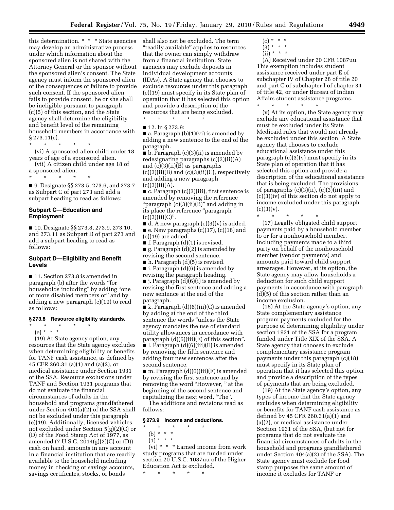this determination. \* \* \* State agencies may develop an administrative process under which information about the sponsored alien is not shared with the Attorney General or the sponsor without the sponsored alien's consent. The State agency must inform the sponsored alien of the consequences of failure to provide such consent. If the sponsored alien fails to provide consent, he or she shall be ineligible pursuant to paragraph (c)(5) of this section, and the State agency shall determine the eligibility and benefit level of the remaining household members in accordance with § 273.11(c).

\* \* \* \* \*

(vi) A sponsored alien child under 18 years of age of a sponsored alien.

- (vii) A citizen child under age 18 of a sponsored alien.
- \* \* \* \* \*

■ 9. Designate §§ 273.5, 273.6, and 273.7 as Subpart C of part 273 and add a subpart heading to read as follows:

#### **Subpart C—Education and Employment**

■ 10. Designate §§ 273.8, 273.9, 273.10, and 273.11 as Subpart D of part 273 and add a subpart heading to read as follows:

#### **Subpart D—Eligibility and Benefit Levels**

■ 11. Section 273.8 is amended in paragraph (b) after the words ''for households including'' by adding ''one or more disabled members or'' and by adding a new paragraph (e)(19) to read as follows:

#### **§ 273.8 Resource eligibility standards.**

\* \* \* \* \* (e) \* \* \*

(19) At State agency option, any resources that the State agency excludes when determining eligibility or benefits for TANF cash assistance, as defined by 45 CFR 260.31 (a)(1) and (a)(2), or medical assistance under Section 1931 of the SSA. Resource exclusions under TANF and Section 1931 programs that do not evaluate the financial circumstances of adults in the household and programs grandfathered under Section 404(a)(2) of the SSA shall not be excluded under this paragraph (e)(19). Additionally, licensed vehicles not excluded under Section 5(g)(2)(C) or (D) of the Food Stamp Act of 1977, as amended (7 U.S.C. 2014(g)(2)(C) or (D)), cash on hand, amounts in any account in a financial institution that are readily available to the household including money in checking or savings accounts, savings certificates, stocks, or bonds

shall also not be excluded. The term ''readily available'' applies to resources that the owner can simply withdraw from a financial institution. State agencies may exclude deposits in individual development accounts (IDAs). A State agency that chooses to exclude resources under this paragraph (e)(19) must specify in its State plan of operation that it has selected this option and provide a description of the resources that are being excluded.

\* \* \* \* \*

■ 12. In § 273.9:

 $\blacksquare$  a. Paragraph (b)(1)(vi) is amended by adding a new sentence to the end of the paragraph.

■ b. Paragraph (c)(3)(ii) is amended by redesignating paragraphs (c)(3)(ii)(A) and (c)(3)(ii)(B) as paragraphs  $(c)(3)(ii)(B)$  and  $(c)(3)(ii)(C)$ , respectively and adding a new paragraph  $(c)(3)(ii)(A).$ 

■ c. Paragraph (c)(3)(iii), first sentence is amended by removing the reference ''paragraph (c)(3)(ii)(B)'' and adding in its place the reference ''paragraph  $(c)(3)(ii)(C)$ ".

 $\blacksquare$  d. A new paragraph (c)(3)(v) is added. ■ e. New paragraphs (c)(17), (c)(18) and  $(c)(19)$  are added.

 $\blacksquare$  f. Paragraph  $(d)(1)$  is revised.

■ g. Paragraph (d)(2) is amended by revising the second sentence.

■ h. Paragraph (d)(5) is revised.

■ i. Paragraph (d)(6) is amended by revising the paragraph heading.

 $\blacksquare$  j. Paragraph (d)(6)(i) is amended by revising the first sentence and adding a new sentence at the end of the paragraph.

 $\blacksquare$  k. Paragraph (d)(6)(iii)(C) is amended by adding at the end of the third sentence the words ''unless the State agency mandates the use of standard utility allowances in accordance with paragraph (d)(6)(iii)(E) of this section''. ■ l. Paragraph  $(d)(6)(iii)(E)$  is amended by removing the fifth sentence and adding four new sentences after the second sentence.

■ m. Paragraph (d)(6)(iii)(F) is amended by revising the first sentence and by removing the word "However," at the beginning of the second sentence and capitalizing the next word, "The".

The additions and revisions read as follows:

#### **§ 273.9 Income and deductions.**

#### $\star$   $\qquad$   $\star$   $\qquad$   $\star$

- (b) \* \* \*
- $(1) * * * *$

(vi) \* \* \* Earned income from work study programs that are funded under section 20 U.S.C. 1087uu of the Higher Education Act is excluded.

 $(c) * * * *$  $(3) * * * *$ 

 $(ii) * * * *$ 

\* \* \* \* \*

(A) Received under 20 CFR 1087uu. This exemption includes student assistance received under part E of subchapter IV of Chapter 28 of title 20 and part C of subchapter I of chapter 34 of title 42, or under Bureau of Indian Affairs student assistance programs.

(v) At its option, the State agency may exclude any educational assistance that must be excluded under its State Medicaid rules that would not already be excluded under this section. A State agency that chooses to exclude educational assistance under this paragraph  $(c)(3)(v)$  must specify in its State plan of operation that it has selected this option and provide a description of the educational assistance that is being excluded. The provisions of paragraphs (c)(3)(ii), (c)(3)(iii) and (c)(3)(iv) of this section do not apply to income excluded under this paragraph  $(c)(3)(v).$ 

\* \* \* \* \* (17) Legally obligated child support payments paid by a household member to or for a nonhousehold member, including payments made to a third party on behalf of the nonhousehold member (vendor payments) and amounts paid toward child support arrearages. However, at its option, the State agency may allow households a deduction for such child support payments in accordance with paragraph (d)(5) of this section rather than an income exclusion.

(18) At the State agency's option, any State complementary assistance program payments excluded for the purpose of determining eligibility under section 1931 of the SSA for a program funded under Title XIX of the SSA. A State agency that chooses to exclude complementary assistance program payments under this paragraph (c)(18) must specify in its State plan of operation that it has selected this option and provide a description of the types of payments that are being excluded.

(19) At the State agency's option, any types of income that the State agency excludes when determining eligibility or benefits for TANF cash assistance as defined by 45 CFR 260.31(a)(1) and (a)(2), or medical assistance under Section 1931 of the SSA, (but not for programs that do not evaluate the financial circumstances of adults in the household and programs grandfathered under Section 404(a)(2) of the SSA). The State agency must exclude for food stamp purposes the same amount of income it excludes for TANF or

<sup>\* \* \* \* \*</sup>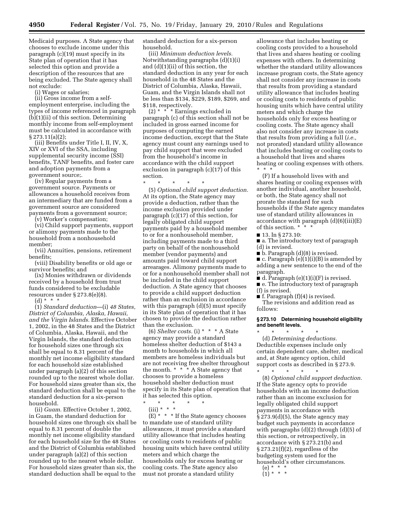Medicaid purposes. A State agency that chooses to exclude income under this paragraph (c)(19) must specify in its State plan of operation that it has selected this option and provide a description of the resources that are being excluded. The State agency shall not exclude:

(i) Wages or salaries;

(ii) Gross income from a selfemployment enterprise, including the types of income referenced in paragraph (b)(1)(ii) of this section. Determining monthly income from self-employment must be calculated in accordance with § 273.11(a)(2);

(iii) Benefits under Title I, II, IV, X, XIV or XVI of the SSA, including supplemental security income (SSI) benefits, TANF benefits, and foster care and adoption payments from a government source;.

(iv) Regular payments from a government source. Payments or allowances a household receives from an intermediary that are funded from a government source are considered payments from a government source;

(v) Worker's compensation;

(vi) Child support payments, support or alimony payments made to the household from a nonhousehold member;

(vii) Annuities, pensions, retirement benefits;

(viii) Disability benefits or old age or survivor benefits; and

(ix) Monies withdrawn or dividends received by a household from trust funds considered to be excludable resources under § 273.8(e)(8).

(d) \* \* \*

(1) *Standard deduction*—(i) *48 States, District of Columbia, Alaska, Hawaii, and the Virgin Islands.* Effective October 1, 2002, in the 48 States and the District of Columbia, Alaska, Hawaii, and the Virgin Islands, the standard deduction for household sizes one through six shall be equal to 8.31 percent of the monthly net income eligibility standard for each household size established under paragraph (a)(2) of this section rounded up to the nearest whole dollar. For household sizes greater than six, the standard deduction shall be equal to the standard deduction for a six-person household.

(ii) *Guam.* Effective October 1, 2002, in Guam, the standard deduction for household sizes one through six shall be equal to 8.31 percent of double the monthly net income eligibility standard for each household size for the 48 States and the District of Columbia established under paragraph (a)(2) of this section rounded up to the nearest whole dollar. For household sizes greater than six, the standard deduction shall be equal to the

standard deduction for a six-person household.

(iii) *Minimum deduction levels.*  Notwithstanding paragraphs (d)(1)(i) and (d)(1)(ii) of this section, the standard deduction in any year for each household in the 48 States and the District of Columbia, Alaska, Hawaii, Guam, and the Virgin Islands shall not be less than \$134, \$229, \$189, \$269, and \$118, respectively.

(2) \* \* \* Earnings excluded in paragraph (c) of this section shall not be included in gross earned income for purposes of computing the earned income deduction, except that the State agency must count any earnings used to pay child support that were excluded from the household's income in accordance with the child support exclusion in paragraph (c)(17) of this section.

\* \* \* \* \*

(5) *Optional child support deduction.*  At its option, the State agency may provide a deduction, rather than the income exclusion provided under paragraph (c)(17) of this section, for legally obligated child support payments paid by a household member to or for a nonhousehold member, including payments made to a third party on behalf of the nonhousehold member (vendor payments) and amounts paid toward child support arrearages. Alimony payments made to or for a nonhousehold member shall not be included in the child support deduction. A State agency that chooses to provide a child support deduction rather than an exclusion in accordance with this paragraph (d)(5) must specify in its State plan of operation that it has chosen to provide the deduction rather than the exclusion.

(6) *Shelter costs.* (i) \* \* \* A State agency may provide a standard homeless shelter deduction of \$143 a month to households in which all members are homeless individuals but are not receiving free shelter throughout the month. \* \* \* A State agency that chooses to provide a homeless household shelter deduction must specify in its State plan of operation that it has selected this option.

\* \* \* \* \*

 $(iii) * * * *$ 

 $(E)$  \* \* \* If the State agency chooses to mandate use of standard utility allowances, it must provide a standard utility allowance that includes heating or cooling costs to residents of public housing units which have central utility meters and which charge the households only for excess heating or cooling costs. The State agency also must not prorate a standard utility

allowance that includes heating or cooling costs provided to a household that lives and shares heating or cooling expenses with others. In determining whether the standard utility allowances increase program costs, the State agency shall not consider any increase in costs that results from providing a standard utility allowance that includes heating or cooling costs to residents of public housing units which have central utility meters and which charge the households only for excess heating or cooling costs. The State agency shall also not consider any increase in costs that results from providing a full (*i.e.,*  not prorated) standard utility allowance that includes heating or cooling costs to a household that lives and shares heating or cooling expenses with others. \* \* \*

(F) If a household lives with and shares heating or cooling expenses with another individual, another household, or both, the State agency shall not prorate the standard for such households if the State agency mandates use of standard utility allowances in accordance with paragraph (d)(6)(iii)(E) of this section.  $*$ 

■ 13. In § 273.10:

■ a. The introductory text of paragraph (d) is revised.

 $\blacksquare$  b. Paragraph  $(d)(8)$  is revised.

 $\blacksquare$  c. Paragraph (e)(1)(i)(B) is amended by adding a new sentence to the end of the paragraph.

 $\blacksquare$  d. Paragraph (e)(1)(i)(F) is revised.

■ e. The introductory text of paragraph (f) is revised.

■ f. Paragraph (f)(4) is revised.

The revisions and addition read as follows:

#### **§ 273.10 Determining household eligibility and benefit levels.**

\* \* \* \* \* (d) *Determining deductions.*  Deductible expenses include only certain dependent care, shelter, medical and, at State agency option, child support costs as described in § 273.9. \* \* \* \* \*

(8) *Optional child support deduction.*  If the State agency opts to provide households with an income deduction rather than an income exclusion for legally obligated child support payments in accordance with  $\S 273.9(d)(5)$ , the State agency may budget such payments in accordance with paragraphs (d)(2) through (d)(5) of this section, or retrospectively, in accordance with § 273.21(b) and § 273.21(f)(2), regardless of the budgeting system used for the household's other circumstances.

<sup>(</sup>e) \* \* \*  $(1) * * * *$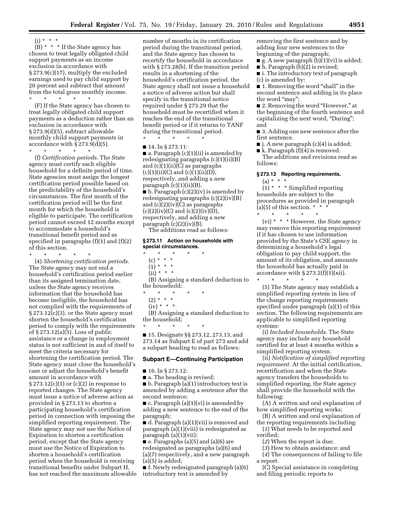$(i) * * * *$ 

 $(B)$  \* \* \* If the State agency has chosen to treat legally obligated child support payments as an income exclusion in accordance with § 273.9(c)(17), multiply the excluded earnings used to pay child support by 20 percent and subtract that amount from the total gross monthly income. \* \* \* \* \*

(F) If the State agency has chosen to treat legally obligated child support payments as a deduction rather than an exclusion in accordance with § 273.9(d)(5), subtract allowable monthly child support payments in accordance with  $\S$  273.9(d)(5).

\* \* \* \* \* (f) *Certification periods.* The State agency must certify each eligible household for a definite period of time. State agencies must assign the longest certification period possible based on the predictability of the household's circumstances. The first month of the certification period will be the first month for which the household is eligible to participate. The certification period cannot exceed 12 months except to accommodate a household's transitional benefit period and as specified in paragraphs  $(f)(1)$  and  $(f)(2)$ of this section.

\* \* \* \* \* (4) *Shortening certification periods.*  The State agency may not end a household's certification period earlier than its assigned termination date, unless the State agency receives information that the household has become ineligible, the household has not complied with the requirements of § 273.12(c)(3), or the State agency must shorten the household's certification period to comply with the requirements of § 273.12(a)(5). Loss of public assistance or a change in employment status is not sufficient in and of itself to meet the criteria necessary for shortening the certification period. The State agency must close the household's case or adjust the household's benefit amount in accordance with § 273.12(c)(1) or (c)(2) in response to reported changes. The State agency must issue a notice of adverse action as provided in § 273.13 to shorten a participating household's certification period in connection with imposing the simplified reporting requirement. The State agency may not use the Notice of Expiration to shorten a certification period, except that the State agency must use the Notice of Expiration to shorten a household's certification period when the household is receiving transitional benefits under Subpart H, has not reached the maximum allowable

number of months in its certification period during the transitional period, and the State agency has chosen to recertify the household in accordance with § 273.28(b). If the transition period results in a shortening of the household's certification period, the State agency shall not issue a household a notice of adverse action but shall specify in the transitional notice required under § 273.29 that the household must be recertified when it reaches the end of the transitional benefit period or if it returns to TANF during the transitional period. \* \* \* \* \*

■ 14. In § 273.11:

 $\blacksquare$  a. Paragraph  $(c)(1)(ii)$  is amended by redesignating paragraphs (c)(1)(ii)(B) and (c)(1)(ii)(C) as paragraphs  $(c)(1)(ii)(C)$  and  $(c)(1)(ii)(D)$ , respectively, and adding a new paragraph  $(c)(1)(ii)(B)$ .  $\blacksquare$  b. Paragraph (c)(2)(iv) is amended by redesignating paragraphs (c)(2)(iv)(B) and (c)(2)(iv)(C) as paragraphs  $(c)(2)(iv)(C)$  and  $(c)(2)(iv)(D)$ , respectively, and adding a new paragraph  $(c)(2)(iv)(B)$ .

The additions read as follows:

#### **§ 273.11 Action on households with special circumstances.**

\* \* \* \* \*

- $(c) * * * *$
- $(1) * * * *$
- $(ii) * * * *$

(B) Assigning a standard deduction to the household;

\* \* \* \* \*

\* \* \* \* \*

- $(2) * * * *$
- $(iv) * * * *$

(B) Assigning a standard deduction to the household;

■ 15. Designate §§ 273.12, 273.13, and 273.14 as Subpart E of part 273 and add a subpart heading to read as follows:

#### **Subpart E—Continuing Participation**

- 16. In § 273.12:
- a. The heading is revised;

■ b. Paragraph (a)(1) introductory text is amended by adding a sentence after the second sentence;

■ c. Paragraph (a)(1)(vi) is amended by adding a new sentence to the end of the paragraph;

■ d. Paragraph (a)(1)(vii) is removed and paragraph (a)(1)(viii) is redesignated as paragraph (a)(1)(vii);

 $\blacksquare$  e. Paragraphs (a)(5) and (a)(6) are redesignated as paragraphs (a)(6) and (a)(7) respectively, and a new paragraph (a)(5) is added;

■ f. Newly redesignated paragraph (a)(6) introductory text is amended by

removing the first sentence and by adding four new sentences to the beginning of the paragraph;

- g. A new paragraph (b)(1)(vi) is added;
- h. Paragraph (b)(2) is revised;
- i. The introductory text of paragraph (c) is amended by:

■ 1. Removing the word "shall" in the second sentence and adding in its place the word "may";

■ 2. Removing the word "However," at the beginning of the fourth sentence and capitalizing the next word, "During"; and

■ 3. Adding one new sentence after the first sentence.

 $\blacksquare$  j. A new paragraph (c)(4) is added;

 $\blacksquare$  k. Paragraph (f)(4) is removed. The additions and revisions read as follows:

#### **§ 273.12 Reporting requirements.**

 $(a) * * * *$ 

 $(1)$  \* \* \* Simplified reporting households are subject to the procedures as provided in paragraph (a)(5) of this section.  $* * *$ \* \* \* \* \*

(vi) \* \* \* However, the State agency may remove this reporting requirement if it has chosen to use information provided by the State's CSE agency in determining a household's legal obligation to pay child support, the amount of its obligation, and amounts the household has actually paid in accordance with  $\S 273.2(f)(1)(xii)$ .

\* \* \* \* \* (5) The State agency may establish a simplified reporting system in lieu of the change reporting requirements specified under paragraph (a)(1) of this section. The following requirements are applicable to simplified reporting systems:

(i) *Included households.* The State agency may include any household certified for at least 4 months within a simplified reporting system.

(ii) *Notification of simplified reporting requirement.* At the initial certification, recertification and when the State agency transfers the households to simplified reporting, the State agency shall provide the household with the following:

(A) A written and oral explanation of how simplified reporting works;

(B) A written and oral explanation of the reporting requirements including:

(*1*) What needs to be reported and verified;

(*2*) When the report is due;

(*3*) How to obtain assistance; and

(*4*) The consequences of failing to file a report.

(C) Special assistance in completing and filing periodic reports to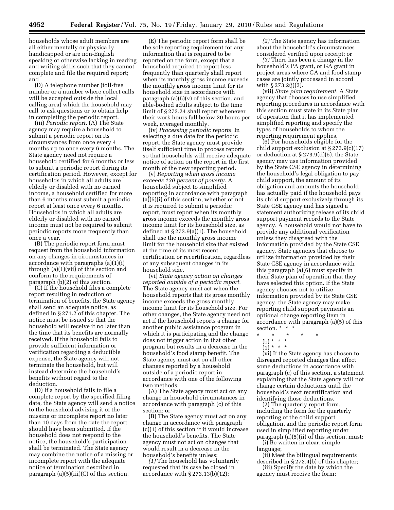households whose adult members are all either mentally or physically handicapped or are non-English speaking or otherwise lacking in reading and writing skills such that they cannot complete and file the required report; and

(D) A telephone number (toll-free number or a number where collect calls will be accepted outside the local calling area) which the household may call to ask questions or to obtain help in completing the periodic report.

(iii) *Periodic report.* (A) The State agency may require a household to submit a periodic report on its circumstances from once every 4 months up to once every 6 months. The State agency need not require a household certified for 6 months or less to submit a periodic report during its certification period. However, except for households in which all adults are elderly or disabled with no earned income, a household certified for more than 6 months must submit a periodic report at least once every 6 months. Households in which all adults are elderly or disabled with no earned income must not be required to submit periodic reports more frequently than once a year.

(B) The periodic report form must request from the household information on any changes in circumstances in accordance with paragraphs (a)(1)(i) through (a)(1)(vii) of this section and conform to the requirements of paragraph (b)(2) of this section.

(C) If the household files a complete report resulting in reduction or termination of benefits, the State agency shall send an adequate notice, as defined in § 271.2 of this chapter. The notice must be issued so that the household will receive it no later than the time that its benefits are normally received. If the household fails to provide sufficient information or verification regarding a deductible expense, the State agency will not terminate the household, but will instead determine the household's benefits without regard to the deduction.

(D) If a household fails to file a complete report by the specified filing date, the State agency will send a notice to the household advising it of the missing or incomplete report no later than 10 days from the date the report should have been submitted. If the household does not respond to the notice, the household's participation shall be terminated. The State agency may combine the notice of a missing or incomplete report with the adequate notice of termination described in paragraph  $(a)(5)(iii)(C)$  of this section.

(E) The periodic report form shall be the sole reporting requirement for any information that is required to be reported on the form, except that a household required to report less frequently than quarterly shall report when its monthly gross income exceeds the monthly gross income limit for its household size in accordance with paragraph  $(a)(5)(v)$  of this section, and able-bodied adults subject to the time limit of § 273.24 shall report whenever their work hours fall below 20 hours per week, averaged monthly.

(iv) *Processing periodic reports.* In selecting a due date for the periodic report, the State agency must provide itself sufficient time to process reports so that households will receive adequate notice of action on the report in the first month of the new reporting period.

(v) *Reporting when gross income exceeds 130 percent of poverty.* A household subject to simplified reporting in accordance with paragraph (a)(5)(i) of this section, whether or not it is required to submit a periodic report, must report when its monthly gross income exceeds the monthly gross income limit for its household size, as defined at § 273.9(a)(1). The household shall use the monthly gross income limit for the household size that existed at the time of its most recent certification or recertification, regardless of any subsequent changes in its household size.

(vi) *State agency action on changes reported outside of a periodic report.*  The State agency must act when the household reports that its gross monthly income exceeds the gross monthly income limit for its household size. For other changes, the State agency need not act if the household reports a change for another public assistance program in which it is participating and the change does not trigger action in that other program but results in a decrease in the household's food stamp benefit. The State agency must act on all other changes reported by a household outside of a periodic report in accordance with one of the following two methods:

(A) The State agency must act on any change in household circumstances in accordance with paragraph (c) of this section; or

(B) The State agency must act on any change in accordance with paragraph (c)(1) of this section if it would increase the household's benefits. The State agency must not act on changes that would result in a decrease in the household's benefits unless:

*(1)* The household has voluntarily requested that its case be closed in accordance with § 273.13(b)(12);

*(2)* The State agency has information about the household's circumstances considered verified upon receipt; or

*(3)* There has been a change in the household's PA grant, or GA grant in project areas where GA and food stamp cases are jointly processed in accord with § 273.2(j)(2).

(vii) *State plan requirement.* A State agency that chooses to use simplified reporting procedures in accordance with this section must state in its State plan of operation that it has implemented simplified reporting and specify the types of households to whom the reporting requirement applies.

(6) For households eligible for the child support exclusion at § 273.9(c)(17) or deduction at § 273.9(d)(5), the State agency may use information provided by the State CSE agency in determining the household's legal obligation to pay child support, the amount of its obligation and amounts the household has actually paid if the household pays its child support exclusively through its State CSE agency and has signed a statement authorizing release of its child support payment records to the State agency. A household would not have to provide any additional verification unless they disagreed with the information provided by the State CSE agency. State agencies that choose to utilize information provided by their State CSE agency in accordance with this paragraph (a)(6) must specify in their State plan of operation that they have selected this option. If the State agency chooses not to utilize information provided by its State CSE agency, the State agency may make reporting child support payments an optional change reporting item in accordance with paragraph (a)(5) of this section. \* \* \*

(vi) If the State agency has chosen to disregard reported changes that affect some deductions in accordance with paragraph (c) of this section, a statement explaining that the State agency will not change certain deductions until the household's next recertification and identifying those deductions.

(2) The quarterly report form, including the form for the quarterly reporting of the child support obligation, and the periodic report form used in simplified reporting under paragraph (a)(5)(ii) of this section, must:

(i) Be written in clear, simple language;

(ii) Meet the bilingual requirements described in § 272.4(b) of this chapter;

(iii) Specify the date by which the agency must receive the form;

<sup>\* \* \* \* \*</sup> 

<sup>(</sup>b) \* \* \*

<sup>(1) \* \* \*</sup>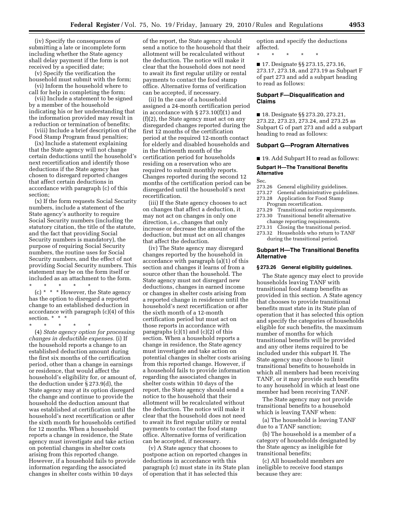(iv) Specify the consequences of submitting a late or incomplete form including whether the State agency shall delay payment if the form is not received by a specified date;

(v) Specify the verification the household must submit with the form; (vi) Inform the household where to

call for help in completing the form;

(vii) Include a statement to be signed by a member of the household indicating his or her understanding that the information provided may result in a reduction or termination of benefits;

(viii) Include a brief description of the Food Stamp Program fraud penalties;

(ix) Include a statement explaining that the State agency will not change certain deductions until the household's next recertification and identify those deductions if the State agency has chosen to disregard reported changes that affect certain deductions in accordance with paragraph (c) of this section;

(x) If the form requests Social Security numbers, include a statement of the State agency's authority to require Social Security numbers (including the statutory citation, the title of the statute, and the fact that providing Social Security numbers is mandatory), the purpose of requiring Social Security numbers, the routine uses for Social Security numbers, and the effect of not providing Social Security numbers. This statement may be on the form itself or included as an attachment to the form.

\* \* \* \* \* (c) \* \* \* However, the State agency has the option to disregard a reported change to an established deduction in accordance with paragraph (c)(4) of this section. \* \* \*

\* \* \* \* \*

(4) *State agency option for processing changes in deductible expenses.* (i) If the household reports a change to an established deduction amount during the first six months of the certification period, other than a change in earnings or residence, that would affect the household's eligibility for, or amount of, the deduction under § 273.9(d), the State agency may at its option disregard the change and continue to provide the household the deduction amount that was established at certification until the household's next recertification or after the sixth month for households certified for 12 months. When a household reports a change in residence, the State agency must investigate and take action on potential changes in shelter costs arising from this reported change. However, if a household fails to provide information regarding the associated changes in shelter costs within 10 days

of the report, the State agency should send a notice to the household that their allotment will be recalculated without the deduction. The notice will make it clear that the household does not need to await its first regular utility or rental payments to contact the food stamp office. Alternative forms of verification can be accepted, if necessary.

(ii) In the case of a household assigned a 24-month certification period in accordance with § 273.10(f)(1) and (f)(2), the State agency must act on any disregarded changes reported during the first 12 months of the certification period at the required 12-month contact for elderly and disabled households and in the thirteenth month of the certification period for households residing on a reservation who are required to submit monthly reports. Changes reported during the second 12 months of the certification period can be disregarded until the household's next recertification.

(iii) If the State agency chooses to act on changes that affect a deduction, it may not act on changes in only one direction, i.e., changes that only increase or decrease the amount of the deduction, but must act on all changes that affect the deduction.

(iv) The State agency may disregard changes reported by the household in accordance with paragraph (a)(1) of this section and changes it learns of from a source other than the household. The State agency must not disregard new deductions, changes in earned income or changes in shelter costs arising from a reported change in residence until the household's next recertification or after the sixth month of a 12-month certification period but must act on those reports in accordance with paragraphs (c)(1) and (c)(2) of this section. When a household reports a change in residence, the State agency must investigate and take action on potential changes in shelter costs arising from this reported change. However, if a household fails to provide information regarding the associated changes in shelter costs within 10 days of the report, the State agency should send a notice to the household that their allotment will be recalculated without the deduction. The notice will make it clear that the household does not need to await its first regular utility or rental payments to contact the food stamp office. Alternative forms of verification can be accepted, if necessary.

(v) A State agency that chooses to postpone action on reported changes in deductions in accordance with this paragraph (c) must state in its State plan of operation that it has selected this

option and specify the deductions affected.

\* \* \* \* \*

■ 17. Designate §§ 273.15, 273.16, 273.17, 273.18, and 273.19 as Subpart F of part 273 and add a subpart heading to read as follows:

#### **Subpart F—Disqualification and Claims**

■ 18. Designate §§ 273.20, 273.21, 273.22, 273.23, 273.24, and 273.25 as Subpart G of part 273 and add a subpart heading to read as follows:

#### **Subpart G—Program Alternatives**

■ 19. Add Subpart H to read as follows:

#### **Subpart H—The Transitional Benefits Alternative**

- Sec.<br>273.26 General eligibility guidelines.
- 273.27 General administrative guidelines.
- 273.28 Application for Food Stamp Program recertification.
	-
- 273.29 Transitional notice requirements. 273.30 Transitional benefit alternative
- change reporting requirements. 273.31 Closing the transitional period.
- 273.32 Households who return to TANF

during the transitional period.

#### **Subpart H—The Transitional Benefits Alternative**

#### **§ 273.26 General eligibility guidelines.**

The State agency may elect to provide households leaving TANF with transitional food stamp benefits as provided in this section. A State agency that chooses to provide transitional benefits must state in its State plan of operation that it has selected this option and specify the categories of households eligible for such benefits, the maximum number of months for which transitional benefits will be provided and any other items required to be included under this subpart H. The State agency may choose to limit transitional benefits to households in which all members had been receiving TANF, or it may provide such benefits to any household in which at least one member had been receiving TANF.

The State agency may not provide transitional benefits to a household which is leaving TANF when:

(a) The household is leaving TANF due to a TANF sanction;

(b) The household is a member of a category of households designated by the State agency as ineligible for transitional benefits;

(c) All household members are ineligible to receive food stamps because they are: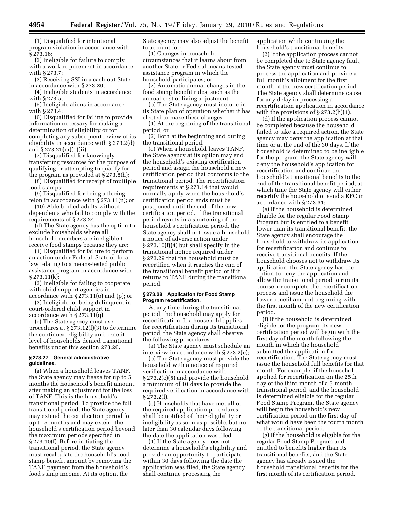(1) Disqualified for intentional program violation in accordance with § 273.16;

(2) Ineligible for failure to comply with a work requirement in accordance with § 273.7;

(3) Receiving SSI in a cash-out State in accordance with § 273.20;

(4) Ineligible students in accordance with § 273.5;

(5) Ineligible aliens in accordance with § 273.4;

(6) Disqualified for failing to provide information necessary for making a determination of eligibility or for completing any subsequent review of its eligibility in accordance with § 273.2(d) and § 273.21(m)(1)(ii);

(7) Disqualified for knowingly transferring resources for the purpose of qualifying or attempting to qualify for the program as provided at § 273.8(h);

(8) Disqualified for receipt of multiple food stamps;

(9) Disqualified for being a fleeing felon in accordance with § 273.11(n); or

(10) Able-bodied adults without dependents who fail to comply with the requirements of § 273.24;

(d) The State agency has the option to exclude households where all household members are ineligible to receive food stamps because they are:

(1) Disqualified for failure to perform an action under Federal, State or local law relating to a means-tested public assistance program in accordance with  $§ 273.11(k);$ 

(2) Ineligible for failing to cooperate with child support agencies in accordance with § 273.11(o) and (p); or

(3) Ineligible for being delinquent in court-ordered child support in accordance with § 273.11(q).

(e) The State agency must use procedures at § 273.12(f)(3) to determine the continued eligibility and benefit level of households denied transitional benefits under this section 273.26.

#### **§ 273.27 General administrative guidelines.**

(a) When a household leaves TANF, the State agency may freeze for up to 5 months the household's benefit amount after making an adjustment for the loss of TANF. This is the household's transitional period. To provide the full transitional period, the State agency may extend the certification period for up to 5 months and may extend the household's certification period beyond the maximum periods specified in § 273.10(f). Before initiating the transitional period, the State agency must recalculate the household's food stamp benefit amount by removing the TANF payment from the household's food stamp income. At its option, the

State agency may also adjust the benefit to account for:

(1) Changes in household circumstances that it learns about from another State or Federal means-tested assistance program in which the household participates; or

(2) Automatic annual changes in the food stamp benefit rules, such as the annual cost of living adjustment.

(b) The State agency must include in its State plan of operation whether it has elected to make these changes:

(1) At the beginning of the transitional period; or

(2) Both at the beginning and during the transitional period.

(c) When a household leaves TANF, the State agency at its option may end the household's existing certification period and assign the household a new certification period that conforms to the transitional period. The recertification requirements at § 273.14 that would normally apply when the household's certification period ends must be postponed until the end of the new certification period. If the transitional period results in a shortening of the household's certification period, the State agency shall not issue a household a notice of adverse action under § 273.10(f)(4) but shall specify in the transitional notice required under § 273.29 that the household must be recertified when it reaches the end of the transitional benefit period or if it returns to TANF during the transitional period.

#### **§ 273.28 Application for Food Stamp Program recertification.**

At any time during the transitional period, the household may apply for recertification. If a household applies for recertification during its transitional period, the State agency shall observe the following procedures:

(a) The State agency must schedule an interview in accordance with § 273.2(e);

(b) The State agency must provide the household with a notice of required verification in accordance with § 273.2(c)(5) and provide the household a minimum of 10 days to provide the required verification in accordance with § 273.2(f).

(c) Households that have met all of the required application procedures shall be notified of their eligibility or ineligibility as soon as possible, but no later than 30 calendar days following the date the application was filed.

(1) If the State agency does not determine a household's eligibility and provide an opportunity to participate within 30 days following the date the application was filed, the State agency shall continue processing the

application while continuing the household's transitional benefits.

(2) If the application process cannot be completed due to State agency fault, the State agency must continue to process the application and provide a full month's allotment for the first month of the new certification period. The State agency shall determine cause for any delay in processing a recertification application in accordance with the provisions of § 273.2(h)(1).

(d) If the application process cannot be completed because the household failed to take a required action, the State agency may deny the application at that time or at the end of the 30 days. If the household is determined to be ineligible for the program, the State agency will deny the household's application for recertification and continue the household's transitional benefits to the end of the transitional benefit period, at which time the State agency will either recertify the household or send a RFC in accordance with § 273.31;

(e) If the household is determined eligible for the regular Food Stamp Program but is entitled to a benefit lower than its transitional benefit, the State agency shall encourage the household to withdraw its application for recertification and continue to receive transitional benefits. If the household chooses not to withdraw its application, the State agency has the option to deny the application and allow the transitional period to run its course, or complete the recertification process and issue the household the lower benefit amount beginning with the first month of the new certification period.

(f) If the household is determined eligible for the program, its new certification period will begin with the first day of the month following the month in which the household submitted the application for recertification. The State agency must issue the household full benefits for that month. For example, if the household applied for recertification on the 25th day of the third month of a 5-month transitional period, and the household is determined eligible for the regular Food Stamp Program, the State agency will begin the household's new certification period on the first day of what would have been the fourth month of the transitional period.

(g) If the household is eligible for the regular Food Stamp Program and entitled to benefits higher than its transitional benefits, and the State agency has already issued the household transitional benefits for the first month of its certification period,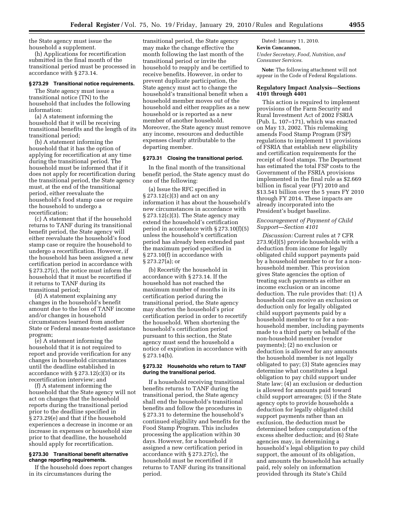the State agency must issue the household a supplement.

(h) Applications for recertification submitted in the final month of the transitional period must be processed in accordance with § 273.14.

#### **§ 273.29 Transitional notice requirements.**

The State agency must issue a transitional notice (TN) to the household that includes the following information:

(a) A statement informing the household that it will be receiving transitional benefits and the length of its transitional period;

(b) A statement informing the household that it has the option of applying for recertification at any time during the transitional period. The household must be informed that if it does not apply for recertification during the transitional period, the State agency must, at the end of the transitional period, either reevaluate the household's food stamp case or require the household to undergo a recertification;

(c) A statement that if the household returns to TANF during its transitional benefit period, the State agency will either reevaluate the household's food stamp case or require the household to undergo a recertification. However, if the household has been assigned a new certification period in accordance with § 273.27(c), the notice must inform the household that it must be recertified if it returns to TANF during its transitional period;

(d) A statement explaining any changes in the household's benefit amount due to the loss of TANF income and/or changes in household circumstances learned from another State or Federal means-tested assistance program;

(e) A statement informing the household that it is not required to report and provide verification for any changes in household circumstances until the deadline established in accordance with  $\S 273.12(c)(3)$  or its recertification interview; and

(f) A statement informing the household that the State agency will not act on changes that the household reports during the transitional period prior to the deadline specified in § 273.29(e) and that if the household experiences a decrease in income or an increase in expenses or household size prior to that deadline, the household should apply for recertification.

#### **§ 273.30 Transitional benefit alternative change reporting requirements.**

If the household does report changes in its circumstances during the

transitional period, the State agency may make the change effective the month following the last month of the transitional period or invite the household to reapply and be certified to receive benefits. However, in order to prevent duplicate participation, the State agency must act to change the household's transitional benefit when a household member moves out of the household and either reapplies as a new household or is reported as a new member of another household. Moreover, the State agency must remove any income, resources and deductible expenses clearly attributable to the departing member.

#### **§ 273.31 Closing the transitional period.**

In the final month of the transitional benefit period, the State agency must do one of the following:

(a) Issue the RFC specified in § 273.12(c)(3) and act on any information it has about the household's new circumstances in accordance with  $\S 273.12(c)(3)$ . The State agency may extend the household's certification period in accordance with § 273.10(f)(5) unless the household's certification period has already been extended past the maximum period specified in § 273.10(f) in accordance with § 273.27(a); or

(b) Recertify the household in accordance with § 273.14. If the household has not reached the maximum number of months in its certification period during the transitional period, the State agency may shorten the household's prior certification period in order to recertify the household. When shortening the household's certification period pursuant to this section, the State agency must send the household a notice of expiration in accordance with § 273.14(b).

#### **§ 273.32 Households who return to TANF during the transitional period.**

If a household receiving transitional benefits returns to TANF during the transitional period, the State agency shall end the household's transitional benefits and follow the procedures in § 273.31 to determine the household's continued eligibility and benefits for the Food Stamp Program. This includes processing the application within 30 days. However, for a household assigned a new certification period in accordance with § 273.27(c), the household must be recertified if it returns to TANF during its transitional period.

Dated: January 11, 2010. **Kevin Concannon,**  *Under Secretary, Food, Nutrition, and Consumer Services.* 

**Note:** The following attachment will not appear in the Code of Federal Regulations.

#### **Regulatory Impact Analysis—Sections 4101 through 4401**

This action is required to implement provisions of the Farm Security and Rural Investment Act of 2002 FSRIA (Pub. L. 107–171), which was enacted on May 13, 2002. This rulemaking amends Food Stamp Program (FSP) regulations to implement 11 provisions of FSRIA that establish new eligibility and certification requirements for the receipt of food stamps. The Department has estimated the total FSP costs to the Government of the FSRIA provisions implemented in the final rule as \$2.669 billion in fiscal year (FY) 2010 and \$13.541 billion over the 5 years FY 2010 through FY 2014. These impacts are already incorporated into the President's budget baseline.

#### *Encouragement of Payment of Child Support—Section 4101*

*Discussion:* Current rules at 7 CFR 273.9(d)(5) provide households with a deduction from income for legally obligated child support payments paid by a household member to or for a nonhousehold member. This provision gives State agencies the option of treating such payments as either an income exclusion or an income deduction. The rule provides that: (1) A household can receive an exclusion or deduction only for legally obligated child support payments paid by a household member to or for a nonhousehold member, including payments made to a third party on behalf of the non-household member (vendor payments); (2) no exclusion or deduction is allowed for any amounts the household member is not legally obligated to pay; (3) State agencies may determine what constitutes a legal obligation to pay child support under State law; (4) an exclusion or deduction is allowed for amounts paid toward child support arrearages; (5) if the State agency opts to provide households a deduction for legally obligated child support payments rather than an exclusion, the deduction must be determined before computation of the excess shelter deduction; and (6) State agencies may, in determining a household's legal obligation to pay child support, the amount of its obligation, and amounts the household has actually paid, rely solely on information provided through its State's Child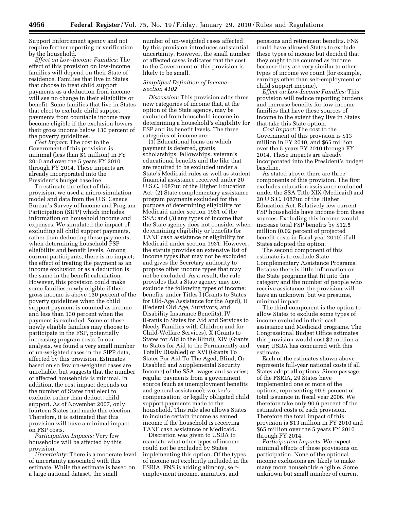Support Enforcement agency and not require further reporting or verification by the household.

*Effect on Low-Income Families:* The effect of this provision on low-income families will depend on their State of residence. Families that live in States that choose to treat child support payments as a deduction from income will see no change in their eligibility or benefit. Some families that live in States that elect to exclude child support payments from countable income may become eligible if the exclusion lowers their gross income below 130 percent of the poverty guidelines.

*Cost Impact:* The cost to the Government of this provision is minimal (less than \$1 million) in FY 2010 and over the 5 years FY 2010 through FY 2014. These impacts are already incorporated into the President's budget baseline.

To estimate the effect of this provision, we used a micro-simulation model and data from the U.S. Census Bureau's Survey of Income and Program Participation (SIPP) which includes information on household income and expenses. We simulated the impact of excluding all child support payments, rather than deducting these payments, when determining household FSP eligibility and benefit levels. Among current participants, there is no impact; the effect of treating the payment as an income exclusion or as a deduction is the same in the benefit calculation. However, this provision could make some families newly eligible if their gross income is above 130 percent of the poverty guidelines when the child support payment is counted as income and less than 130 percent when the payment is excluded. Some of these newly eligible families may choose to participate in the FSP, potentially increasing program costs. In our analysis, we found a very small number of un-weighted cases in the SIPP data, affected by this provision. Estimates based on so few un-weighted cases are unreliable, but suggests that the number of affected households is minimal. In addition, the cost impact depends on the number of States that elect to exclude, rather than deduct, child support. As of November 2007, only fourteen States had made this election. Therefore, it is estimated that this provision will have a minimal impact on FSP costs.

*Participation Impacts:* Very few households will be affected by this provision.

*Uncertainty:* There is a moderate level of uncertainty associated with this estimate. While the estimate is based on a large national dataset, the small

number of un-weighted cases affected by this provision introduces substantial uncertainty. However, the small number of affected cases indicates that the cost to the Government of this provision is likely to be small.

#### *Simplified Definition of Income— Section 4102*

*Discussion:* This provision adds three new categories of income that, at the option of the State agency, may be excluded from household income in determining a household's eligibility for FSP and its benefit levels. The three categories of income are:

(1) Educational loans on which payment is deferred, grants, scholarships, fellowships, veteran's educational benefits and the like that are required to be excluded under a State's Medicaid rules as well as student financial assistance received under 20 U.S.C. 1087uu of the Higher Education Act; (2) State complementary assistance program payments excluded for the purpose of determining eligibility for Medicaid under section 1931 of the SSA; and (3) any types of income that the State agency does not consider when determining eligibility or benefits for TANF cash assistance or eligibility for Medicaid under section 1931. However, the statute provides an extensive list of income types that may not be excluded and gives the Secretary authority to propose other income types that may not be excluded. As a result, the rule provides that a State agency may not exclude the following types of income: benefits under Titles I (Grants to States for Old-Age Assistance for the Aged), II (Federal Old Age, Survivors, and Disability Insurance Benefits), IV (Grants to States for Aid and Services to Needy Families with Children and for Child-Welfare Services), X (Grants to States for Aid to the Blind), XIV (Grants to States for Aid to the Permanently and Totally Disabled) or XVI (Grants To States For Aid To The Aged, Blind, Or Disabled and Supplemental Security Income) of the SSA; wages and salaries; regular payments from a government source (such as unemployment benefits and general assistance); worker's compensation; or legally obligated child support payments made to the household. This rule also allows States to include certain income as earned income if the household is receiving TANF cash assistance or Medicaid.

Discretion was given to USDA to mandate what other types of income could not be excluded by States implementing this option. Of the types of income not explicitly included in the FSRIA, FNS is adding alimony, selfemployment income, annuities, and

pensions and retirement benefits. FNS could have allowed States to exclude these types of income but decided that they ought to be counted as income because they are very similar to other types of income we count (for example, earnings other than self-employment or child support income).

*Effect on Low-Income Families:* This provision will reduce reporting burdens and increase benefits for low-income families that have these sources of income to the extent they live in States that take this State option.

*Cost Impact:* The cost to the Government of this provision is \$13 million in FY 2010, and \$65 million over the 5 years FY 2010 through FY 2014. These impacts are already incorporated into the President's budget baseline.

As stated above, there are three components of this provision. The first excludes education assistance excluded under the SSA Title XIX (Medicaid) and 20 U.S.C. 1087uu of the Higher Education Act. Relatively few current FSP households have income from these sources. Excluding this income would increase total FSP benefits by \$12.5 million (0.02 percent of projected benefit costs in fiscal year 2010) if all States adopted the option.

The second component of this estimate is to exclude State Complementary Assistance Programs. Because there is little information on the State programs that fit into this category and the number of people who receive assistance, the provision will have an unknown, but we presume, minimal impact.

The third component is the option to allow States to exclude some types of income excluded in their cash assistance and Medicaid programs. The Congressional Budget Office estimates this provision would cost \$2 million a year; USDA has concurred with this estimate.

Each of the estimates shown above represents full-year national costs if all States adopt all options. Since passage of the FSRIA, 29 States have implemented one or more of the options, representing 90.6 percent of total issuance in fiscal year 2006. We therefore take only 90.6 percent of the estimated costs of each provision. Therefore the total impact of this provision is \$13 million in FY 2010 and \$65 million over the 5 years FY 2010 through FY 2014.

*Participation Impacts:* We expect minimal effects of these provisions on participation. None of the optional income exclusions are likely to make many more households eligible. Some unknown but small number of current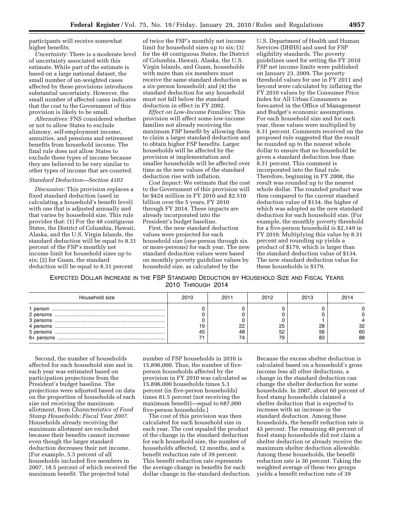participants will receive somewhat higher benefits.

*Uncertainty:* There is a moderate level of uncertainty associated with this estimate. While part of the estimate is based on a large national dataset, the small number of un-weighted cases affected by these provisions introduces substantial uncertainty. However, the small number of affected cases indicates that the cost to the Government of this provision is likely to be small.

*Alternatives:* FNS considered whether or not to allow States to exclude alimony, self-employment income, annuities, and pensions and retirement benefits from household income. The final rule does not allow States to exclude these types of income because they are believed to be very similar to other types of income that are counted.

#### *Standard Deduction—Section 4103*

*Discussion:* This provision replaces a fixed standard deduction (used in calculating a household's benefit level) with one that is adjusted annually and that varies by household size. This rule provides that: (1) For the 48 contiguous States, the District of Columbia, Hawaii, Alaska, and the U.S. Virgin Islands, the standard deduction will be equal to 8.31 percent of the FSP's monthly net income limit for household sizes up to six; (2) for Guam, the standard deduction will be equal to 8.31 percent

of twice the FSP's monthly net income limit for household sizes up to six; (3) for the 48 contiguous States, the District of Columbia, Hawaii, Alaska, the U.S. Virgin Islands, and Guam, households with more than six members must receive the same standard deduction as a six-person household; and (4) the standard deduction for any household must not fall below the standard deduction in effect in FY 2002.

*Effect on Low-Income Families:* This provision will affect some low-income families not already receiving the maximum FSP benefit by allowing them to claim a larger standard deduction and to obtain higher FSP benefits. Larger households will be affected by the provision at implementation and smaller households will be affected over time as the new values of the standard deduction rise with inflation.

*Cost Impact:* We estimate that the cost to the Government of this provision will be \$424 million in FY 2010 and \$2.510 billion over the 5 years, FY 2010 through FY 2014. These impacts are already incorporated into the President's budget baseline.

First, the new standard deduction values were projected for each household size (one-person through six or more-persons) for each year. The new standard deduction values were based on monthly poverty guideline values by household size, as calculated by the

U.S. Department of Health and Human Services (DHHS) and used for FSP eligibility standards. The poverty guidelines used for setting the FY 2010 FSP net income limits were published on January 23, 2009. The poverty threshold values for use in FY 2011 and beyond were calculated by inflating the FY 2010 values by the Consumer Price Index for All Urban Consumers as forecasted in the Office of Management and Budget's economic assumptions. For each household size and for each year, these values were multiplied by 8.31 percent. Comments received on the proposed rule suggested that the result be rounded up to the nearest whole dollar to ensure that no household be given a standard deduction less than 8.31 percent. This comment is incorporated into the final rule. Therefore, beginning in FY 2008, the result was rounded up to the nearest whole dollar. The rounded product was then compared to the current standard deduction value of \$134, the higher of which was adopted as the new standard deduction for each household size. (For example, the monthly poverty threshold for a five-person household is \$2,149 in FY 2010. Multiplying this value by 8.31 percent and rounding up yields a product of \$179, which is larger than the standard deduction value of \$134. The new standard deduction value for these households is \$179.

EXPECTED DOLLAR INCREASE IN THE FSP STANDARD DEDUCTION BY HOUSEHOLD SIZE AND FISCAL YEARS 2010 THROUGH 2014

| Household size | 2010     | 2011 | 2012           | 2013           | 2014           |
|----------------|----------|------|----------------|----------------|----------------|
|                | 19<br>45 | 74   | 25<br>52<br>79 | 28<br>56<br>83 | 32<br>60<br>88 |

Second, the number of households affected for each household size and in each year was estimated based on participation projections from the President's budget baseline. The projections were adjusted based on data on the proportion of households of each size not receiving the maximum allotment, from *Characteristics of Food Stamp Households: Fiscal Year 2007.*  Households already receiving the maximum allotment are excluded because their benefits cannot increase even though the larger standard deduction decreases their net income. [For example, 5.3 percent of all households included five members in 2007, 18.5 percent of which received the maximum benefit. The projected total

number of FSP households in 2010 is 15,896,000. Thus, the number of fiveperson households affected by the provision in FY 2010 was calculated as 15,896,000 households times 5.3 percent (in five-person households) times 81.5 percent (not receiving the maximum benefit)—equal to 687,000 five-person households.]

The cost of this provision was then calculated for each household size in each year. The cost equaled the product of the change in the standard deduction for each household size, the number of households affected, 12 months, and a benefit reduction rate of 39 percent. This benefit reduction rate represents the average change in benefits for each dollar change in the standard deduction. Because the excess shelter deduction is calculated based on a household's gross income less all other deductions, a change in the standard deduction can change the shelter deduction for some households. In 2007, about 60 percent of food stamp households claimed a shelter deduction that is expected to increase with an increase in the standard deduction. Among these households, the benefit reduction rate is 45 percent. The remaining 40 percent of food stamp households did not claim a shelter deduction or already receive the maximum shelter deduction allowable. Among these households, the benefit reduction rate is 30 percent. Taking the weighted average of these two groups yields a benefit reduction rate of 39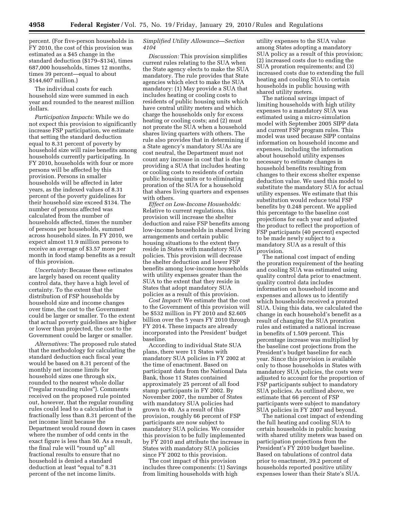percent. (For five-person households in FY 2010, the cost of this provision was estimated as a \$45 change in the standard deduction (\$179–\$134), times 687,000 households, times 12 months, times 39 percent—equal to about \$144,607 million.)

The individual costs for each household size were summed in each year and rounded to the nearest million dollars.

*Participation Impacts:* While we do not expect this provision to significantly increase FSP participation, we estimate that setting the standard deduction equal to 8.31 percent of poverty by household size will raise benefits among households currently participating. In FY 2010, households with four or more persons will be affected by this provision. Persons in smaller households will be affected in later years, as the indexed values of 8.31 percent of the poverty guidelines for their household size exceed \$134. The number of persons affected was calculated from the number of households affected, times the number of persons per households, summed across household sizes. In FY 2010, we expect almost 11.9 million persons to receive an average of \$3.57 more per month in food stamp benefits as a result of this provision.

*Uncertainty:* Because these estimates are largely based on recent quality control data, they have a high level of certainty. To the extent that the distribution of FSP households by household size and income changes over time, the cost to the Government could be larger or smaller. To the extent that actual poverty guidelines are higher or lower than projected, the cost to the Government could be larger or smaller.

*Alternatives:* The proposed rule stated that the methodology for calculating the standard deduction each fiscal year would be based on 8.31 percent of the monthly net income limits for household sizes one through six, rounded to the nearest whole dollar (''regular rounding rules''). Comments received on the proposed rule pointed out, however, that the regular rounding rules could lead to a calculation that is fractionally less than 8.31 percent of the net income limit because the Department would round down in cases where the number of odd cents in the exact figure is less than 50. As a result, the final rule will "round up" all fractional results to ensure that no household is denied a standard deduction at least "equal to" 8.31 percent of the net income limits.

#### *Simplified Utility Allowance—Section 4104*

*Discussion:* This provision simplifies current rules relating to the SUA when the State agency elects to make the SUA mandatory. The rule provides that State agencies which elect to make the SUA mandatory: (1) May provide a SUA that includes heating or cooling costs to residents of public housing units which have central utility meters and which charge the households only for excess heating or cooling costs; and (2) must not prorate the SUA when a household shares living quarters with others. The rule also provides that in determining if a State agency's mandatory SUAs are cost neutral, the Department must not count any increase in cost that is due to providing a SUA that includes heating or cooling costs to residents of certain public housing units or to eliminating proration of the SUA for a household that shares living quarters and expenses with others.

*Effect on Low-Income Households:*  Relative to current regulations, this provision will increase the shelter deduction and raise FSP benefits among low-income households in shared living arrangements and certain public housing situations to the extent they reside in States with mandatory SUA policies. This provision will decrease the shelter deduction and lower FSP benefits among low-income households with utility expenses greater than the SUA to the extent that they reside in States that adopt mandatory SUA policies as a result of this provision.

*Cost Impact:* We estimate that the cost to the Government of this provision will be \$532 million in FY 2010 and \$2.605 billion over the 5 years FY 2010 through FY 2014. These impacts are already incorporated into the President' budget baseline.

According to individual State SUA plans, there were 11 States with mandatory SUA policies in FY 2002 at the time of enactment. Based on participant data from the National Data Bank, those 11 States contained approximately 25 percent of all food stamp participants in FY 2002. By November 2007, the number of States with mandatory SUA policies had grown to 40. As a result of this provision, roughly 66 percent of FSP participants are now subject to mandatory SUA policies. We consider this provision to be fully implemented by FY 2010 and attribute the increase in States with mandatory SUA policies since FY 2002 to this provision.

The cost impact of this provision includes three components: (1) Savings from limiting households with high

utility expenses to the SUA value among States adopting a mandatory SUA policy as a result of this provision; (2) increased costs due to ending the SUA proration requirements; and (3) increased costs due to extending the full heating and cooling SUA to certain households in public housing with shared utility meters.

The national savings impact of limiting households with high utility expenses to a mandatory SUA was estimated using a micro-simulation model with September 2005 SIPP data and current FSP program rules. This model was used because SIPP contains information on household income and expenses, including the information about household utility expenses necessary to estimate changes in household benefits resulting from changes to their excess shelter expense deduction value. We used this model to substitute the mandatory SUA for actual utility expenses. We estimate that this substitution would reduce total FSP benefits by 0.248 percent. We applied this percentage to the baseline cost projections for each year and adjusted the product to reflect the proportion of FSP participants (40 percent) expected to be made newly subject to a mandatory SUA as a result of this provision.

The national cost impact of ending the proration requirement of the heating and cooling SUA was estimated using quality control data prior to enactment. quality control data includes information on household income and expenses and allows us to identify which households received a prorated SUA. Using this data, we calculated the change in each household's benefit as a result of changing the SUA proration rules and estimated a national increase in benefits of 1.509 percent. This percentage increase was multiplied by the baseline cost projections from the President's budget baseline for each year. Since this provision is available only to those households in States with mandatory SUA policies, the costs were adjusted to account for the proportion of FSP participants subject to mandatory SUA policies. As outlined above, we estimate that 66 percent of FSP participants were subject to mandatory SUA policies in FY 2007 and beyond.

The national cost impact of extending the full heating and cooling SUA to certain households in public housing with shared utility meters was based on participation projections from the President's FY 2010 budget baseline. Based on tabulations of control data prior to enactment, 39.2 percent of households reported positive utility expenses lower than their State's SUA.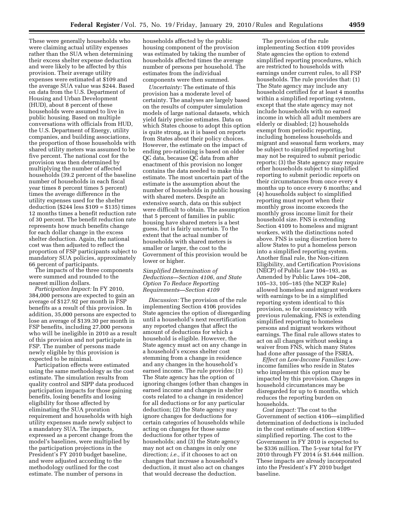These were generally households who were claiming actual utility expenses rather than the SUA when determining their excess shelter expense deduction and were likely to be affected by this provision. Their average utility expenses were estimated at \$109 and the average SUA value was \$244. Based on data from the U.S. Department of Housing and Urban Development (HUD), about 8 percent of these households were assumed to live in public housing. Based on multiple conversations with officials from HUD, the U.S. Department of Energy, utility companies, and building associations, the proportion of those households with shared utility meters was assumed to be five percent. The national cost for the provision was then determined by multiplying the number of affected households (39.2 percent of the baseline number of households in each fiscal year times 8 percent times 5 percent) times the average difference in the utility expenses used for the shelter deduction (\$244 less \$109 = \$135) times 12 months times a benefit reduction rate of 30 percent. The benefit reduction rate represents how much benefits change for each dollar change in the excess shelter deduction. Again, the national cost was then adjusted to reflect the proportion of FSP participants subject to mandatory SUA policies, approximately 66 percent of participants.

The impacts of the three components were summed and rounded to the nearest million dollars.

*Participation Impact:* In FY 2010, 384,000 persons are expected to gain an average of \$127.92 per month in FSP benefits as a result of this provision. In addition, 35,000 persons are expected to lose an average of \$139.30 per month in FSP benefits, including 27,000 persons who will be ineligible in 2010 as a result of this provision and not participate in FSP. The number of persons made newly eligible by this provision is expected to be minimal.

Participation effects were estimated using the same methodology as the cost estimate. The simulation results from quality control and SIPP data produced participation impacts for those gaining benefits, losing benefits and losing eligibility for those affected by eliminating the SUA proration requirement and households with high utility expenses made newly subject to a mandatory SUA. The impacts, expressed as a percent change from the model's baselines, were multiplied by the participation projections in the President's FY 2010 budget baseline, and were adjusted according to the methodology outlined for the cost estimate. The number of persons in

households affected by the public housing component of the provision was estimated by taking the number of households affected times the average number of persons per household. The estimates from the individual components were then summed.

*Uncertainty:* The estimate of this provision has a moderate level of certainty. The analyses are largely based on the results of computer simulation models of large national datasets, which yield fairly precise estimates. Data on which States choose to adopt this option is quite strong, as it is based on reports from States about their policy choices. However, the estimate on the impact of ending pro-rationing is based on older QC data, because QC data from after enactment of this provision no longer contains the data needed to make this estimate. The most uncertain part of the estimate is the assumption about the number of households in public housing with shared meters. Despite an extensive search, data on this subject were difficult to obtain. The assumption that 5 percent of families in public housing have shared meters is a best guess, but is fairly uncertain. To the extent that the actual number of households with shared meters is smaller or larger, the cost to the Government of this provision would be lower or higher.

#### *Simplified Determination of Deductions—Section 4106, and State Option To Reduce Reporting Requirements—Section 4109*

*Discussion:* The provision of the rule implementing Section 4106 provides State agencies the option of disregarding until a household's next recertification any reported changes that affect the amount of deductions for which a household is eligible. However, the State agency must act on any change in a household's excess shelter cost stemming from a change in residence and any changes in the household's earned income. The rule provides: (1) The State agency has the option of ignoring changes (other than changes in earned income and changes in shelter costs related to a change in residence) for all deductions or for any particular deduction; (2) the State agency may ignore changes for deductions for certain categories of households while acting on changes for those same deductions for other types of households; and (3) the State agency may not act on changes in only one direction; *i.e.,* if it chooses to act on changes that increase a household's deduction, it must also act on changes that would decrease the deduction.

The provision of the rule implementing Section 4109 provides State agencies the option to extend simplified reporting procedures, which are restricted to households with earnings under current rules, to all FSP households. The rule provides that: (1) The State agency may include any household certified for at least 4 months within a simplified reporting system, except that the state agency may not include households with no earned income in which all adult members are elderly or disabled; (2) households exempt from periodic reporting, including homeless households and migrant and seasonal farm workers, may be subject to simplified reporting but may not be required to submit periodic reports; (3) the State agency may require other households subject to simplified reporting to submit periodic reports on their circumstances from once every 4 months up to once every 6 months; and (4) households subject to simplified reporting must report when their monthly gross income exceeds the monthly gross income limit for their household size. FNS is extending Section 4109 to homeless and migrant workers, with the distinctions noted above. FNS is using discretion here to allow States to put a homeless person into a simplified reporting system. Another final rule, the Non-citizen Eligibility, and Certification Provisions (NECP) of Public Law 104–193, as Amended by Public Laws 104–208, 105–33, 105–185 (the NCEP Rule) allowed homeless and migrant workers with earnings to be in a simplified reporting system identical to this provision, so for consistency with previous rulemaking, FNS is extending simplified reporting to homeless persons and migrant workers without earnings. The final rule allows states to act on all changes without seeking a waiver from FNS, which many States had done after passage of the FSRIA.

*Effect on Low-Income Families:* Lowincome families who reside in States who implement this option may be impacted by this provision. Changes in household circumstances may be disregarded for up to 6 months, which reduces the reporting burden on households.

*Cost impact:* The cost to the Government of section 4106—simplified determination of deductions is included in the cost estimate of section 4109 simplified reporting. The cost to the Government in FY 2010 is expected to be \$336 million. The 5-year total for FY 2010 through FY 2014 is \$1.644 million. These impacts are already incorporated into the President's FY 2010 budget baseline.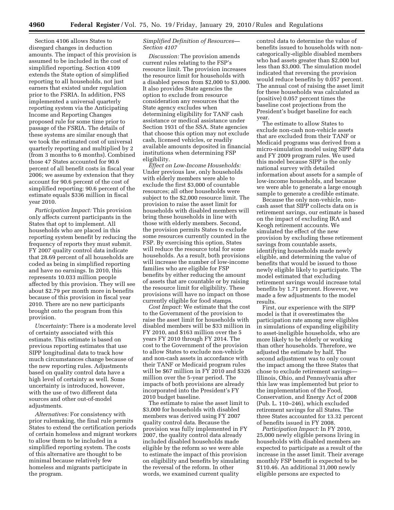Section 4106 allows States to disregard changes in deduction amounts. The impact of this provision is assumed to be included in the cost of simplified reporting. Section 4109 extends the State option of simplified reporting to all households, not just earners that existed under regulation prior to the FSRIA. In addition, FNS implemented a universal quarterly reporting system via the Anticipating Income and Reporting Changes proposed rule for some time prior to passage of the FSRIA. The details of these systems are similar enough that we took the estimated cost of universal quarterly reporting and multiplied by 2 (from 3 months to 6 months). Combined those 47 States accounted for 90.6 percent of all benefit costs in fiscal year 2006; we assume by extension that they account for 90.6 percent of the cost of simplified reporting: 90.6 percent of the estimate equals \$336 million in fiscal year 2010.

*Participation Impact:* This provision only affects current participants in the States that opt to implement. All households who are placed in this reporting system benefit by reducing the frequency of reports they must submit. FY 2007 quality control data indicate that 28.69 percent of all households are coded as being in simplified reporting and have no earnings. In 2010, this represents 10.033 million people affected by this provision. They will see about \$2.79 per month more in benefits because of this provision in fiscal year 2010. There are no new participants brought onto the program from this provision.

*Uncertainty:* There is a moderate level of certainty associated with this estimate. This estimate is based on previous reporting estimates that use SIPP longitudinal data to track how much circumstances change because of the new reporting rules. Adjustments based on quality control data have a high level of certainty as well. Some uncertainty is introduced, however, with the use of two different data sources and other out-of-model adjustments.

*Alternatives:* For consistency with prior rulemaking, the final rule permits States to extend the certification periods of certain homeless and migrant workers to allow them to be included in a simplified reporting system. The costs of this alternative are thought to be minimal because relatively few homeless and migrants participate in the program.

#### *Simplified Definition of Resources— Section 4107*

*Discussion:* The provision amends current rules relating to the FSP's resource limit. The provision increases the resource limit for households with a disabled person from \$2,000 to \$3,000. It also provides State agencies the option to exclude from resource consideration any resources that the State agency excludes when determining eligibility for TANF cash assistance or medical assistance under Section 1931 of the SSA. State agencies that choose this option may not exclude cash, licensed vehicles, or readily available amounts deposited in financial institutions when determining FSP eligibility.

*Effect on Low-Income Households:*  Under previous law, only households with elderly members were able to exclude the first \$3,000 of countable resources; all other households were subject to the \$2,000 resource limit. The provision to raise the asset limit for households with disabled members will bring these households in line with those with elderly members. Second, the provision permits States to exclude some resources currently counted in the FSP. By exercising this option, States will reduce the resource total for some households. As a result, both provisions will increase the number of low-income families who are eligible for FSP benefits by either reducing the amount of assets that are countable or by raising the resource limit for eligibility. These provisions will have no impact on those currently eligible for food stamps.

*Cost Impact:* We estimate that the cost to the Government of the provision to raise the asset limit for households with disabled members will be \$33 million in FY 2010, and \$163 million over the 5 years FY 2010 through FY 2014. The cost to the Government of the provision to allow States to exclude non-vehicle and non-cash assets in accordance with their TANF or Medicaid program rules will be \$67 million in FY 2010 and \$326 million over the 5-year period. The impacts of both provisions are already incorporated into the President's FY 2010 budget baseline.

The estimate to raise the asset limit to \$3,000 for households with disabled members was derived using FY 2007 quality control data. Because the provision was fully implemented in FY 2007, the quality control data already included disabled households made eligible by the reform so we were able to estimate the impact of this provision on eligibility and benefits by simulating the reversal of the reform. In other words, we examined current quality

control data to determine the value of benefits issued to households with noncategorically-eligible disabled members who had assets greater than \$2,000 but less than \$3,000. The simulation model indicated that reversing the provision would reduce benefits by 0.057 percent. The annual cost of raising the asset limit for these households was calculated as (positive) 0.057 percent times the baseline cost projections from the President's budget baseline for each year.

The estimate to allow States to exclude non-cash non-vehicle assets that are excluded from their TANF or Medicaid programs was derived from a micro-simulation model using SIPP data and FY 2009 program rules. We used this model because SIPP is the only national survey with detailed information about assets for a sample of low-income households, and because we were able to generate a large enough sample to generate a credible estimate.

Because the only non-vehicle, noncash asset that SIPP collects data on is retirement savings, our estimate is based on the impact of excluding IRA and Keogh retirement accounts. We simulated the effect of the new provision by excluding these retirement savings from countable assets, identifying households made newly eligible, and determining the value of benefits that would be issued to those newly eligible likely to participate. The model estimated that excluding retirement savings would increase total benefits by 1.71 percent. However, we made a few adjustments to the model results.

First, our experience with the SIPP model is that it overestimates the participation rate among new eligibles in simulations of expanding eligibility to asset-ineligible households, who are more likely to be elderly or working than other households. Therefore, we adjusted the estimate by half. The second adjustment was to only count the impact among the three States that chose to exclude retirement savings— Illinois, Ohio, and Pennsylvania after this law was implemented but prior to the implementation of the Food, Conservation, and Energy Act of 2008 (Pub. L. 110–246), which excluded retirement savings for all States. The three States accounted for 13.32 percent of benefits issued in FY 2008.

*Participation Impact:* In FY 2010, 25,000 newly eligible persons living in households with disabled members are expected to participate as a result of the increase in the asset limit. Their average monthly FSP benefit is expected to be \$110.46. An additional 31,000 newly eligible persons are expected to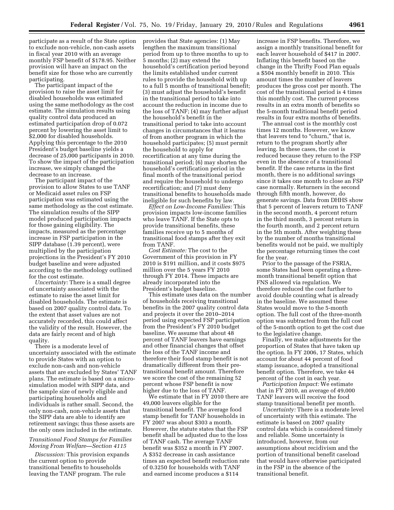participate as a result of the State option to exclude non-vehicle, non-cash assets in fiscal year 2010 with an average monthly FSP benefit of \$178.95. Neither provision will have an impact on the benefit size for those who are currently participating.

The participant impact of the provision to raise the asset limit for disabled households was estimated using the same methodology as the cost estimate. The simulation results using quality control data produced an estimated participation drop of 0.072 percent by lowering the asset limit to \$2,000 for disabled households. Applying this percentage to the 2010 President's budget baseline yields a decrease of 25,000 participants in 2010. To show the impact of the participation increase, we simply changed the decrease to an increase.

The participant impact of the provision to allow States to use TANF or Medicaid asset rules on FSP participation was estimated using the same methodology as the cost estimate. The simulation results of the SIPP model produced participation impacts for those gaining eligibility. The impacts, measured as the percentage increase in FSP participation in the SIPP database (1.39 percent), were multiplied by the participation projections in the President's FY 2010 budget baseline and were adjusted according to the methodology outlined for the cost estimate.

*Uncertainty:* There is a small degree of uncertainty associated with the estimate to raise the asset limit for disabled households. The estimate is based on 2007 quality control data. To the extent that asset values are not accurately recorded, this could affect the validity of the result. However, the data are fairly recent and of high quality.

There is a moderate level of uncertainty associated with the estimate to provide States with an option to exclude non-cash and non-vehicle assets that are excluded by States' TANF plans. The estimate is based on a microsimulation model with SIPP data, and the sample size of newly eligible and participating households and individuals is rather small. Second, the only non-cash, non-vehicle assets that the SIPP data are able to identify are retirement savings; thus these assets are the only ones included in the estimate.

#### *Transitional Food Stamps for Families Moving From Welfare—Section 4115*

*Discussion:* This provision expands the current option to provide transitional benefits to households leaving the TANF program. The rule

provides that State agencies: (1) May lengthen the maximum transitional period from up to three months to up to 5 months; (2) may extend the household's certification period beyond the limits established under current rules to provide the household with up to a full 5 months of transitional benefit; (3) must adjust the household's benefit in the transitional period to take into account the reduction in income due to the loss of TANF; (4) may further adjust the household's benefit in the transitional period to take into account changes in circumstances that it learns of from another program in which the household participates; (5) must permit the household to apply for recertification at any time during the transitional period; (6) may shorten the household's certification period in the final month of the transitional period and require the household to undergo recertification; and (7) must deny transitional benefits to households made ineligible for such benefits by law.

*Effect on Low-Income Families:* This provision impacts low-income families who leave TANF. If the State opts to provide transitional benefits, these families receive up to 5 months of transitional food stamps after they exit from TANF.

*Cost Estimate:* The cost to the Government of this provision in FY 2010 is \$191 million, and it costs \$975 million over the 5 years FY 2010 through FY 2014. These impacts are already incorporated into the President's budget baseline.

This estimate uses data on the number of households receiving transitional benefits in the 2007 quality control data and projects it over the 2010–2014 period using expected FSP participation from the President's FY 2010 budget baseline. We assume that about 48 percent of TANF leavers have earnings and other financial changes that offset the loss of the TANF income and therefore their food stamp benefit is not dramatically different from their pretransitional benefit amount. Therefore we score the cost of the remaining 52 percent whose FSP benefit is now higher due to the loss of TANF.

We estimate that in FY 2010 there are 49,000 leavers eligible for the transitional benefit. The average food stamp benefit for TANF households in FY 2007 was about \$303 a month. However, the statute states that the FSP benefit shall be adjusted due to the loss of TANF cash. The average TANF benefit was \$352 a month in FY 2007. A \$352 decrease in cash assistance times an expected benefit reduction rate of 0.3250 for households with TANF and earned income produces a \$114

increase in FSP benefits. Therefore, we assign a monthly transitional benefit for each leaver household of \$417 in 2007. Inflating this benefit based on the change in the Thrifty Food Plan equals a \$504 monthly benefit in 2010. This amount times the number of leavers produces the gross cost per month. The cost of the transitional period is 4 times this monthly cost. The current process results in an extra month of benefits so the 5-month traditional benefit period results in four extra months of benefits.

The annual cost is the monthly cost times 12 months. However, we know that leavers tend to "churn," that is, return to the program shortly after leaving. In these cases, the cost is reduced because they return to the FSP even in the absence of a transitional benefit. If the case returns in the first month, there is no additional savings since it takes one month to close an FSP case normally. Returners in the second through fifth month, however, do generate savings. Data from DHHS show that 5 percent of leavers return to TANF in the second month, 4 percent return in the third month, 3 percent return in the fourth month, and 2 percent return in the 5th month. After weighting these by the number of months transitional benefits would not be paid, we multiply the percentage returning times the cost for the year.

Prior to the passage of the FSRIA, some States had been operating a threemonth transitional benefit option that FNS allowed via regulation. We therefore reduced the cost further to avoid double counting what is already in the baseline. We assumed these States would move to the 5-month option. The full cost of the three-month option was subtracted from the full cost of the 5-month option to get the cost due to the legislative change.

Finally, we make adjustments for the proportion of States that have taken up the option. In FY 2006, 17 States, which account for about 44 percent of food stamp issuance, adopted a transitional benefit option. Therefore, we take 44 percent of the cost in each year.

*Participation Impact:* We estimate that in FY 2010, an average of 49,000 TANF leavers will receive the food stamp transitional benefit per month.

*Uncertainty:* There is a moderate level of uncertainty with this estimate. The estimate is based on 2007 quality control data which is considered timely and reliable. Some uncertainty is introduced, however, from our assumptions about recidivism and the portion of transitional benefit caseload that would have otherwise participated in the FSP in the absence of the transitional benefit.